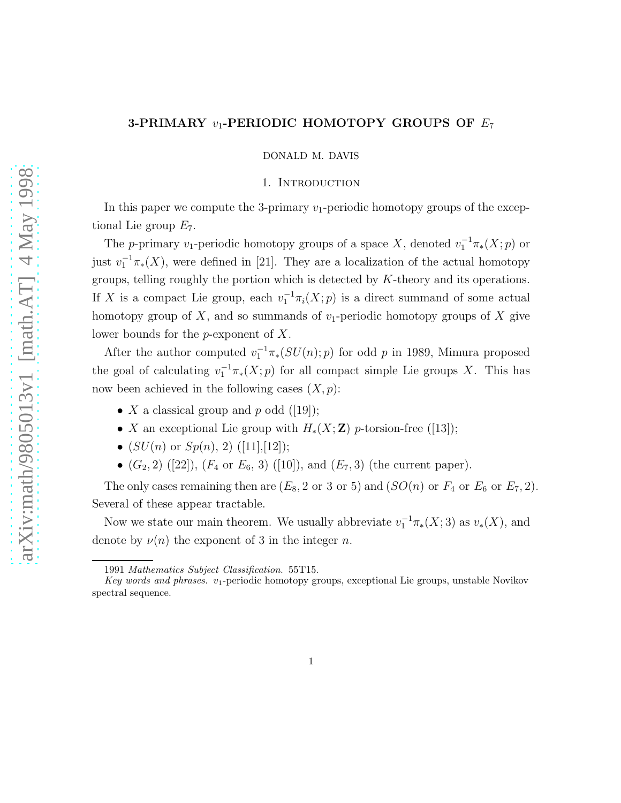## 3-PRIMARY  $v_1$ -PERIODIC HOMOTOPY GROUPS OF  $E_7$

DONALD M. DAVIS

#### 1. Introduction

In this paper we compute the 3-primary  $v_1$ -periodic homotopy groups of the exceptional Lie group  $E_7$ .

The p-primary v<sub>1</sub>-periodic homotopy groups of a space X, denoted  $v_1^{-1}\pi_*(X;p)$  or just  $v_1^{-1}\pi_*(X)$ , were defined in [21]. They are a localization of the actual homotopy groups, telling roughly the portion which is detected by K-theory and its operations. If X is a compact Lie group, each  $v_1^{-1}\pi_i(X; p)$  is a direct summand of some actual homotopy group of X, and so summands of  $v_1$ -periodic homotopy groups of X give lower bounds for the p-exponent of X.

After the author computed  $v_1^{-1}\pi_*(SU(n);p)$  for odd p in 1989, Mimura proposed the goal of calculating  $v_1^{-1}\pi_*(X;p)$  for all compact simple Lie groups X. This has now been achieved in the following cases  $(X, p)$ :

- X a classical group and p odd  $([19])$ ;
- X an exceptional Lie group with  $H_*(X;\mathbf{Z})$  p-torsion-free ([13]);
- $(SU(n)$  or  $Sp(n), 2)$  ([11],[12]);
- $(G_2, 2)$  ([22]),  $(F_4 \text{ or } E_6, 3)$  ([10]), and  $(E_7, 3)$  (the current paper).

The only cases remaining then are  $(E_8, 2 \text{ or } 3 \text{ or } 5)$  and  $(SO(n)$  or  $F_4$  or  $E_6$  or  $E_7, 2)$ . Several of these appear tractable.

Now we state our main theorem. We usually abbreviate  $v_1^{-1}\pi_*(X;3)$  as  $v_*(X)$ , and denote by  $\nu(n)$  the exponent of 3 in the integer n.

<sup>1991</sup> *Mathematics Subject Classification*. 55T15.

*Key words and phrases.* v1-periodic homotopy groups, exceptional Lie groups, unstable Novikov spectral sequence.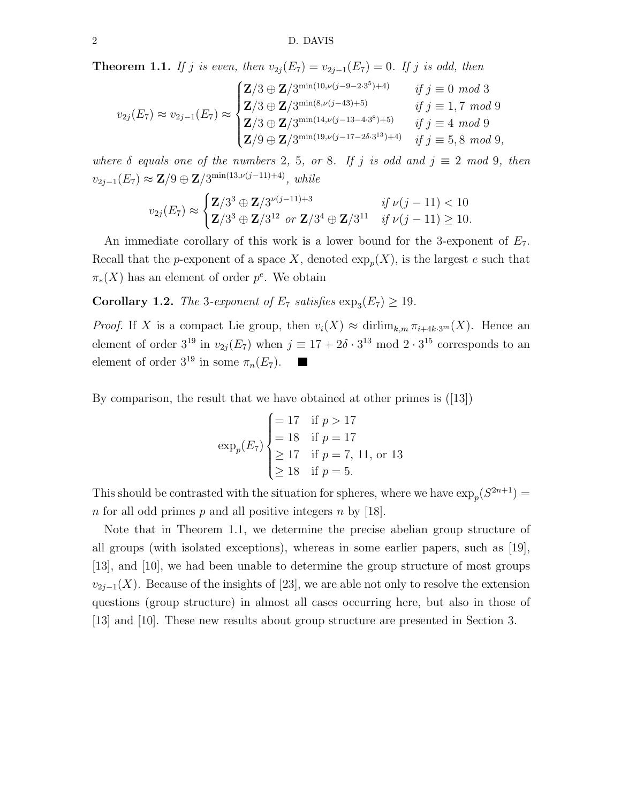**Theorem 1.1.** If j is even, then  $v_{2i}(E_7) = v_{2i-1}(E_7) = 0$ . If j is odd, then

$$
v_{2j}(E_7) \approx v_{2j-1}(E_7) \approx \begin{cases} \mathbf{Z}/3 \oplus \mathbf{Z}/3^{\min(10,\nu(j-9-2\cdot3^5)+4)} & \text{if } j \equiv 0 \mod 3\\ \mathbf{Z}/3 \oplus \mathbf{Z}/3^{\min(8,\nu(j-43)+5)} & \text{if } j \equiv 1,7 \mod 9\\ \mathbf{Z}/3 \oplus \mathbf{Z}/3^{\min(14,\nu(j-13-4\cdot3^8)+5)} & \text{if } j \equiv 4 \mod 9\\ \mathbf{Z}/9 \oplus \mathbf{Z}/3^{\min(19,\nu(j-17-2\delta\cdot3^{13})+4)} & \text{if } j \equiv 5,8 \mod 9, \end{cases}
$$

where  $\delta$  equals one of the numbers 2, 5, or 8. If j is odd and  $j \equiv 2 \mod 9$ , then  $v_{2j-1}(E_7) \approx \mathbf{Z}/9 \oplus \mathbf{Z}/3^{\min(13,\nu(j-11)+4)}$ , while

$$
v_{2j}(E_7) \approx \begin{cases} \mathbf{Z}/3^3 \oplus \mathbf{Z}/3^{\nu(j-11)+3} & \text{if } \nu(j-11) < 10\\ \mathbf{Z}/3^3 \oplus \mathbf{Z}/3^{12} & \text{or } \mathbf{Z}/3^4 \oplus \mathbf{Z}/3^{11} & \text{if } \nu(j-11) \geq 10. \end{cases}
$$

An immediate corollary of this work is a lower bound for the 3-exponent of  $E_7$ . Recall that the *p*-exponent of a space X, denoted  $\exp_p(X)$ , is the largest e such that  $\pi_*(X)$  has an element of order  $p^e$ . We obtain

**Corollary 1.2.** The 3-exponent of  $E_7$  satisfies  $\exp_3(E_7) \ge 19$ .

*Proof.* If X is a compact Lie group, then  $v_i(X) \approx \text{dirlim}_{k,m} \pi_{i+4k\cdot3^m}(X)$ . Hence an element of order  $3^{19}$  in  $v_{2j}(E_7)$  when  $j \equiv 17 + 2\delta \cdot 3^{13}$  mod  $2 \cdot 3^{15}$  corresponds to an element of order  $3^{19}$  in some  $\pi_n(E_7)$ .  $\blacksquare$ 

By comparison, the result that we have obtained at other primes is ([13])

$$
\exp_p(E_7) \begin{cases}\n= 17 & \text{if } p > 17 \\
= 18 & \text{if } p = 17 \\
\geq 17 & \text{if } p = 7, 11, \text{ or } 13 \\
\geq 18 & \text{if } p = 5.\n\end{cases}
$$

This should be contrasted with the situation for spheres, where we have  $\exp_p(S^{2n+1}) =$ n for all odd primes p and all positive integers n by [18].

Note that in Theorem 1.1, we determine the precise abelian group structure of all groups (with isolated exceptions), whereas in some earlier papers, such as [19], [13], and [10], we had been unable to determine the group structure of most groups  $v_{2j-1}(X)$ . Because of the insights of [23], we are able not only to resolve the extension questions (group structure) in almost all cases occurring here, but also in those of [13] and [10]. These new results about group structure are presented in Section 3.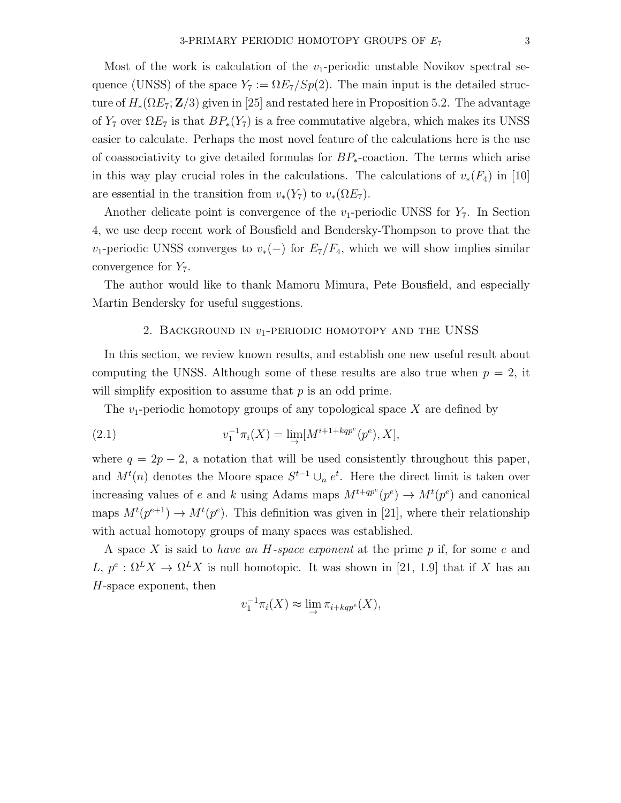Most of the work is calculation of the  $v_1$ -periodic unstable Novikov spectral sequence (UNSS) of the space  $Y_7 := \Omega E_7 / Sp(2)$ . The main input is the detailed structure of  $H_*(\Omega E_7; \mathbf{Z}/3)$  given in [25] and restated here in Proposition 5.2. The advantage of  $Y_7$  over  $\Omega E_7$  is that  $BP_*(Y_7)$  is a free commutative algebra, which makes its UNSS easier to calculate. Perhaps the most novel feature of the calculations here is the use of coassociativity to give detailed formulas for  $BP_*$ -coaction. The terms which arise in this way play crucial roles in the calculations. The calculations of  $v_*(F_4)$  in [10] are essential in the transition from  $v_*(Y_7)$  to  $v_*(\Omega E_7)$ .

Another delicate point is convergence of the  $v_1$ -periodic UNSS for  $Y_7$ . In Section 4, we use deep recent work of Bousfield and Bendersky-Thompson to prove that the  $v_1$ -periodic UNSS converges to  $v_*(-)$  for  $E_7/F_4$ , which we will show implies similar convergence for  $Y_7$ .

The author would like to thank Mamoru Mimura, Pete Bousfield, and especially Martin Bendersky for useful suggestions.

#### 2. BACKGROUND IN  $v_1$ -PERIODIC HOMOTOPY AND THE UNSS

In this section, we review known results, and establish one new useful result about computing the UNSS. Although some of these results are also true when  $p = 2$ , it will simplify exposition to assume that  $p$  is an odd prime.

The  $v_1$ -periodic homotopy groups of any topological space X are defined by

(2.1) 
$$
v_1^{-1} \pi_i(X) = \lim_{\to} [M^{i+1+kqp^e}(p^e), X],
$$

where  $q = 2p - 2$ , a notation that will be used consistently throughout this paper, and  $M^{t}(n)$  denotes the Moore space  $S^{t-1} \cup_n e^{t}$ . Here the direct limit is taken over increasing values of e and k using Adams maps  $M^{t+qp^e}(p^e) \to M^t(p^e)$  and canonical maps  $M^{t}(p^{e+1}) \to M^{t}(p^{e})$ . This definition was given in [21], where their relationship with actual homotopy groups of many spaces was established.

A space X is said to have an  $H$ -space exponent at the prime p if, for some e and L,  $p^e: \Omega^L X \to \Omega^L X$  is null homotopic. It was shown in [21, 1.9] that if X has an H-space exponent, then

$$
v_1^{-1}\pi_i(X) \approx \lim_{\to} \pi_{i+kqp^e}(X),
$$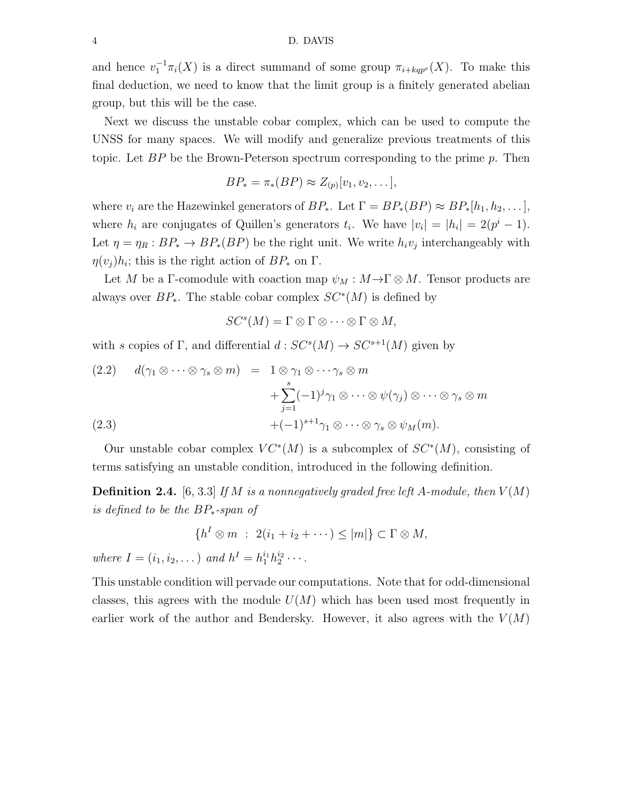and hence  $v_1^{-1}\pi_i(X)$  is a direct summand of some group  $\pi_{i+kqp^e}(X)$ . To make this final deduction, we need to know that the limit group is a finitely generated abelian group, but this will be the case.

Next we discuss the unstable cobar complex, which can be used to compute the UNSS for many spaces. We will modify and generalize previous treatments of this topic. Let  $BP$  be the Brown-Peterson spectrum corresponding to the prime p. Then

$$
BP_* = \pi_*(BP) \approx Z_{(p)}[v_1, v_2, \dots],
$$

where  $v_i$  are the Hazewinkel generators of  $BP_*$ . Let  $\Gamma = BP_*(BP) \approx BP_*[h_1, h_2, \ldots]$ , where  $h_i$  are conjugates of Quillen's generators  $t_i$ . We have  $|v_i| = |h_i| = 2(p^i - 1)$ . Let  $\eta = \eta_R : BP_* \to BP_*(BP)$  be the right unit. We write  $h_i v_j$  interchangeably with  $\eta(v_j)h_i$ ; this is the right action of  $BP_*$  on  $\Gamma$ .

Let M be a Γ-comodule with coaction map  $\psi_M : M \to \Gamma \otimes M$ . Tensor products are always over  $BP_*$ . The stable cobar complex  $SC^*(M)$  is defined by

$$
SC^{s}(M) = \Gamma \otimes \Gamma \otimes \cdots \otimes \Gamma \otimes M,
$$

with s copies of Γ, and differential  $d: SC^s(M) \to SC^{s+1}(M)$  given by

(2.2) 
$$
d(\gamma_1 \otimes \cdots \otimes \gamma_s \otimes m) = 1 \otimes \gamma_1 \otimes \cdots \gamma_s \otimes m
$$

$$
+ \sum_{j=1}^s (-1)^j \gamma_1 \otimes \cdots \otimes \psi(\gamma_j) \otimes \cdots \otimes \gamma_s \otimes m
$$

$$
(2.3) + (-1)^{s+1} \gamma_1 \otimes \cdots \otimes \gamma_s \otimes \psi_M(m).
$$

Our unstable cobar complex  $VC^*(M)$  is a subcomplex of  $SC^*(M)$ , consisting of terms satisfying an unstable condition, introduced in the following definition.

**Definition 2.4.** [6, 3.3] If M is a nonnegatively graded free left A-module, then  $V(M)$ is defined to be the BP∗-span of

$$
\{h^I \otimes m \; : \; 2(i_1 + i_2 + \cdots) \le |m|\} \subset \Gamma \otimes M,
$$

where  $I = (i_1, i_2, \dots)$  and  $h^I = h_1^{i_1} h_2^{i_2} \cdots$ .

This unstable condition will pervade our computations. Note that for odd-dimensional classes, this agrees with the module  $U(M)$  which has been used most frequently in earlier work of the author and Bendersky. However, it also agrees with the  $V(M)$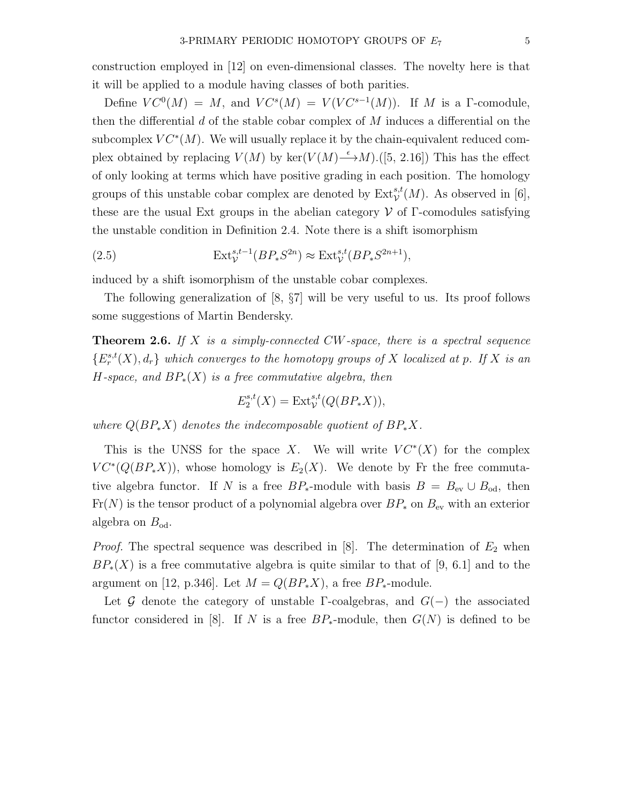construction employed in [12] on even-dimensional classes. The novelty here is that it will be applied to a module having classes of both parities.

Define  $VC^0(M) = M$ , and  $VC^s(M) = V(VC^{s-1}(M))$ . If M is a T-comodule, then the differential  $d$  of the stable cobar complex of  $M$  induces a differential on the subcomplex  $VC^*(M)$ . We will usually replace it by the chain-equivalent reduced complex obtained by replacing  $V(M)$  by ker $(V(M) \stackrel{\epsilon}{\longrightarrow} M)$ .([5, 2.16]) This has the effect of only looking at terms which have positive grading in each position. The homology groups of this unstable cobar complex are denoted by  $\text{Ext}^{s,t}_\mathcal{V}(M)$ . As observed in [6], these are the usual Ext groups in the abelian category  $\mathcal V$  of  $\Gamma$ -comodules satisfying the unstable condition in Definition 2.4. Note there is a shift isomorphism

(2.5) 
$$
\operatorname{Ext}^{s,t-1}_\mathcal{V}(BP_*S^{2n}) \approx \operatorname{Ext}^{s,t}_\mathcal{V}(BP_*S^{2n+1}),
$$

induced by a shift isomorphism of the unstable cobar complexes.

The following generalization of [8, §7] will be very useful to us. Its proof follows some suggestions of Martin Bendersky.

**Theorem 2.6.** If  $X$  is a simply-connected CW-space, there is a spectral sequence  $\{E_r^{s,t}(X), d_r\}$  which converges to the homotopy groups of X localized at p. If X is an H-space, and  $BP_*(X)$  is a free commutative algebra, then

$$
E_2^{s,t}(X) = \text{Ext}^{s,t}_\mathcal{V}(Q(BP_*X)),
$$

where  $Q(BP_*X)$  denotes the indecomposable quotient of  $BP_*X$ .

This is the UNSS for the space X. We will write  $VC^*(X)$  for the complex  $VC^*(Q(BP_*X))$ , whose homology is  $E_2(X)$ . We denote by Fr the free commutative algebra functor. If N is a free  $BP_*$ -module with basis  $B = B_{ev} \cup B_{od}$ , then  $Fr(N)$  is the tensor product of a polynomial algebra over  $BP_*$  on  $B_{ev}$  with an exterior algebra on  $B_{\text{od}}$ .

*Proof.* The spectral sequence was described in [8]. The determination of  $E_2$  when  $BP_*(X)$  is a free commutative algebra is quite similar to that of [9, 6.1] and to the argument on [12, p.346]. Let  $M = Q(BP_*X)$ , a free  $BP_*$ -module.

Let G denote the category of unstable Γ-coalgebras, and  $G(-)$  the associated functor considered in [8]. If N is a free  $BP_*$ -module, then  $G(N)$  is defined to be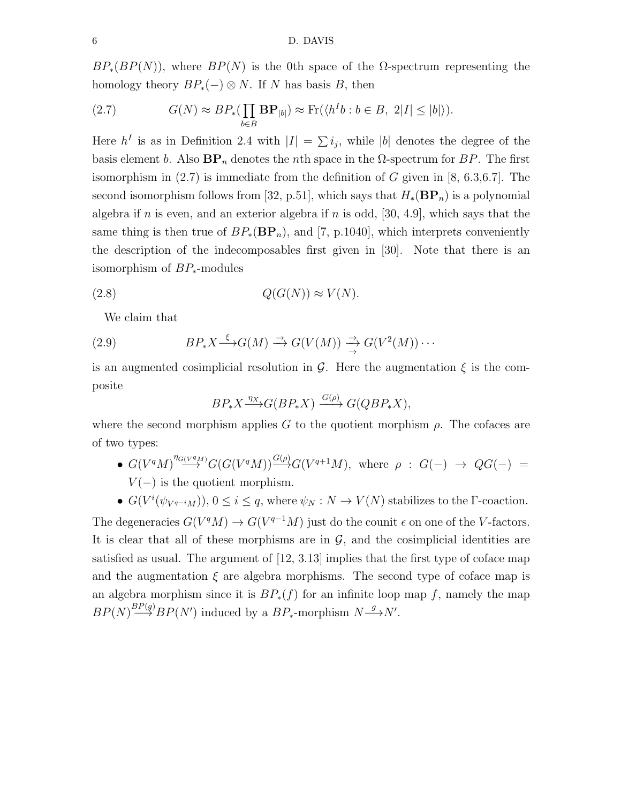$BP_*(BP(N))$ , where  $BP(N)$  is the 0th space of the  $\Omega$ -spectrum representing the homology theory  $BP_*(-)\otimes N$ . If N has basis B, then

(2.7) 
$$
G(N) \approx BP_*(\prod_{b \in B} \mathbf{BP}_{|b|}) \approx \text{Fr}(\langle h^Ib : b \in B, 2|I| \le |b| \rangle).
$$

Here  $h^I$  is as in Definition 2.4 with  $|I| = \sum i_j$ , while |b| denotes the degree of the basis element b. Also  $BP_n$  denotes the nth space in the  $\Omega$ -spectrum for BP. The first isomorphism in  $(2.7)$  is immediate from the definition of G given in [8, 6.3,6.7]. The second isomorphism follows from [32, p.51], which says that  $H_*(BP_n)$  is a polynomial algebra if n is even, and an exterior algebra if n is odd, [30, 4.9], which says that the same thing is then true of  $BP_*(BP_n)$ , and [7, p.1040], which interprets conveniently the description of the indecomposables first given in [30]. Note that there is an isomorphism of BP∗-modules

$$
(2.8) \tQ(G(N)) \approx V(N).
$$

We claim that

(2.9) 
$$
BP_*X \xrightarrow{\xi} G(M) \xrightarrow{\rightarrow} G(V(M)) \xrightarrow{\rightarrow} G(V^2(M)) \cdots
$$

is an augmented cosimplicial resolution in  $\mathcal G$ . Here the augmentation  $\xi$  is the composite

$$
BP_*X \xrightarrow{\eta_X} G(BP_*X) \xrightarrow{G(\rho)} G(QBP_*X),
$$

where the second morphism applies G to the quotient morphism  $\rho$ . The cofaces are of two types:

- $G(V^qM)^{n_G(vq_M)}G(G(V^qM))\xrightarrow{G(\rho)} G(V^{q+1}M)$ , where  $\rho: G(-) \rightarrow QG(-) =$  $V(-)$  is the quotient morphism.
- $G(V^{i}(\psi_{V^{q-i}M}))$ ,  $0 \leq i \leq q$ , where  $\psi_N : N \to V(N)$  stabilizes to the  $\Gamma$ -coaction.

The degeneracies  $G(V^qM) \to G(V^{q-1}M)$  just do the counit  $\epsilon$  on one of the V-factors. It is clear that all of these morphisms are in  $\mathcal{G}$ , and the cosimplicial identities are satisfied as usual. The argument of [12, 3.13] implies that the first type of coface map and the augmentation  $\xi$  are algebra morphisms. The second type of coface map is an algebra morphism since it is  $BP_*(f)$  for an infinite loop map f, namely the map  $BP(N) \stackrel{BP(g)}{\longrightarrow} BP(N')$  induced by a  $BP_*$ -morphism  $N \stackrel{g}{\longrightarrow} N'$ .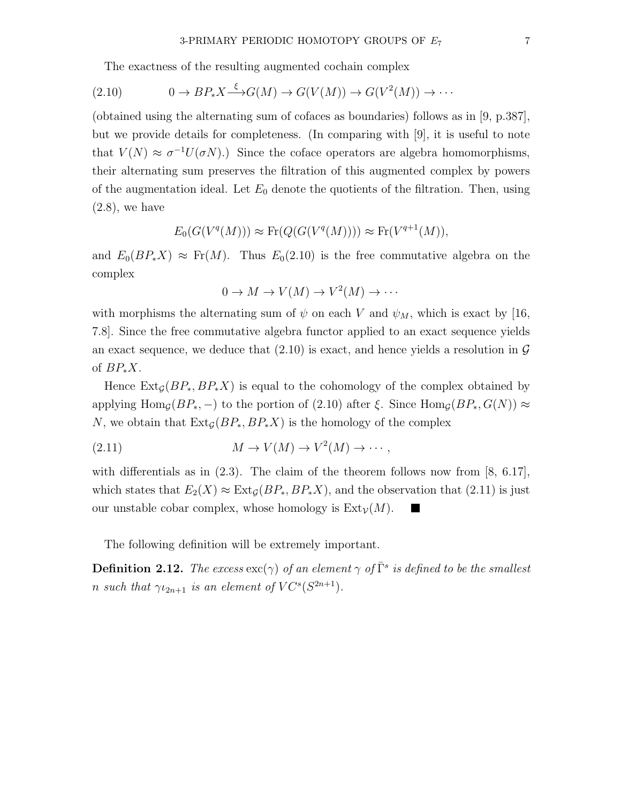The exactness of the resulting augmented cochain complex

$$
(2.10) \t 0 \to BP_*X \xrightarrow{\xi} G(M) \to G(V(M)) \to G(V^2(M)) \to \cdots
$$

(obtained using the alternating sum of cofaces as boundaries) follows as in [9, p.387], but we provide details for completeness. (In comparing with [9], it is useful to note that  $V(N) \approx \sigma^{-1} U(\sigma N)$ .) Since the coface operators are algebra homomorphisms, their alternating sum preserves the filtration of this augmented complex by powers of the augmentation ideal. Let  $E_0$  denote the quotients of the filtration. Then, using  $(2.8)$ , we have

$$
E_0(G(V^q(M))) \approx \text{Fr}(Q(G(V^q(M)))) \approx \text{Fr}(V^{q+1}(M)),
$$

and  $E_0(BP_*X) \approx Fr(M)$ . Thus  $E_0(2.10)$  is the free commutative algebra on the complex

$$
0 \to M \to V(M) \to V^2(M) \to \cdots
$$

with morphisms the alternating sum of  $\psi$  on each V and  $\psi_M$ , which is exact by [16, 7.8]. Since the free commutative algebra functor applied to an exact sequence yields an exact sequence, we deduce that  $(2.10)$  is exact, and hence yields a resolution in  $\mathcal G$ of  $BP_*X$ .

Hence  $\text{Ext}_{\mathcal{G}}(BP_*, BP_*X)$  is equal to the cohomology of the complex obtained by applying Hom<sub>G</sub>( $BP_*, -$ ) to the portion of (2.10) after  $\xi$ . Since Hom<sub>G</sub>( $BP_*, G(N)$ )  $\approx$ N, we obtain that  $\text{Ext}_G(BP_*, BP_*X)$  is the homology of the complex

$$
(2.11) \t\t\t M \to V(M) \to V^2(M) \to \cdots,
$$

with differentials as in  $(2.3)$ . The claim of the theorem follows now from [8, 6.17], which states that  $E_2(X) \approx \text{Ext}_{\mathcal{G}}(BP_*, BP_*X)$ , and the observation that (2.11) is just our unstable cobar complex, whose homology is  $Ext_V(M)$ .

The following definition will be extremely important.

**Definition 2.12.** The excess  $\text{exc}(\gamma)$  of an element  $\gamma$  of  $\overline{\Gamma}^s$  is defined to be the smallest *n* such that  $\gamma_{2n+1}$  is an element of  $VC^s(S^{2n+1})$ .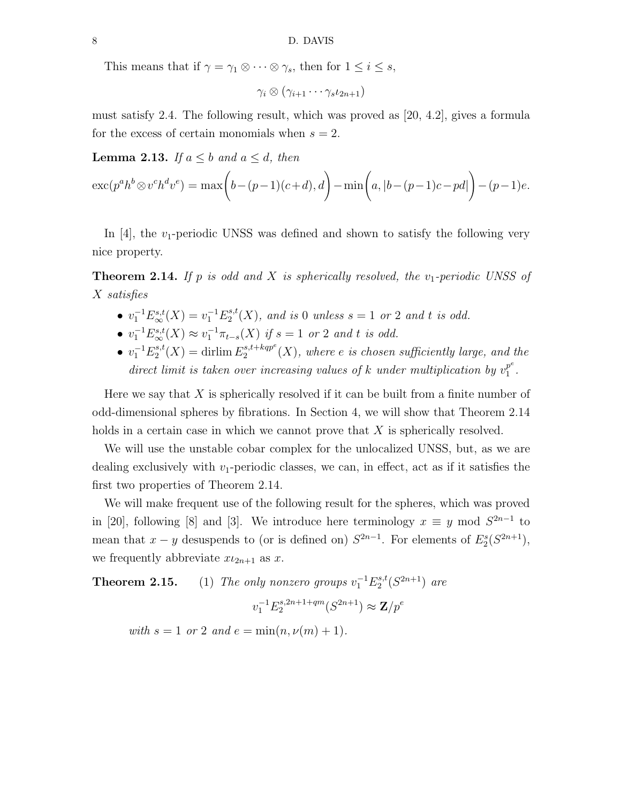This means that if  $\gamma = \gamma_1 \otimes \cdots \otimes \gamma_s$ , then for  $1 \leq i \leq s$ ,

 $\gamma_i \otimes (\gamma_{i+1} \cdots \gamma_s \iota_{2n+1})$ 

must satisfy 2.4. The following result, which was proved as [20, 4.2], gives a formula for the excess of certain monomials when  $s = 2$ .

**Lemma 2.13.** If  $a \leq b$  and  $a \leq d$ , then

$$
\mathrm{exc}(p^a h^b \otimes v^c h^d v^e) = \max(b - (p-1)(c+d), d) - \min(a, |b - (p-1)c - pd|) - (p-1)e.
$$

In  $[4]$ , the  $v_1$ -periodic UNSS was defined and shown to satisfy the following very nice property.

**Theorem 2.14.** If p is odd and X is spherically resolved, the  $v_1$ -periodic UNSS of X satisfies

- $v_1^{-1} E_{\infty}^{s,t}(X) = v_1^{-1} E_2^{s,t}$  $2^{s,t}(X)$ , and is 0 unless  $s = 1$  or 2 and t is odd.
- $v_1^{-1} E_{\infty}^{s,t}(X) \approx v_1^{-1} \pi_{t-s}(X)$  if  $s = 1$  or 2 and t is odd.
- $v_1^{-1}E_2^{s,t}$  $L_2^{s,t}(X) = \text{drlim } E_2^{s,t+kqp^e}$  $e_2^{s,t+kqp^{\circ}}(X)$ , where e is chosen sufficiently large, and the direct limit is taken over increasing values of k under multiplication by  $v_1^{p^e}$  $\frac{p}{1}$ .

Here we say that  $X$  is spherically resolved if it can be built from a finite number of odd-dimensional spheres by fibrations. In Section 4, we will show that Theorem 2.14 holds in a certain case in which we cannot prove that X is spherically resolved.

We will use the unstable cobar complex for the unlocalized UNSS, but, as we are dealing exclusively with  $v_1$ -periodic classes, we can, in effect, act as if it satisfies the first two properties of Theorem 2.14.

We will make frequent use of the following result for the spheres, which was proved in [20], following [8] and [3]. We introduce here terminology  $x \equiv y \mod S^{2n-1}$  to mean that  $x - y$  desuspends to (or is defined on)  $S^{2n-1}$ . For elements of  $E_2^s(S^{2n+1})$ , we frequently abbreviate  $x_{2n+1}$  as x.

**Theorem 2.15.** (1) The only nonzero groups  $v_1^{-1}E_2^{s,t}$  $i_2^{s,t}(S^{2n+1})$  are

$$
v_1^{-1} E_2^{s, 2n+1+qm}(S^{2n+1}) \approx \mathbf{Z}/p^e
$$

with  $s = 1$  or 2 and  $e = \min(n, \nu(m) + 1)$ .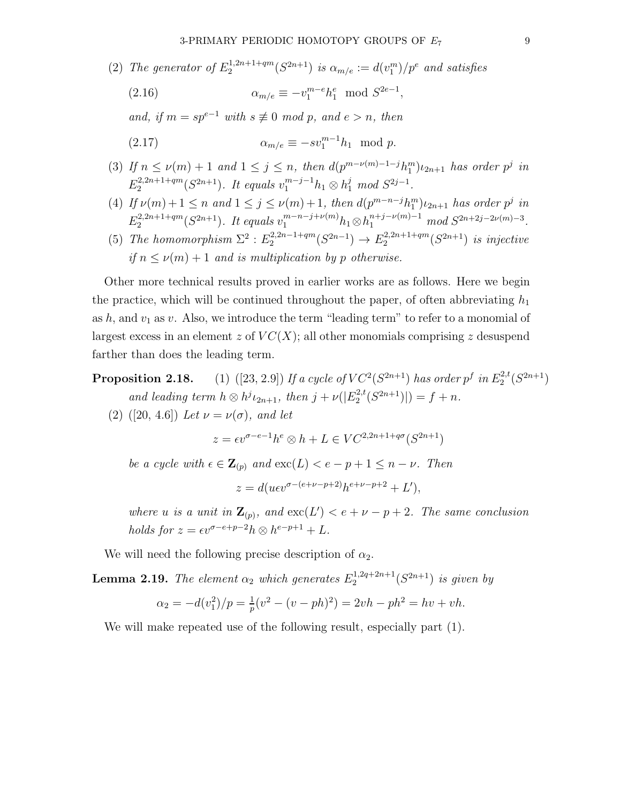(2) The generator of  $E_2^{1,2n+1+qm}$  $\alpha_2^{(1,2n+1+qm)}(S^{2n+1})$  is  $\alpha_{m/e} := d(v_1^m)/p^e$  and satisfies

(2.16) 
$$
\alpha_{m/e} \equiv -v_1^{m-e} h_1^e \mod S^{2e-1},
$$

and, if  $m = sp^{e-1}$  with  $s \not\equiv 0 \mod p$ , and  $e > n$ , then

αm/e ≡ −sv<sup>m</sup>−<sup>1</sup> (2.17) <sup>1</sup> h<sup>1</sup> mod p.

- (3) If  $n \leq \nu(m) + 1$  and  $1 \leq j \leq n$ , then  $d(p^{m-\nu(m)-1-j}h_1^m)\nu_{2n+1}$  has order  $p^j$  in  $E_2^{2,2n+1+qm}$  $2^{2,2n+1+qm}(S^{2n+1})$ . It equals  $v_1^{m-j-1}h_1 \otimes h_1^j \mod S^{2j-1}$ .
- (4) If  $\nu(m)+1 \leq n$  and  $1 \leq j \leq \nu(m)+1$ , then  $d(p^{m-n-j}h_1^m)\iota_{2n+1}$  has order  $p^j$  in  $E_2^{2,2n+1+qm}$  $2^{(2,2n+1+qm)}$  ( $S^{2n+1}$ ). It equals  $v_1^{m-n-j+\nu(m)}h_1\otimes h_1^{n+j-\nu(m)-1} \mod S^{2n+2j-2\nu(m)-3}$ .
- (5) The homomorphism  $\Sigma^2$ :  $E_2^{2,2n-1+qm}$  $2^{(2,2n-1+qm)}$  $(S^{2n-1}) \rightarrow E_2^{(2,2n+1+qm)}$  $2^{(2,2n+1+qm)}$  is injective if  $n \leq \nu(m) + 1$  and is multiplication by p otherwise.

Other more technical results proved in earlier works are as follows. Here we begin the practice, which will be continued throughout the paper, of often abbreviating  $h_1$ as h, and  $v_1$  as v. Also, we introduce the term "leading term" to refer to a monomial of largest excess in an element z of  $VC(X)$ ; all other monomials comprising z desuspend farther than does the leading term.

**Proposition 2.18.** (1) ([23, 2.9]) If a cycle of  $VC^2(S^{2n+1})$  has order  $p^f$  in  $E_2^{2,t}$  $2^{2,t}(S^{2n+1})$ and leading term  $h \otimes h^{j} \iota_{2n+1}$ , then  $j + \nu(|E_2^{2,t}|)$  $2^{2,t}(S^{2n+1})|) = f + n.$ 

(2) ([20, 4.6]) Let  $\nu = \nu(\sigma)$ , and let

$$
z = \epsilon v^{\sigma - e - 1} h^e \otimes h + L \in VC^{2,2n+1+q\sigma}(S^{2n+1})
$$

be a cycle with  $\epsilon \in \mathbf{Z}_{(p)}$  and  $\operatorname{exc}(L) < e - p + 1 \leq n - \nu$ . Then

$$
z = d(uev^{\sigma - (e + \nu - p + 2)}h^{e + \nu - p + 2} + L'),
$$

where u is a unit in  $\mathbf{Z}_{(p)}$ , and  $\operatorname{exc}(L') < e + \nu - p + 2$ . The same conclusion holds for  $z = \epsilon v^{\sigma - e + p - 2} h \otimes h^{e - p + 1} + L$ .

We will need the following precise description of  $\alpha_2$ .

**Lemma 2.19.** The element  $\alpha_2$  which generates  $E_2^{1,2q+2n+1}$  $2^{(1,2q+2n+1)}(S^{2n+1})$  is given by

$$
\alpha_2 = -d(v_1^2)/p = \frac{1}{p}(v^2 - (v - ph)^2) = 2vh - ph^2 = hv + vh.
$$

We will make repeated use of the following result, especially part (1).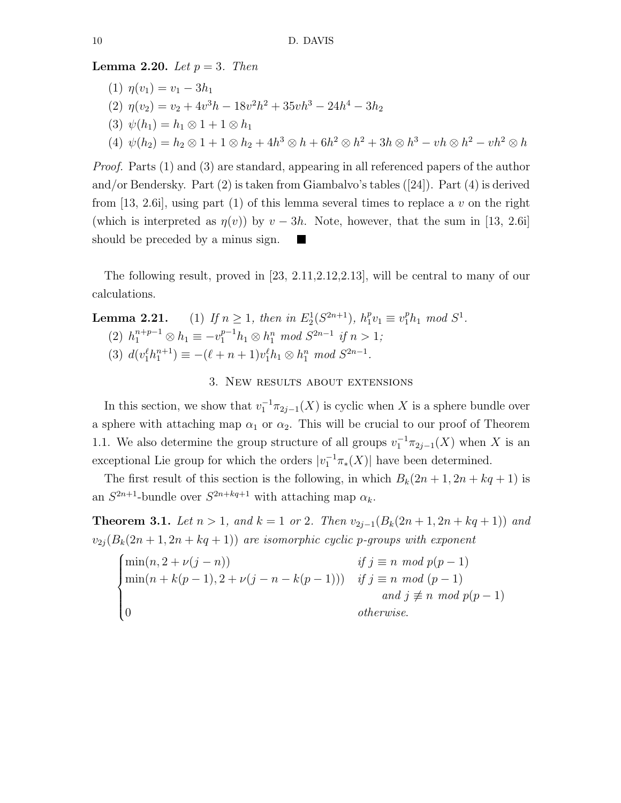**Lemma 2.20.** Let  $p = 3$ . Then

(1) 
$$
\eta(v_1) = v_1 - 3h_1
$$
  
\n(2)  $\eta(v_2) = v_2 + 4v^3h - 18v^2h^2 + 35vh^3 - 24h^4 - 3h_2$   
\n(3)  $\psi(h_1) = h_1 \otimes 1 + 1 \otimes h_1$   
\n(4)  $\psi(h_2) = h_2 \otimes 1 + 1 \otimes h_2 + 4h^3 \otimes h + 6h^2 \otimes h^2 + 3h \otimes h^3 - vh \otimes h^2 - vh^2 \otimes h$ 

Proof. Parts (1) and (3) are standard, appearing in all referenced papers of the author and/or Bendersky. Part (2) is taken from Giambalvo's tables ([24]). Part (4) is derived from [13, 2.6i], using part (1) of this lemma several times to replace a v on the right (which is interpreted as  $\eta(v)$ ) by  $v - 3h$ . Note, however, that the sum in [13, 2.6i] should be preceded by a minus sign. **The State** 

The following result, proved in [23, 2.11,2.12,2.13], will be central to many of our calculations.

# **Lemma 2.21.** (1) If  $n \ge 1$ , then in  $E_2^1(S^{2n+1})$ ,  $h_1^p v_1 \equiv v_1^p h_1 \mod S^1$ . (2)  $h_1^{n+p-1} \otimes h_1 \equiv -v_1^{p-1}h_1 \otimes h_1^n \mod S^{2n-1}$  if  $n > 1$ ; (3)  $d(v_1^{\ell}h_1^{n+1}) \equiv -(\ell+n+1)v_1^{\ell}h_1 \otimes h_1^n \mod S^{2n-1}.$

## 3. New results about extensions

In this section, we show that  $v_1^{-1}\pi_{2j-1}(X)$  is cyclic when X is a sphere bundle over a sphere with attaching map  $\alpha_1$  or  $\alpha_2$ . This will be crucial to our proof of Theorem 1.1. We also determine the group structure of all groups  $v_1^{-1}\pi_{2j-1}(X)$  when X is an exceptional Lie group for which the orders  $|v_1^{-1}\pi_*(X)|$  have been determined.

The first result of this section is the following, in which  $B_k(2n+1, 2n+kq+1)$  is an  $S^{2n+1}$ -bundle over  $S^{2n+kq+1}$  with attaching map  $\alpha_k$ .

Theorem 3.1. Let  $n > 1$ , and  $k = 1$  or 2. Then  $v_{2j-1}(B_k(2n+1, 2n+kq+1))$  and  $v_{2j}(B_k(2n+1, 2n+kq+1))$  are isomorphic cyclic p-groups with exponent

$$
\begin{cases}\n\min(n, 2 + \nu(j - n)) & \text{if } j \equiv n \mod p(p - 1) \\
\min(n + k(p - 1), 2 + \nu(j - n - k(p - 1))) & \text{if } j \equiv n \mod (p - 1) \\
\text{and } j \not\equiv n \mod p(p - 1) \\
0 & \text{otherwise.} \n\end{cases}
$$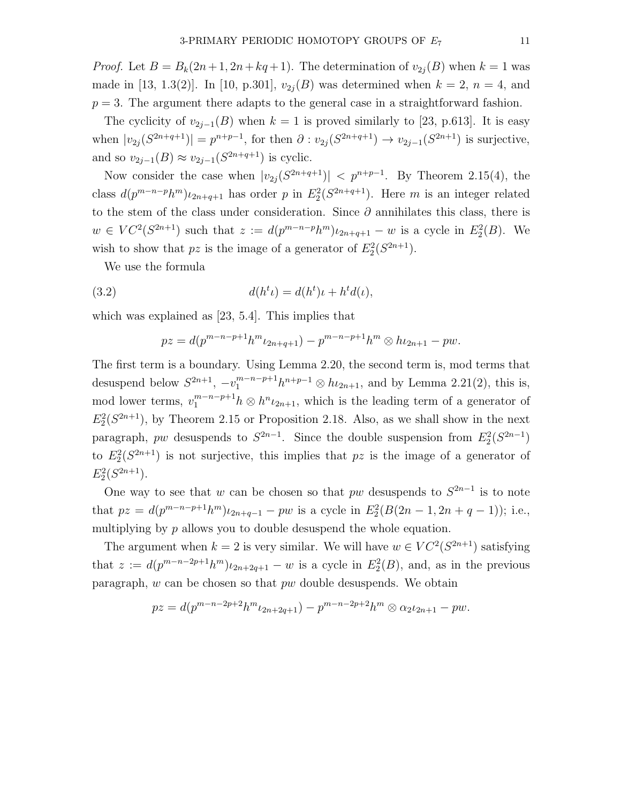*Proof.* Let  $B = B_k(2n+1, 2n+kq+1)$ . The determination of  $v_{2i}(B)$  when  $k = 1$  was made in [13, 1.3(2)]. In [10, p.301],  $v_{2j}(B)$  was determined when  $k = 2$ ,  $n = 4$ , and  $p = 3$ . The argument there adapts to the general case in a straightforward fashion.

The cyclicity of  $v_{2i-1}(B)$  when  $k = 1$  is proved similarly to [23, p.613]. It is easy when  $|v_{2j}(S^{2n+q+1})| = p^{n+p-1}$ , for then  $\partial : v_{2j}(S^{2n+q+1}) \to v_{2j-1}(S^{2n+1})$  is surjective, and so  $v_{2j-1}(B) \approx v_{2j-1}(S^{2n+q+1})$  is cyclic.

Now consider the case when  $|v_{2j}(S^{2n+q+1})| < p^{n+p-1}$ . By Theorem 2.15(4), the class  $d(p^{m-n-p}h^m)\iota_{2n+q+1}$  has order p in  $E_2^2(S^{2n+q+1})$ . Here m is an integer related to the stem of the class under consideration. Since  $\partial$  annihilates this class, there is  $w \in VC^2(S^{2n+1})$  such that  $z := d(p^{m-n-p}h^m)\iota_{2n+q+1} - w$  is a cycle in  $E_2^2(B)$ . We wish to show that  $pz$  is the image of a generator of  $E_2^2(S^{2n+1})$ .

We use the formula

(3.2) 
$$
d(h^t \iota) = d(h^t)\iota + h^t d(\iota),
$$

which was explained as [23, 5.4]. This implies that

$$
pz = d(p^{m-n-p+1}h^m \iota_{2n+q+1}) - p^{m-n-p+1}h^m \otimes h \iota_{2n+1} - pw.
$$

The first term is a boundary. Using Lemma 2.20, the second term is, mod terms that desuspend below  $S^{2n+1}$ ,  $-v_1^{m-n-p+1}h^{n+p-1} \otimes h_{2n+1}$ , and by Lemma 2.21(2), this is, mod lower terms,  $v_1^{m-n-p+1}h \otimes h^n \iota_{2n+1}$ , which is the leading term of a generator of  $E_2^2(S^{2n+1})$ , by Theorem 2.15 or Proposition 2.18. Also, as we shall show in the next paragraph, pw desuspends to  $S^{2n-1}$ . Since the double suspension from  $E_2^2(S^{2n-1})$ to  $E_2^2(S^{2n+1})$  is not surjective, this implies that pz is the image of a generator of  $E_2^2(S^{2n+1}).$ 

One way to see that w can be chosen so that pw desuspends to  $S^{2n-1}$  is to note that  $pz = d(p^{m-n-p+1}h^m)\iota_{2n+q-1} - pw$  is a cycle in  $E_2^2(B(2n-1, 2n+q-1));$  i.e., multiplying by p allows you to double desuspend the whole equation.

The argument when  $k = 2$  is very similar. We will have  $w \in VC^2(S^{2n+1})$  satisfying that  $z := d(p^{m-n-2p+1}h^m)\iota_{2n+2q+1} - w$  is a cycle in  $E_2^2(B)$ , and, as in the previous paragraph, w can be chosen so that pw double desuspends. We obtain

$$
pz = d(p^{m-n-2p+2}h^m \iota_{2n+2q+1}) - p^{m-n-2p+2}h^m \otimes \alpha_2 \iota_{2n+1} - pw.
$$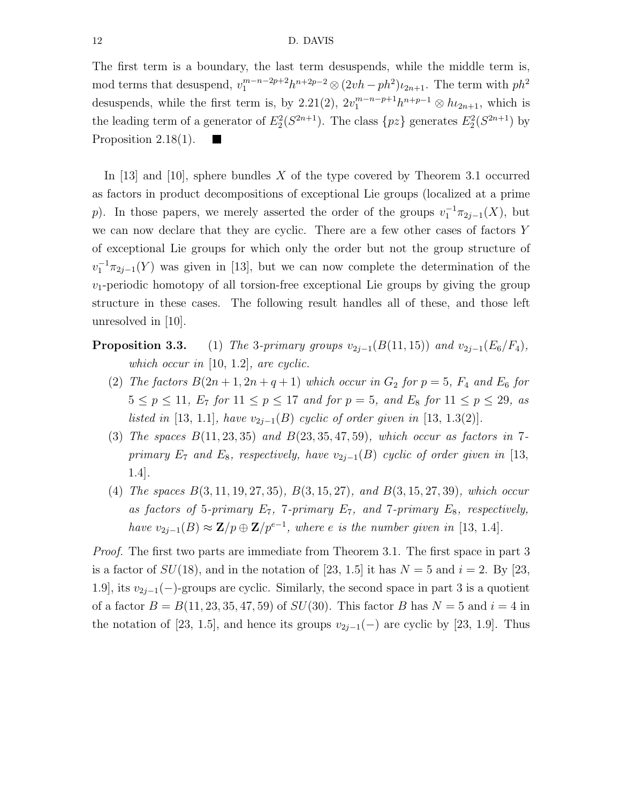#### 12 D. DAVIS

The first term is a boundary, the last term desuspends, while the middle term is, mod terms that desuspend,  $v_1^{m-n-2p+2}h^{n+2p-2} \otimes (2vh - ph^2)\iota_{2n+1}$ . The term with  $ph^2$ desuspends, while the first term is, by 2.21(2),  $2v_1^{m-n-p+1}h^{n+p-1} \otimes h_{2n+1}$ , which is the leading term of a generator of  $E_2^2(S^{2n+1})$ . The class  $\{pz\}$  generates  $E_2^2(S^{2n+1})$  by Proposition 2.18(1).

In [13] and [10], sphere bundles X of the type covered by Theorem 3.1 occurred as factors in product decompositions of exceptional Lie groups (localized at a prime p). In those papers, we merely asserted the order of the groups  $v_1^{-1}\pi_{2j-1}(X)$ , but we can now declare that they are cyclic. There are a few other cases of factors Y of exceptional Lie groups for which only the order but not the group structure of  $v_1^{-1}\pi_{2j-1}(Y)$  was given in [13], but we can now complete the determination of the  $v_1$ -periodic homotopy of all torsion-free exceptional Lie groups by giving the group structure in these cases. The following result handles all of these, and those left unresolved in [10].

- **Proposition 3.3.** (1) The 3-primary groups  $v_{2j-1}(B(11, 15))$  and  $v_{2j-1}(E_6/F_4)$ , which occur in [10, 1.2], are cyclic.
	- (2) The factors  $B(2n+1, 2n+q+1)$  which occur in  $G_2$  for  $p=5$ ,  $F_4$  and  $E_6$  for  $5 \le p \le 11$ ,  $E_7$  for  $11 \le p \le 17$  and for  $p = 5$ , and  $E_8$  for  $11 \le p \le 29$ , as listed in [13, 1.1], have  $v_{2i-1}(B)$  cyclic of order given in [13, 1.3(2)].
	- (3) The spaces  $B(11, 23, 35)$  and  $B(23, 35, 47, 59)$ , which occur as factors in 7primary  $E_7$  and  $E_8$ , respectively, have  $v_{2j-1}(B)$  cyclic of order given in [13, 1.4].
	- (4) The spaces B(3, 11, 19, 27, 35), B(3, 15, 27), and B(3, 15, 27, 39), which occur as factors of 5-primary  $E_7$ , 7-primary  $E_7$ , and 7-primary  $E_8$ , respectively, have  $v_{2j-1}(B) \approx \mathbf{Z}/p \oplus \mathbf{Z}/p^{e-1}$ , where e is the number given in [13, 1.4].

Proof. The first two parts are immediate from Theorem 3.1. The first space in part 3 is a factor of  $SU(18)$ , and in the notation of [23, 1.5] it has  $N = 5$  and  $i = 2$ . By [23, 1.9], its  $v_{2j-1}(-)$ -groups are cyclic. Similarly, the second space in part 3 is a quotient of a factor  $B = B(11, 23, 35, 47, 59)$  of  $SU(30)$ . This factor B has  $N = 5$  and  $i = 4$  in the notation of [23, 1.5], and hence its groups  $v_{2i-1}(-)$  are cyclic by [23, 1.9]. Thus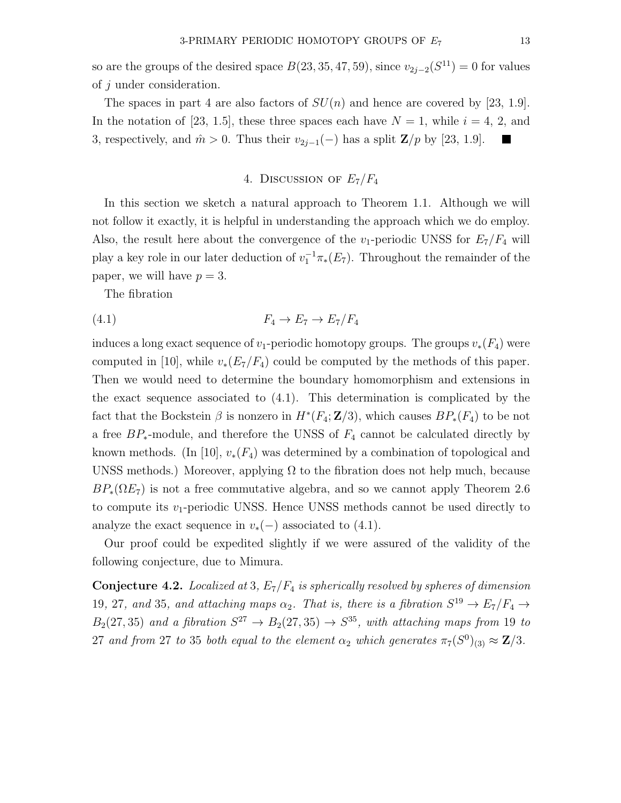so are the groups of the desired space  $B(23, 35, 47, 59)$ , since  $v_{2j-2}(S^{11}) = 0$  for values of j under consideration.

The spaces in part 4 are also factors of  $SU(n)$  and hence are covered by [23, 1.9]. In the notation of [23, 1.5], these three spaces each have  $N = 1$ , while  $i = 4, 2$ , and 3, respectively, and  $\hat{m} > 0$ . Thus their  $v_{2j-1}(-)$  has a split  $\mathbb{Z}/p$  by [23, 1.9].  $\blacksquare$ 

## 4. DISCUSSION OF  $E_7/F_4$

In this section we sketch a natural approach to Theorem 1.1. Although we will not follow it exactly, it is helpful in understanding the approach which we do employ. Also, the result here about the convergence of the  $v_1$ -periodic UNSS for  $E_7/F_4$  will play a key role in our later deduction of  $v_1^{-1}\pi_*(E_7)$ . Throughout the remainder of the paper, we will have  $p = 3$ .

The fibration

$$
(4.1) \t\t F_4 \to E_7 \to E_7/F_4
$$

induces a long exact sequence of  $v_1$ -periodic homotopy groups. The groups  $v_*(F_4)$  were computed in [10], while  $v_*(E_7/F_4)$  could be computed by the methods of this paper. Then we would need to determine the boundary homomorphism and extensions in the exact sequence associated to (4.1). This determination is complicated by the fact that the Bockstein  $\beta$  is nonzero in  $H^*(F_4; \mathbf{Z}/3)$ , which causes  $BP_*(F_4)$  to be not a free  $BP_*$ -module, and therefore the UNSS of  $F_4$  cannot be calculated directly by known methods. (In [10],  $v_*(F_4)$  was determined by a combination of topological and UNSS methods.) Moreover, applying  $\Omega$  to the fibration does not help much, because  $BP_*(\Omega E_7)$  is not a free commutative algebra, and so we cannot apply Theorem 2.6 to compute its  $v_1$ -periodic UNSS. Hence UNSS methods cannot be used directly to analyze the exact sequence in  $v*(-)$  associated to (4.1).

Our proof could be expedited slightly if we were assured of the validity of the following conjecture, due to Mimura.

**Conjecture 4.2.** Localized at 3,  $E_7/F_4$  is spherically resolved by spheres of dimension 19, 27, and 35, and attaching maps  $\alpha_2$ . That is, there is a fibration  $S^{19} \to E_7/F_4 \to$  $B_2(27,35)$  and a fibration  $S^{27} \rightarrow B_2(27,35) \rightarrow S^{35}$ , with attaching maps from 19 to 27 and from 27 to 35 both equal to the element  $\alpha_2$  which generates  $\pi_7(S^0)_{(3)} \approx \mathbf{Z}/3$ .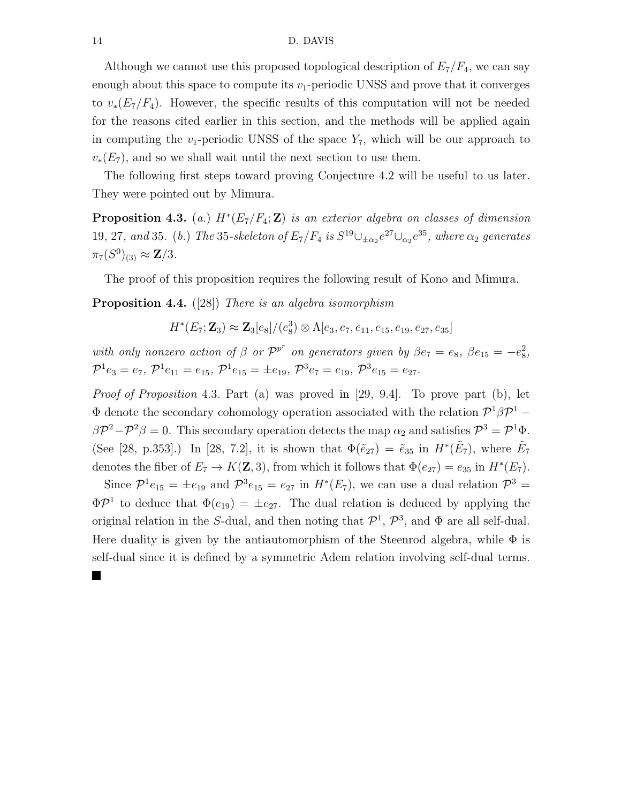Although we cannot use this proposed topological description of  $E_7/F_4$ , we can say enough about this space to compute its  $v_1$ -periodic UNSS and prove that it converges to  $v_*(E_7/F_4)$ . However, the specific results of this computation will not be needed for the reasons cited earlier in this section, and the methods will be applied again in computing the  $v_1$ -periodic UNSS of the space  $Y_7$ , which will be our approach to  $v_*(E_7)$ , and so we shall wait until the next section to use them.

The following first steps toward proving Conjecture 4.2 will be useful to us later. They were pointed out by Mimura.

**Proposition 4.3.** (a.)  $H^*(E_7/F_4; \mathbb{Z})$  is an exterior algebra on classes of dimension 19, 27, and 35. (b.) The 35-skeleton of  $E_7/F_4$  is  $S^{19}\cup_{\pm\alpha_2}e^{27}\cup_{\alpha_2}e^{35}$ , where  $\alpha_2$  generates  $\pi_7(S^0)_{(3)} \approx {\bf Z}/3.$ 

The proof of this proposition requires the following result of Kono and Mimura.

Proposition 4.4. ([28]) There is an algebra isomorphism

 $H^*(E_7; \mathbf{Z}_3) \approx \mathbf{Z}_3[e_8]/(e_8^3) \otimes \Lambda[e_3, e_7, e_{11}, e_{15}, e_{19}, e_{27}, e_{35}]$ 

with only nonzero action of  $\beta$  or  $\mathcal{P}^{p^r}$  on generators given by  $\beta e_7 = e_8$ ,  $\beta e_{15} = -e_8^2$ ,  $\mathcal{P}^1e_3 = e_7, \ \mathcal{P}^1e_{11} = e_{15}, \ \mathcal{P}^1e_{15} = \pm e_{19}, \ \mathcal{P}^3e_7 = e_{19}, \ \mathcal{P}^3e_{15} = e_{27}.$ 

*Proof of Proposition* 4.3. Part (a) was proved in [29, 9.4]. To prove part (b), let  $\Phi$  denote the secondary cohomology operation associated with the relation  $\mathcal{P}^1\beta\mathcal{P}^1$  –  $\beta \mathcal{P}^2 - \mathcal{P}^2 \beta = 0$ . This secondary operation detects the map  $\alpha_2$  and satisfies  $\mathcal{P}^3 = \mathcal{P}^1 \Phi$ . (See [28, p.353].) In [28, 7.2], it is shown that  $\Phi(\tilde{e}_{27}) = \tilde{e}_{35}$  in  $H^*(\tilde{E}_7)$ , where  $\tilde{E}_7$ denotes the fiber of  $E_7 \to K(\mathbf{Z}, 3)$ , from which it follows that  $\Phi(e_{27}) = e_{35}$  in  $H^*(E_7)$ .

Since  $\mathcal{P}^1e_{15} = \pm e_{19}$  and  $\mathcal{P}^3e_{15} = e_{27}$  in  $H^*(E_7)$ , we can use a dual relation  $\mathcal{P}^3 =$  $\Phi P^1$  to deduce that  $\Phi(e_{19}) = \pm e_{27}$ . The dual relation is deduced by applying the original relation in the S-dual, and then noting that  $\mathcal{P}^1$ ,  $\mathcal{P}^3$ , and  $\Phi$  are all self-dual. Here duality is given by the antiautomorphism of the Steenrod algebra, while  $\Phi$  is self-dual since it is defined by a symmetric Adem relation involving self-dual terms.

 $\blacksquare$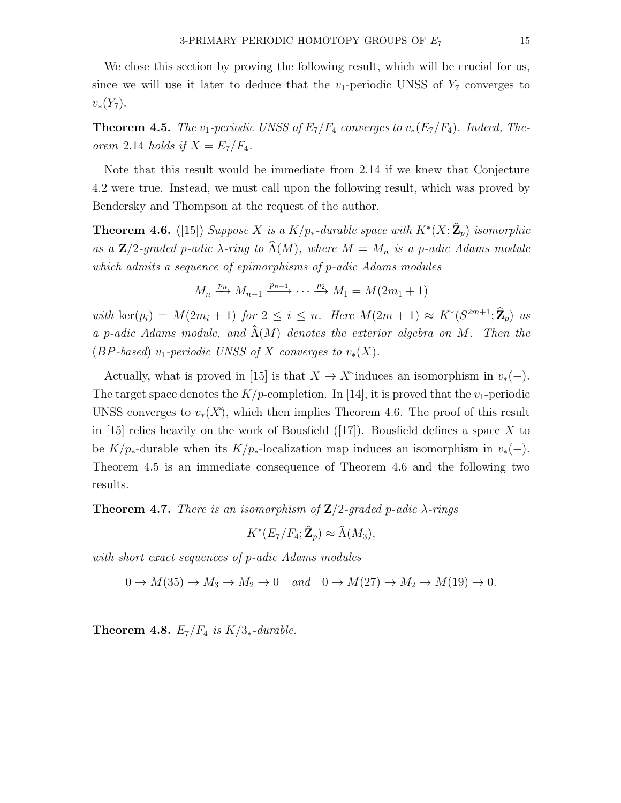We close this section by proving the following result, which will be crucial for us, since we will use it later to deduce that the  $v_1$ -periodic UNSS of  $Y_7$  converges to  $v_*(Y_7)$ .

**Theorem 4.5.** The v<sub>1</sub>-periodic UNSS of  $E_7/F_4$  converges to  $v_*(E_7/F_4)$ . Indeed, Theorem 2.14 holds if  $X = E_7/F_4$ .

Note that this result would be immediate from 2.14 if we knew that Conjecture 4.2 were true. Instead, we must call upon the following result, which was proved by Bendersky and Thompson at the request of the author.

**Theorem 4.6.** ([15]) Suppose X is a K/p<sub>\*</sub>-durable space with  $K^*(X;\mathbf{\hat{Z}}_p)$  isomorphic as a  $\mathbb{Z}/2$ -graded p-adic  $\lambda$ -ring to  $\widehat{\Lambda}(M)$ , where  $M = M_n$  is a p-adic Adams module which admits a sequence of epimorphisms of p-adic Adams modules

$$
M_n \xrightarrow{p_n} M_{n-1} \xrightarrow{p_{n-1}} \cdots \xrightarrow{p_2} M_1 = M(2m_1 + 1)
$$

with  $\ker(p_i) = M(2m_i + 1)$  for  $2 \leq i \leq n$ . Here  $M(2m + 1) \approx K^*(S^{2m+1}; \mathbf{Z}_p)$  as a p-adic Adams module, and  $\widehat{\Lambda}(M)$  denotes the exterior algebra on M. Then the (BP-based) v<sub>1</sub>-periodic UNSS of X converges to  $v_*(X)$ .

Actually, what is proved in [15] is that  $X \to X$ <sup>o</sup>induces an isomorphism in  $v_*(-)$ . The target space denotes the  $K/p$ -completion. In [14], it is proved that the  $v_1$ -periodic UNSS converges to  $v_*(X)$ , which then implies Theorem 4.6. The proof of this result in [15] relies heavily on the work of Bousfield ([17]). Bousfield defines a space X to be  $K/p_*$ -durable when its  $K/p_*$ -localization map induces an isomorphism in  $v_*(-)$ . Theorem 4.5 is an immediate consequence of Theorem 4.6 and the following two results.

**Theorem 4.7.** There is an isomorphism of  $\mathbb{Z}/2$ -graded p-adic  $\lambda$ -rings

$$
K^*(E_7/F_4; \hat{\mathbf{Z}}_p) \approx \hat{\Lambda}(M_3),
$$

with short exact sequences of p-adic Adams modules

 $0 \to M(35) \to M_3 \to M_2 \to 0$  and  $0 \to M(27) \to M_2 \to M(19) \to 0$ .

Theorem 4.8.  $E_7/F_4$  is  $K/3_*$ -durable.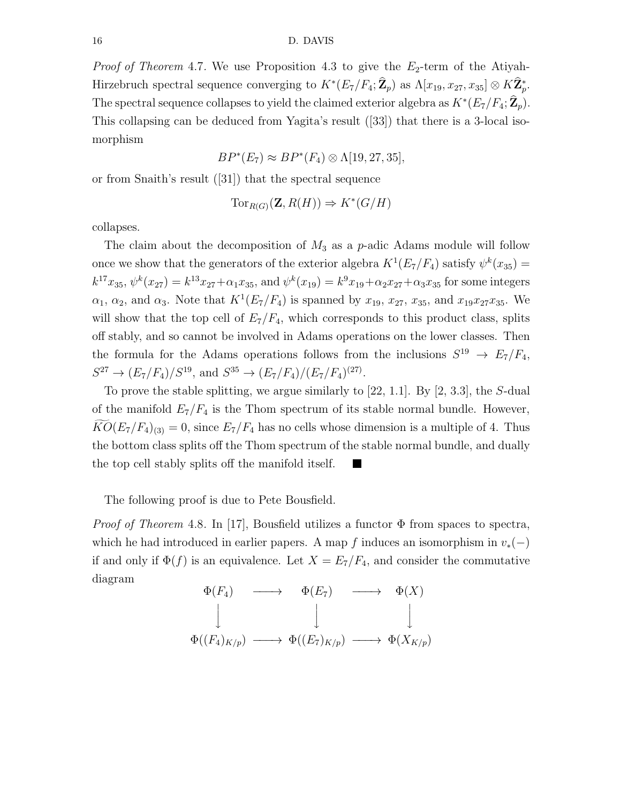*Proof of Theorem 4.7.* We use Proposition 4.3 to give the  $E_2$ -term of the Atiyah-Hirzebruch spectral sequence converging to  $K^*(E_7/F_4; \mathbb{Z}_p)$  as  $\Lambda[x_{19}, x_{27}, x_{35}] \otimes K\mathbb{Z}_p^*$ . The spectral sequence collapses to yield the claimed exterior algebra as  $K^*(E_7/F_4; \hat{\mathbb{Z}}_p)$ . This collapsing can be deduced from Yagita's result ([33]) that there is a 3-local isomorphism

$$
BP^*(E_7) \approx BP^*(F_4) \otimes \Lambda[19, 27, 35],
$$

or from Snaith's result ([31]) that the spectral sequence

$$
\text{Tor}_{R(G)}(\mathbf{Z}, R(H)) \Rightarrow K^*(G/H)
$$

collapses.

The claim about the decomposition of  $M_3$  as a p-adic Adams module will follow once we show that the generators of the exterior algebra  $K^1(E_7/F_4)$  satisfy  $\psi^k(x_{35}) =$  $k^{17}x_{35}, \psi^k(x_{27}) = k^{13}x_{27} + \alpha_1x_{35}$ , and  $\psi^k(x_{19}) = k^9x_{19} + \alpha_2x_{27} + \alpha_3x_{35}$  for some integers  $\alpha_1, \alpha_2$ , and  $\alpha_3$ . Note that  $K^1(E_7/F_4)$  is spanned by  $x_{19}, x_{27}, x_{35}$ , and  $x_{19}x_{27}x_{35}$ . We will show that the top cell of  $E_7/F_4$ , which corresponds to this product class, splits off stably, and so cannot be involved in Adams operations on the lower classes. Then the formula for the Adams operations follows from the inclusions  $S^{19} \rightarrow E_7/F_4$ ,  $S^{27} \to (E_7/F_4)/S^{19}$ , and  $S^{35} \to (E_7/F_4)/(E_7/F_4)^{(27)}$ .

To prove the stable splitting, we argue similarly to  $[22, 1.1]$ . By  $[2, 3.3]$ , the S-dual of the manifold  $E_7/F_4$  is the Thom spectrum of its stable normal bundle. However,  $KO(E_7/F_4)_{(3)} = 0$ , since  $E_7/F_4$  has no cells whose dimension is a multiple of 4. Thus the bottom class splits off the Thom spectrum of the stable normal bundle, and dually the top cell stably splits off the manifold itself. **I** 

The following proof is due to Pete Bousfield.

*Proof of Theorem* 4.8. In [17], Bousfield utilizes a functor  $\Phi$  from spaces to spectra, which he had introduced in earlier papers. A map f induces an isomorphism in  $v_*(-)$ if and only if  $\Phi(f)$  is an equivalence. Let  $X = E_7/F_4$ , and consider the commutative diagram

$$
\Phi(F_4) \longrightarrow \Phi(E_7) \longrightarrow \Phi(X)
$$
  
\n
$$
\downarrow \qquad \qquad \downarrow \qquad \qquad \downarrow
$$
  
\n
$$
\Phi((F_4)_{K/p}) \longrightarrow \Phi((E_7)_{K/p}) \longrightarrow \Phi(X_{K/p})
$$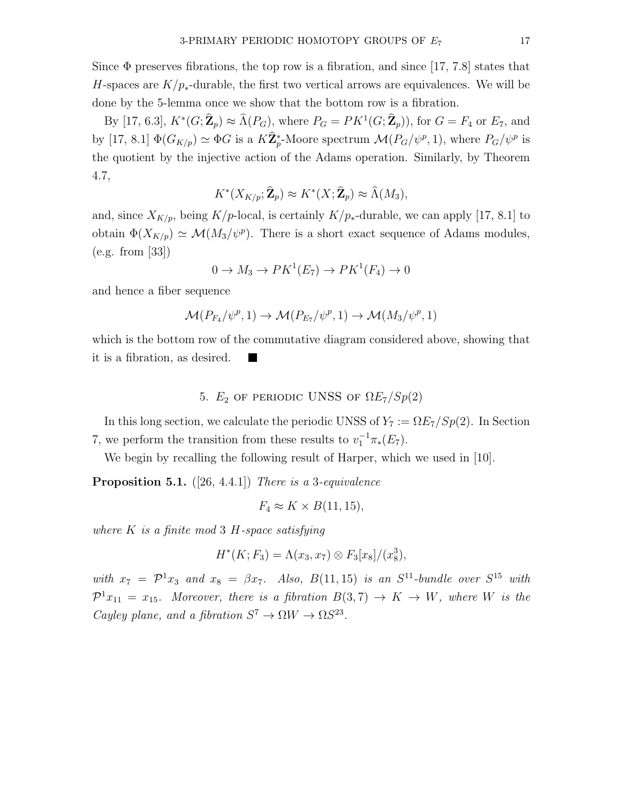Since  $\Phi$  preserves fibrations, the top row is a fibration, and since [17, 7.8] states that H-spaces are  $K/p_*$ -durable, the first two vertical arrows are equivalences. We will be done by the 5-lemma once we show that the bottom row is a fibration.

By [17, 6.3],  $K^*(G; \hat{\mathbb{Z}}_p) \approx \hat{\Lambda}(P_G)$ , where  $P_G = PK^1(G; \hat{\mathbb{Z}}_p)$ , for  $G = F_4$  or  $E_7$ , and by [17, 8.1]  $\Phi(G_{K/p}) \simeq \Phi G$  is a  $K\hat{\mathbb{Z}}_p^*$ -Moore spectrum  $\mathcal{M}(P_G/\psi^p, 1)$ , where  $P_G/\psi^p$  is the quotient by the injective action of the Adams operation. Similarly, by Theorem 4.7,

$$
K^*(X_{K/p}; \hat{\mathbf{Z}}_p) \approx K^*(X; \hat{\mathbf{Z}}_p) \approx \hat{\Lambda}(M_3),
$$

and, since  $X_{K/p}$ , being K/p-local, is certainly K/p<sub>\*</sub>-durable, we can apply [17, 8.1] to obtain  $\Phi(X_{K/p}) \simeq \mathcal{M}(M_3/\psi^p)$ . There is a short exact sequence of Adams modules, (e.g. from [33])

$$
0 \to M_3 \to PK^1(E_7) \to PK^1(F_4) \to 0
$$

and hence a fiber sequence

$$
\mathcal{M}(P_{F_4}/\psi^p, 1) \to \mathcal{M}(P_{E_7}/\psi^p, 1) \to \mathcal{M}(M_3/\psi^p, 1)
$$

which is the bottom row of the commutative diagram considered above, showing that it is a fibration, as desired.

## 5.  $E_2$  of periodic UNSS of  $\Omega E_7/Sp(2)$

In this long section, we calculate the periodic UNSS of  $Y_7 := \Omega E_7/Sp(2)$ . In Section 7, we perform the transition from these results to  $v_1^{-1}\pi_*(E_7)$ .

We begin by recalling the following result of Harper, which we used in [10].

**Proposition 5.1.** ([26, 4.4.1]) There is a 3-equivalence

$$
F_4 \approx K \times B(11, 15),
$$

where  $K$  is a finite mod 3 H-space satisfying

$$
H^*(K; F_3) = \Lambda(x_3, x_7) \otimes F_3[x_8]/(x_8^3),
$$

with  $x_7 = \mathcal{P}^1 x_3$  and  $x_8 = \beta x_7$ . Also,  $B(11, 15)$  is an  $S^{11}$ -bundle over  $S^{15}$  with  $\mathcal{P}^1x_{11} = x_{15}$ . Moreover, there is a fibration  $B(3,7) \rightarrow K \rightarrow W$ , where W is the Cayley plane, and a fibration  $S^7 \to \Omega W \to \Omega S^{23}$ .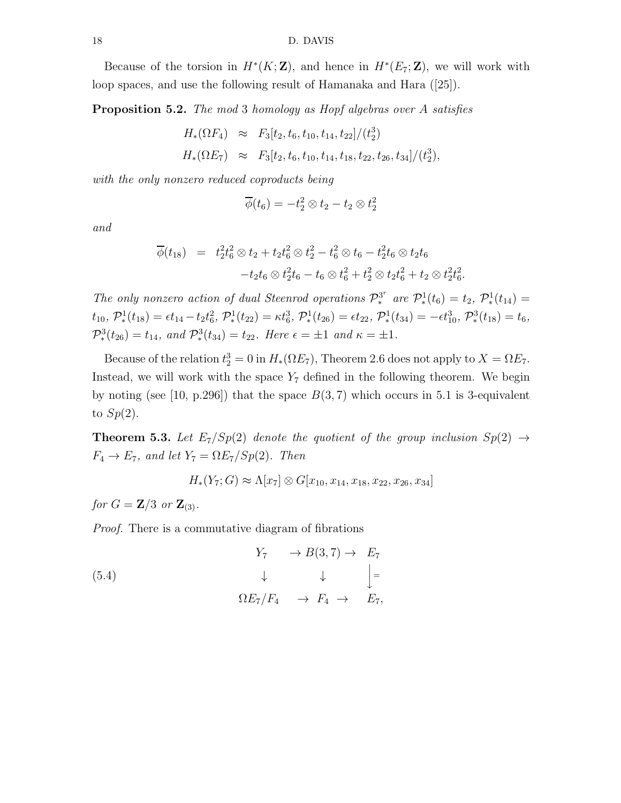Because of the torsion in  $H^*(K; \mathbb{Z})$ , and hence in  $H^*(E_7; \mathbb{Z})$ , we will work with loop spaces, and use the following result of Hamanaka and Hara ([25]).

**Proposition 5.2.** The mod 3 homology as Hopf algebras over A satisfies

$$
H_*(\Omega F_4) \approx F_3[t_2, t_6, t_{10}, t_{14}, t_{22}]/(t_2^3)
$$
  

$$
H_*(\Omega E_7) \approx F_3[t_2, t_6, t_{10}, t_{14}, t_{18}, t_{22}, t_{26}, t_{34}]/(t_2^3),
$$

with the only nonzero reduced coproducts being

$$
\overline{\phi}(t_6) = -t_2^2 \otimes t_2 - t_2 \otimes t_2^2
$$

and

$$
\overline{\phi}(t_{18}) = t_2^2 t_6^2 \otimes t_2 + t_2 t_6^2 \otimes t_2^2 - t_6^2 \otimes t_6 - t_2^2 t_6 \otimes t_2 t_6
$$
  

$$
-t_2 t_6 \otimes t_2^2 t_6 - t_6 \otimes t_6^2 + t_2^2 \otimes t_2 t_6^2 + t_2 \otimes t_2^2 t_6^2.
$$

The only nonzero action of dual Steenrod operations  $\mathcal{P}_{*}^{3^{n}}$ <sup>3<sup>*r*</sup></sup> are  $\mathcal{P}_{*}^{1}(t_{6})=t_{2}, \ \mathcal{P}_{*}^{1}(t_{14})=$  $t_{10},\ \mathcal{P}^1_*(t_{18})=\epsilon t_{14}-t_2t_6^2,\ \mathcal{P}^1_*(t_{22})=\kappa t_6^3,\ \mathcal{P}^1_*(t_{26})=\epsilon t_{22},\ \mathcal{P}^1_*(t_{34})=-\epsilon t_{10}^3,\ \mathcal{P}^3_*(t_{18})=t_6,$  $\mathcal{P}_{*}^{3}(t_{26}) = t_{14}$ , and  $\mathcal{P}_{*}^{3}(t_{34}) = t_{22}$ . Here  $\epsilon = \pm 1$  and  $\kappa = \pm 1$ .

Because of the relation  $t_2^3 = 0$  in  $H_*(\Omega E_7)$ , Theorem 2.6 does not apply to  $X = \Omega E_7$ . Instead, we will work with the space  $Y_7$  defined in the following theorem. We begin by noting (see [10, p.296]) that the space  $B(3, 7)$  which occurs in 5.1 is 3-equivalent to  $Sp(2)$ .

**Theorem 5.3.** Let  $E_7/Sp(2)$  denote the quotient of the group inclusion  $Sp(2) \rightarrow$  $F_4 \rightarrow E_7$ , and let  $Y_7 = \Omega E_7 / Sp(2)$ . Then

$$
H_*(Y_7; G) \approx \Lambda[x_7] \otimes G[x_{10}, x_{14}, x_{18}, x_{22}, x_{26}, x_{34}]
$$

for  $G = \mathbb{Z}/3$  or  $\mathbb{Z}_{(3)}$ .

Proof. There is a commutative diagram of fibrations

(5.4)  
\n
$$
\begin{array}{ccccccc}\n & & & Y_7 & & \rightarrow B(3,7) & \rightarrow & E_7 \\
 & & \downarrow & & \downarrow & & \downarrow \\
 & & \Omega E_7 / F_4 & & \rightarrow & F_4 & \rightarrow & E_7,\n\end{array}
$$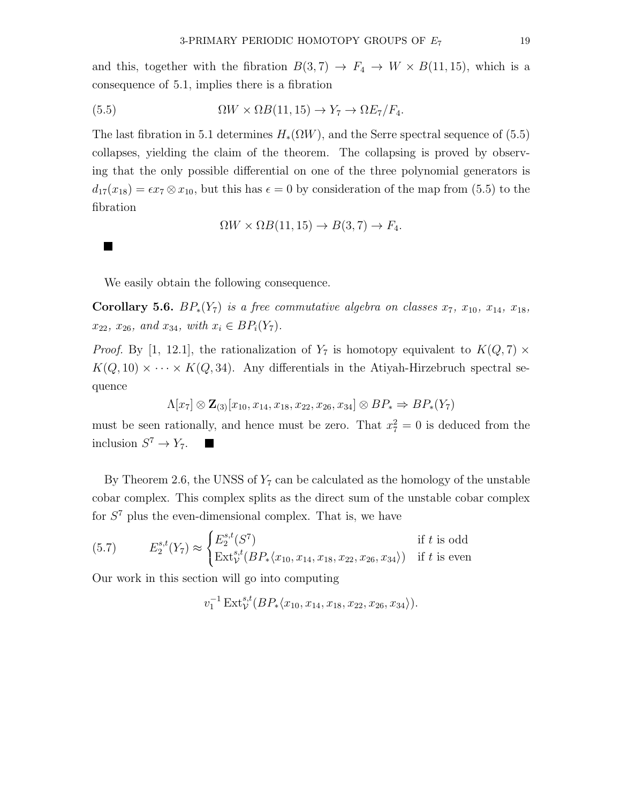and this, together with the fibration  $B(3, 7) \rightarrow F_4 \rightarrow W \times B(11, 15)$ , which is a consequence of 5.1, implies there is a fibration

(5.5) 
$$
\Omega W \times \Omega B(11, 15) \to Y_7 \to \Omega E_7 / F_4.
$$

The last fibration in 5.1 determines  $H_*(\Omega W)$ , and the Serre spectral sequence of (5.5) collapses, yielding the claim of the theorem. The collapsing is proved by observing that the only possible differential on one of the three polynomial generators is  $d_{17}(x_{18}) = \epsilon x_7 \otimes x_{10}$ , but this has  $\epsilon = 0$  by consideration of the map from (5.5) to the fibration

$$
\Omega W \times \Omega B(11, 15) \to B(3, 7) \to F_4.
$$

We easily obtain the following consequence.

Corollary 5.6.  $BP_*(Y_7)$  is a free commutative algebra on classes  $x_7, x_{10}, x_{14}, x_{18}$ ,  $x_{22}, x_{26}, \text{ and } x_{34}, \text{ with } x_i \in BP_i(Y_7).$ 

*Proof.* By [1, 12.1], the rationalization of  $Y_7$  is homotopy equivalent to  $K(Q, 7) \times$  $K(Q, 10) \times \cdots \times K(Q, 34)$ . Any differentials in the Atiyah-Hirzebruch spectral sequence

$$
\Lambda[x_7] \otimes \mathbf{Z}_{(3)}[x_{10}, x_{14}, x_{18}, x_{22}, x_{26}, x_{34}] \otimes BP_* \Rightarrow BP_*(Y_7)
$$

must be seen rationally, and hence must be zero. That  $x_7^2 = 0$  is deduced from the inclusion  $S^7 \to Y_7$ .

By Theorem 2.6, the UNSS of  $Y_7$  can be calculated as the homology of the unstable cobar complex. This complex splits as the direct sum of the unstable cobar complex for  $S<sup>7</sup>$  plus the even-dimensional complex. That is, we have

(5.7) 
$$
E_2^{s,t}(Y_7) \approx \begin{cases} E_2^{s,t}(S^7) & \text{if } t \text{ is odd} \\ \text{Ext}_{\mathcal{V}}^{s,t}(BP_*(x_{10}, x_{14}, x_{18}, x_{22}, x_{26}, x_{34})) & \text{if } t \text{ is even} \end{cases}
$$

Our work in this section will go into computing

 $v_1^{-1}\operatorname{Ext}^{s,t}_\mathcal{V}(BP_*(x_{10}, x_{14}, x_{18}, x_{22}, x_{26}, x_{34})).$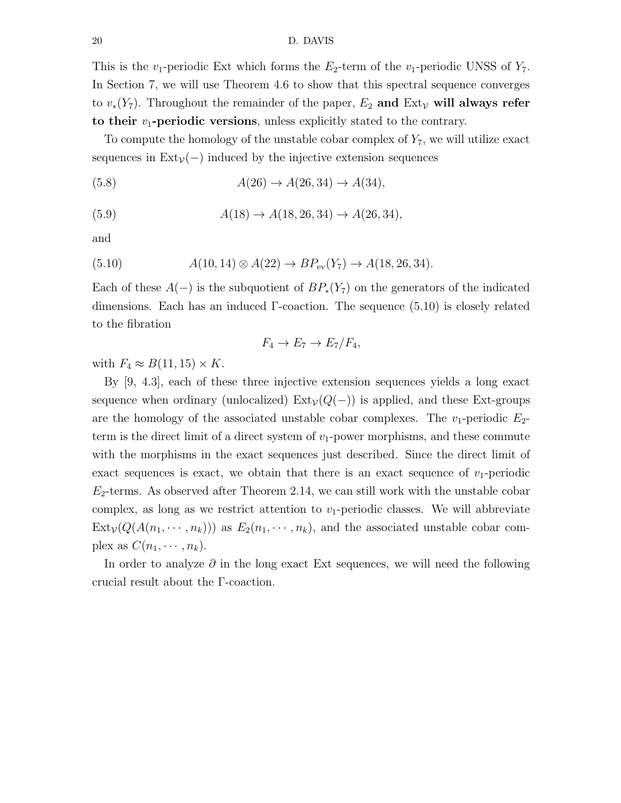This is the  $v_1$ -periodic Ext which forms the  $E_2$ -term of the  $v_1$ -periodic UNSS of  $Y_7$ . In Section 7, we will use Theorem 4.6 to show that this spectral sequence converges to  $v_*(Y_7)$ . Throughout the remainder of the paper,  $E_2$  and  $Ext_V$  will always refer to their  $v_1$ -periodic versions, unless explicitly stated to the contrary.

To compute the homology of the unstable cobar complex of  $Y_7$ , we will utilize exact sequences in  $Ext_V(-)$  induced by the injective extension sequences

(5.8)  $A(26) \to A(26, 34) \to A(34),$ 

$$
(5.9) \t\t A(18) \to A(18, 26, 34) \to A(26, 34),
$$

and

(5.10) 
$$
A(10, 14) \otimes A(22) \to BP_{\text{ev}}(Y_7) \to A(18, 26, 34).
$$

Each of these  $A(-)$  is the subquotient of  $BP_*(Y_7)$  on the generators of the indicated dimensions. Each has an induced Γ-coaction. The sequence (5.10) is closely related to the fibration

$$
F_4 \to E_7 \to E_7/F_4,
$$

with  $F_4 \approx B(11, 15) \times K$ .

By [9, 4.3], each of these three injective extension sequences yields a long exact sequence when ordinary (unlocalized)  $Ext_V(Q(-))$  is applied, and these Ext-groups are the homology of the associated unstable cobar complexes. The  $v_1$ -periodic  $E_2$ term is the direct limit of a direct system of  $v_1$ -power morphisms, and these commute with the morphisms in the exact sequences just described. Since the direct limit of exact sequences is exact, we obtain that there is an exact sequence of  $v_1$ -periodic  $E_2$ -terms. As observed after Theorem 2.14, we can still work with the unstable cobar complex, as long as we restrict attention to  $v_1$ -periodic classes. We will abbreviate  $Ext_V(Q(A(n_1, \dots, n_k)))$  as  $E_2(n_1, \dots, n_k)$ , and the associated unstable cobar complex as  $C(n_1, \dots, n_k)$ .

In order to analyze  $\partial$  in the long exact Ext sequences, we will need the following crucial result about the Γ-coaction.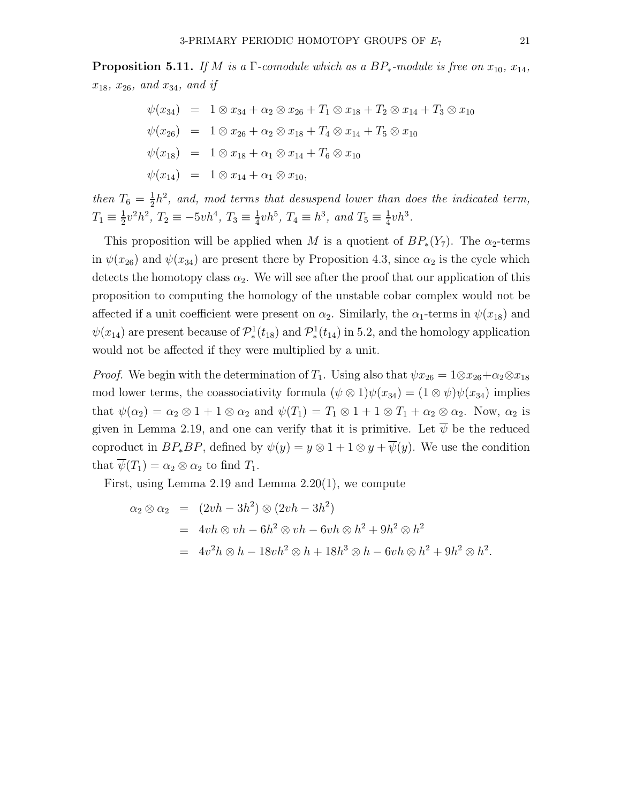$$
\psi(x_{34}) = 1 \otimes x_{34} + \alpha_2 \otimes x_{26} + T_1 \otimes x_{18} + T_2 \otimes x_{14} + T_3 \otimes x_{10}
$$
  
\n
$$
\psi(x_{26}) = 1 \otimes x_{26} + \alpha_2 \otimes x_{18} + T_4 \otimes x_{14} + T_5 \otimes x_{10}
$$
  
\n
$$
\psi(x_{18}) = 1 \otimes x_{18} + \alpha_1 \otimes x_{14} + T_6 \otimes x_{10}
$$
  
\n
$$
\psi(x_{14}) = 1 \otimes x_{14} + \alpha_1 \otimes x_{10},
$$

then  $T_6 = \frac{1}{2}$  $\frac{1}{2}h^2$ , and, mod terms that desuspend lower than does the indicated term,  $T_1 \equiv \frac{1}{2}$  $\frac{1}{2}v^2h^2$ ,  $T_2 \equiv -5vh^4$ ,  $T_3 \equiv \frac{1}{4}$  $\frac{1}{4}vh^5$ ,  $T_4 \equiv h^3$ , and  $T_5 \equiv \frac{1}{4}$  $\frac{1}{4}vh^3$ .

This proposition will be applied when M is a quotient of  $BP_*(Y_7)$ . The  $\alpha_2$ -terms in  $\psi(x_{26})$  and  $\psi(x_{34})$  are present there by Proposition 4.3, since  $\alpha_2$  is the cycle which detects the homotopy class  $\alpha_2$ . We will see after the proof that our application of this proposition to computing the homology of the unstable cobar complex would not be affected if a unit coefficient were present on  $\alpha_2$ . Similarly, the  $\alpha_1$ -terms in  $\psi(x_{18})$  and  $\psi(x_{14})$  are present because of  $\mathcal{P}^1_*(t_{18})$  and  $\mathcal{P}^1_*(t_{14})$  in 5.2, and the homology application would not be affected if they were multiplied by a unit.

*Proof.* We begin with the determination of  $T_1$ . Using also that  $\psi x_{26} = 1 \otimes x_{26} + \alpha_2 \otimes x_{18}$ mod lower terms, the coassociativity formula  $(\psi \otimes 1)\psi(x_{34}) = (1 \otimes \psi)\psi(x_{34})$  implies that  $\psi(\alpha_2) = \alpha_2 \otimes 1 + 1 \otimes \alpha_2$  and  $\psi(T_1) = T_1 \otimes 1 + 1 \otimes T_1 + \alpha_2 \otimes \alpha_2$ . Now,  $\alpha_2$  is given in Lemma 2.19, and one can verify that it is primitive. Let  $\overline{\psi}$  be the reduced coproduct in  $BP_*BP$ , defined by  $\psi(y) = y \otimes 1 + 1 \otimes y + \overline{\psi}(y)$ . We use the condition that  $\psi(T_1) = \alpha_2 \otimes \alpha_2$  to find  $T_1$ .

First, using Lemma 2.19 and Lemma 2.20(1), we compute

$$
\alpha_2 \otimes \alpha_2 = (2vh - 3h^2) \otimes (2vh - 3h^2)
$$
  
=  $4vh \otimes vh - 6h^2 \otimes vh - 6vh \otimes h^2 + 9h^2 \otimes h^2$   
=  $4v^2h \otimes h - 18vh^2 \otimes h + 18h^3 \otimes h - 6vh \otimes h^2 + 9h^2 \otimes h^2$ .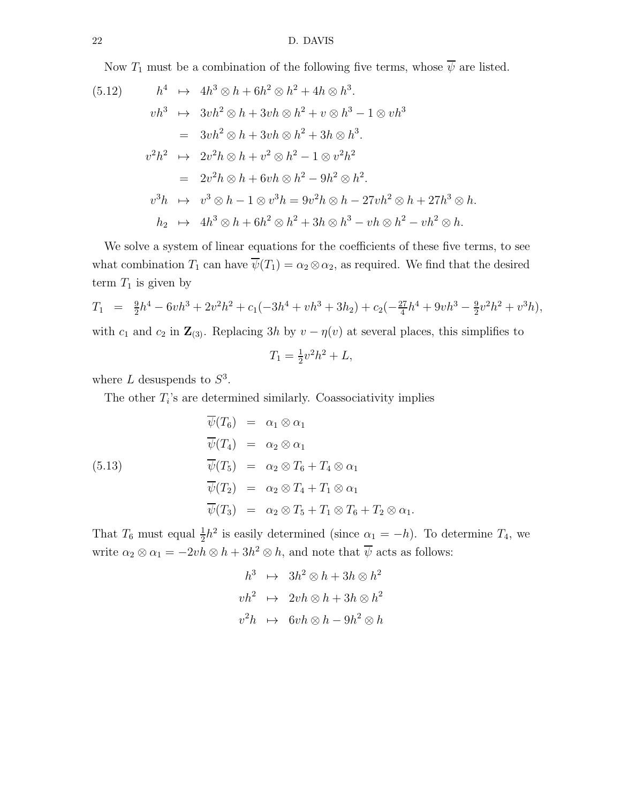Now  $T_1$  must be a combination of the following five terms, whose  $\overline{\psi}$  are listed.

$$
(5.12) \t h4 \mapsto 4h3 \otimes h + 6h2 \otimes h2 + 4h \otimes h3.
$$
  
\n
$$
vh3 \mapsto 3vh2 \otimes h + 3vh \otimes h2 + v \otimes h3 - 1 \otimes vh3
$$
  
\n
$$
= 3vh2 \otimes h + 3vh \otimes h2 + 3h \otimes h3.
$$
  
\n
$$
v2h2 \mapsto 2v2h \otimes h + v2 \otimes h2 - 1 \otimes v2h2
$$
  
\n
$$
= 2v2h \otimes h + 6vh \otimes h2 - 9h2 \otimes h2.
$$
  
\n
$$
v3h \mapsto v3 \otimes h - 1 \otimes v3h = 9v2h \otimes h - 27vh2 \otimes h + 27h3 \otimes h.
$$
  
\n
$$
h2 \mapsto 4h3 \otimes h + 6h2 \otimes h2 + 3h \otimes h3 - vh \otimes h2 - vh2 \otimes h.
$$

We solve a system of linear equations for the coefficients of these five terms, to see what combination  $T_1$  can have  $\overline{\psi}(T_1) = \alpha_2 \otimes \alpha_2$ , as required. We find that the desired term  $T_1$  is given by

$$
T_1 = \frac{9}{2}h^4 - 6vh^3 + 2v^2h^2 + c_1(-3h^4 + vh^3 + 3h_2) + c_2(-\frac{27}{4}h^4 + 9vh^3 - \frac{9}{2}v^2h^2 + v^3h),
$$
  
with  $c$  and  $c$  in **Z**.  
Replacing 2h by  $c$ ,  $c$ (a) at several places, this implies to

with 
$$
c_1
$$
 and  $c_2$  in  $\mathbb{Z}_{(3)}$ . Replacing 3h by  $v - \eta(v)$  at several places, this simplifies to

$$
T_1 = \frac{1}{2}v^2h^2 + L,
$$

where  $L$  desuspends to  $S^3$ .

The other  $T_i$ 's are determined similarly. Coassociativity implies

(5.13)  
\n
$$
\overline{\psi}(T_6) = \alpha_1 \otimes \alpha_1
$$
\n
$$
\overline{\psi}(T_4) = \alpha_2 \otimes \alpha_1
$$
\n
$$
\overline{\psi}(T_5) = \alpha_2 \otimes T_6 + T_4 \otimes \alpha_1
$$
\n
$$
\overline{\psi}(T_2) = \alpha_2 \otimes T_4 + T_1 \otimes \alpha_1
$$
\n
$$
\overline{\psi}(T_3) = \alpha_2 \otimes T_5 + T_1 \otimes T_6 + T_2 \otimes \alpha_1.
$$

That  $T_6$  must equal  $\frac{1}{2}h^2$  is easily determined (since  $\alpha_1 = -h$ ). To determine  $T_4$ , we write  $\alpha_2 \otimes \alpha_1 = -2vh \otimes h + 3h^2 \otimes h$ , and note that  $\overline{\psi}$  acts as follows:

$$
h^{3} \rightarrow 3h^{2} \otimes h + 3h \otimes h^{2}
$$
  

$$
vh^{2} \rightarrow 2vh \otimes h + 3h \otimes h^{2}
$$
  

$$
v^{2}h \rightarrow 6vh \otimes h - 9h^{2} \otimes h
$$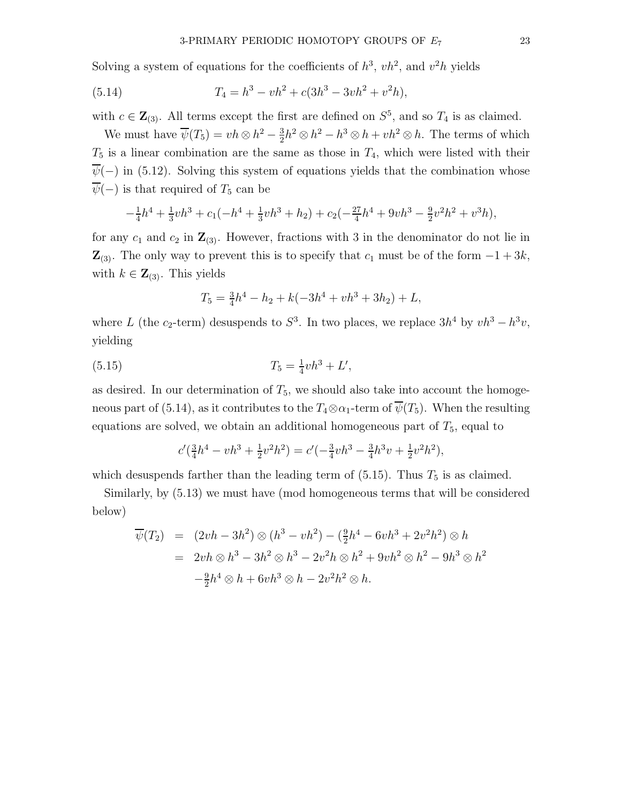Solving a system of equations for the coefficients of  $h^3$ ,  $vh^2$ , and  $v^2h$  yields

(5.14) 
$$
T_4 = h^3 - vh^2 + c(3h^3 - 3vh^2 + v^2h),
$$

with  $c \in \mathbf{Z}_{(3)}$ . All terms except the first are defined on  $S^5$ , and so  $T_4$  is as claimed.

We must have  $\overline{\psi}(T_5) = vh \otimes h^2 - \frac{3}{2}$  $\frac{3}{2}h^2 \otimes h^2 - h^3 \otimes h + v h^2 \otimes h$ . The terms of which  $T_5$  is a linear combination are the same as those in  $T_4$ , which were listed with their  $\overline{\psi}(-)$  in (5.12). Solving this system of equations yields that the combination whose  $\overline{\psi}(-)$  is that required of  $T_5$  can be

$$
-\frac{1}{4}h^4 + \frac{1}{3}vh^3 + c_1(-h^4 + \frac{1}{3}vh^3 + h_2) + c_2(-\frac{27}{4}h^4 + 9vh^3 - \frac{9}{2}v^2h^2 + v^3h),
$$

for any  $c_1$  and  $c_2$  in  $\mathbb{Z}_{(3)}$ . However, fractions with 3 in the denominator do not lie in  $\mathbf{Z}_{(3)}$ . The only way to prevent this is to specify that  $c_1$  must be of the form  $-1+3k$ , with  $k \in \mathbf{Z}_{(3)}$ . This yields

$$
T_5 = \frac{3}{4}h^4 - h_2 + k(-3h^4 + vh^3 + 3h_2) + L,
$$

where L (the c<sub>2</sub>-term) desuspends to  $S^3$ . In two places, we replace  $3h^4$  by  $vh^3 - h^3v$ , yielding

(5.15) 
$$
T_5 = \frac{1}{4}vh^3 + L',
$$

as desired. In our determination of  $T_5$ , we should also take into account the homogeneous part of (5.14), as it contributes to the  $T_4 \otimes \alpha_1$ -term of  $\overline{\psi}(T_5)$ . When the resulting equations are solved, we obtain an additional homogeneous part of  $T_5$ , equal to

$$
c'(\frac{3}{4}h^4 - vh^3 + \frac{1}{2}v^2h^2) = c'(-\frac{3}{4}vh^3 - \frac{3}{4}h^3v + \frac{1}{2}v^2h^2),
$$

which desuspends farther than the leading term of  $(5.15)$ . Thus  $T_5$  is as claimed.

Similarly, by (5.13) we must have (mod homogeneous terms that will be considered below)

$$
\overline{\psi}(T_2) = (2vh - 3h^2) \otimes (h^3 - vh^2) - (\frac{9}{2}h^4 - 6vh^3 + 2v^2h^2) \otimes h
$$
  
=  $2vh \otimes h^3 - 3h^2 \otimes h^3 - 2v^2h \otimes h^2 + 9vh^2 \otimes h^2 - 9h^3 \otimes h^2$   
 $-\frac{9}{2}h^4 \otimes h + 6vh^3 \otimes h - 2v^2h^2 \otimes h.$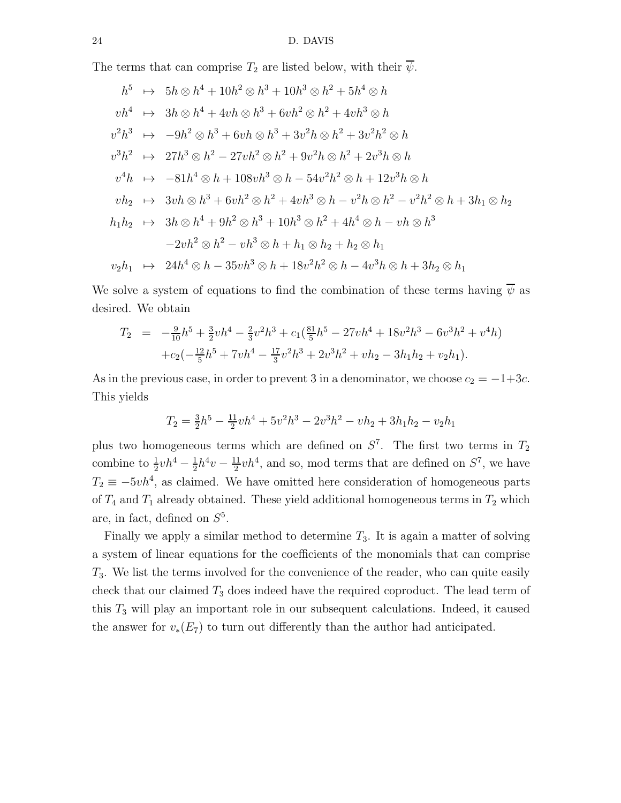The terms that can comprise  $T_2$  are listed below, with their  $\psi$ .

$$
h^5 \rightarrow 5h \otimes h^4 + 10h^2 \otimes h^3 + 10h^3 \otimes h^2 + 5h^4 \otimes h
$$
  
\n
$$
vh^4 \rightarrow 3h \otimes h^4 + 4vh \otimes h^3 + 6vh^2 \otimes h^2 + 4vh^3 \otimes h
$$
  
\n
$$
v^2h^3 \rightarrow -9h^2 \otimes h^3 + 6vh \otimes h^3 + 3v^2h \otimes h^2 + 3v^2h^2 \otimes h
$$
  
\n
$$
v^3h^2 \rightarrow 27h^3 \otimes h^2 - 27vh^2 \otimes h^2 + 9v^2h \otimes h^2 + 2v^3h \otimes h
$$
  
\n
$$
v^4h \rightarrow -81h^4 \otimes h + 108vh^3 \otimes h - 54v^2h^2 \otimes h + 12v^3h \otimes h
$$
  
\n
$$
vh_2 \rightarrow 3vh \otimes h^3 + 6vh^2 \otimes h^2 + 4vh^3 \otimes h - v^2h \otimes h^2 - v^2h^2 \otimes h + 3h_1 \otimes h_2
$$
  
\n
$$
h_1h_2 \rightarrow 3h \otimes h^4 + 9h^2 \otimes h^3 + 10h^3 \otimes h^2 + 4h^4 \otimes h - vh \otimes h^3
$$
  
\n
$$
-2vh^2 \otimes h^2 - vh^3 \otimes h + h_1 \otimes h_2 + h_2 \otimes h_1
$$
  
\n
$$
v_2h_1 \rightarrow 24h^4 \otimes h - 35vh^3 \otimes h + 18v^2h^2 \otimes h - 4v^3h \otimes h + 3h_2 \otimes h_1
$$

We solve a system of equations to find the combination of these terms having  $\overline{\psi}$  as desired. We obtain

$$
T_2 = -\frac{9}{10}h^5 + \frac{3}{2}vh^4 - \frac{2}{3}v^2h^3 + c_1(\frac{81}{5}h^5 - 27vh^4 + 18v^2h^3 - 6v^3h^2 + v^4h) + c_2(-\frac{12}{5}h^5 + 7vh^4 - \frac{17}{3}v^2h^3 + 2v^3h^2 + vh_2 - 3h_1h_2 + v_2h_1).
$$

As in the previous case, in order to prevent 3 in a denominator, we choose  $c_2 = -1+3c$ . This yields

$$
T_2 = \frac{3}{2}h^5 - \frac{11}{2}vh^4 + 5v^2h^3 - 2v^3h^2 - vh_2 + 3h_1h_2 - v_2h_1
$$

plus two homogeneous terms which are defined on  $S^7$ . The first two terms in  $T_2$ combine to  $\frac{1}{2}vh^4 - \frac{1}{2}$  $\frac{1}{2}h^4v - \frac{11}{2}$  $\frac{11}{2}vh^4$ , and so, mod terms that are defined on  $S^7$ , we have  $T_2 \equiv -5v h^4$ , as claimed. We have omitted here consideration of homogeneous parts of  $T_4$  and  $T_1$  already obtained. These yield additional homogeneous terms in  $T_2$  which are, in fact, defined on  $S^5$ .

Finally we apply a similar method to determine  $T_3$ . It is again a matter of solving a system of linear equations for the coefficients of the monomials that can comprise  $T_3$ . We list the terms involved for the convenience of the reader, who can quite easily check that our claimed  $T_3$  does indeed have the required coproduct. The lead term of this  $T_3$  will play an important role in our subsequent calculations. Indeed, it caused the answer for  $v_*(E_7)$  to turn out differently than the author had anticipated.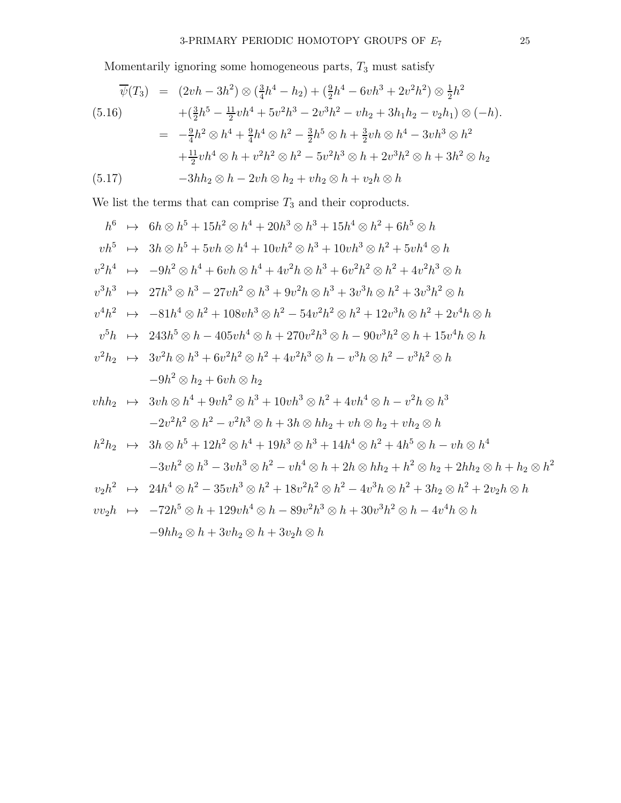Momentarily ignoring some homogeneous parts,  $T_3$  must satisfy

$$
\overline{\psi}(T_3) = (2vh - 3h^2) \otimes (\frac{3}{4}h^4 - h_2) + (\frac{9}{2}h^4 - 6vh^3 + 2v^2h^2) \otimes \frac{1}{2}h^2
$$
\n
$$
(5.16) \qquad +(\frac{3}{2}h^5 - \frac{11}{2}vh^4 + 5v^2h^3 - 2v^3h^2 - vh_2 + 3h_1h_2 - v_2h_1) \otimes (-h).
$$
\n
$$
= -\frac{9}{4}h^2 \otimes h^4 + \frac{9}{4}h^4 \otimes h^2 - \frac{3}{2}h^5 \otimes h + \frac{3}{2}vh \otimes h^4 - 3vh^3 \otimes h^2
$$
\n
$$
+ \frac{11}{2}vh^4 \otimes h + v^2h^2 \otimes h^2 - 5v^2h^3 \otimes h + 2v^3h^2 \otimes h + 3h^2 \otimes h_2
$$
\n
$$
(5.17) \qquad -3hh_2 \otimes h - 2vh \otimes h_2 + vh_2 \otimes h + v_2h \otimes h
$$

We list the terms that can comprise  $\mathcal{T}_3$  and their coproducts.

$$
h^{6} \rightarrow 6h \otimes h^{5} + 15h^{2} \otimes h^{4} + 20h^{3} \otimes h^{3} + 15h^{4} \otimes h^{2} + 6h^{5} \otimes h
$$
  
\n
$$
vh^{5} \rightarrow 3h \otimes h^{5} + 5vh \otimes h^{4} + 10vh^{2} \otimes h^{3} + 10vh^{3} \otimes h^{2} + 5vh^{4} \otimes h
$$
  
\n
$$
v^{2}h^{4} \rightarrow -9h^{2} \otimes h^{4} + 6vh \otimes h^{4} + 4v^{2}h \otimes h^{3} + 6v^{2}h^{2} \otimes h^{2} + 4v^{2}h^{3} \otimes h
$$
  
\n
$$
v^{3}h^{3} \rightarrow 27h^{3} \otimes h^{3} - 27vh^{2} \otimes h^{3} + 9v^{2}h \otimes h^{3} + 3v^{3}h \otimes h^{2} + 3v^{3}h^{2} \otimes h
$$
  
\n
$$
v^{4}h^{2} \rightarrow -81h^{4} \otimes h^{2} + 108vh^{3} \otimes h^{2} - 54v^{2}h^{2} \otimes h^{2} + 12v^{3}h \otimes h^{2} + 2v^{4}h \otimes h
$$
  
\n
$$
v^{5}h \rightarrow 243h^{5} \otimes h - 405vh^{4} \otimes h + 270v^{2}h^{3} \otimes h - 90v^{3}h^{2} \otimes h + 15v^{4}h \otimes h
$$
  
\n
$$
v^{2}h_{2} \rightarrow 3v^{2}h \otimes h^{3} + 6v^{2}h^{2} \otimes h^{2} + 4v^{2}h^{3} \otimes h - v^{3}h \otimes h^{2} - v^{3}h^{2} \otimes h
$$
  
\n
$$
-9h^{2} \otimes h_{2} + 6vh \otimes h_{2}
$$
  
\n
$$
vhh_{2} \rightarrow 3vh \otimes h^{4} + 9vh^{2} \otimes h^{3} + 10vh^{3} \otimes h^{2} + 4vh^{4} \otimes h - v^{2}h \otimes h^{3}
$$
  
\n
$$
-2v^{2
$$

$$
-9hh_2 \otimes h + 3vh_2 \otimes h + 3v_2h \otimes h
$$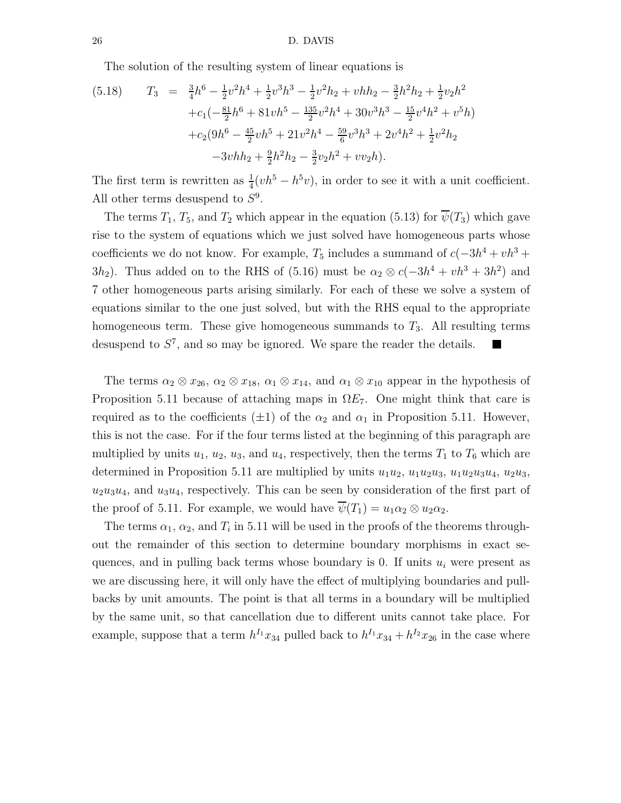The solution of the resulting system of linear equations is

$$
(5.18) \t T_3 = \frac{3}{4}h^6 - \frac{1}{2}v^2h^4 + \frac{1}{2}v^3h^3 - \frac{1}{2}v^2h_2 + vhh_2 - \frac{3}{2}h^2h_2 + \frac{1}{2}v_2h^2
$$
  
 
$$
+ c_1\left(-\frac{81}{2}h^6 + 81vh^5 - \frac{135}{2}v^2h^4 + 30v^3h^3 - \frac{15}{2}v^4h^2 + v^5h\right)
$$
  
 
$$
+ c_2(9h^6 - \frac{45}{2}vh^5 + 21v^2h^4 - \frac{59}{6}v^3h^3 + 2v^4h^2 + \frac{1}{2}v^2h_2
$$
  
 
$$
-3vhh_2 + \frac{9}{2}h^2h_2 - \frac{3}{2}v_2h^2 + vv_2h).
$$

The first term is rewritten as  $\frac{1}{4}(vh^5 - h^5v)$ , in order to see it with a unit coefficient. All other terms desuspend to  $S<sup>9</sup>$ .

The terms  $T_1$ ,  $T_5$ , and  $T_2$  which appear in the equation (5.13) for  $\overline{\psi}(T_3)$  which gave rise to the system of equations which we just solved have homogeneous parts whose coefficients we do not know. For example,  $T_5$  includes a summand of  $c(-3h^4 + vh^3 +$ 3h<sub>2</sub>). Thus added on to the RHS of (5.16) must be  $\alpha_2 \otimes c(-3h^4 + vh^3 + 3h^2)$  and 7 other homogeneous parts arising similarly. For each of these we solve a system of equations similar to the one just solved, but with the RHS equal to the appropriate homogeneous term. These give homogeneous summands to  $T_3$ . All resulting terms desuspend to  $S^7$ , and so may be ignored. We spare the reader the details.

The terms  $\alpha_2 \otimes x_{26}$ ,  $\alpha_2 \otimes x_{18}$ ,  $\alpha_1 \otimes x_{14}$ , and  $\alpha_1 \otimes x_{10}$  appear in the hypothesis of Proposition 5.11 because of attaching maps in  $\Omega E_7$ . One might think that care is required as to the coefficients ( $\pm 1$ ) of the  $\alpha_2$  and  $\alpha_1$  in Proposition 5.11. However, this is not the case. For if the four terms listed at the beginning of this paragraph are multiplied by units  $u_1, u_2, u_3$ , and  $u_4$ , respectively, then the terms  $T_1$  to  $T_6$  which are determined in Proposition 5.11 are multiplied by units  $u_1u_2$ ,  $u_1u_2u_3$ ,  $u_1u_2u_3u_4$ ,  $u_2u_3$ ,  $u_2u_3u_4$ , and  $u_3u_4$ , respectively. This can be seen by consideration of the first part of the proof of 5.11. For example, we would have  $\overline{\psi}(T_1) = u_1 \alpha_2 \otimes u_2 \alpha_2$ .

The terms  $\alpha_1, \alpha_2$ , and  $T_i$  in 5.11 will be used in the proofs of the theorems throughout the remainder of this section to determine boundary morphisms in exact sequences, and in pulling back terms whose boundary is 0. If units  $u_i$  were present as we are discussing here, it will only have the effect of multiplying boundaries and pullbacks by unit amounts. The point is that all terms in a boundary will be multiplied by the same unit, so that cancellation due to different units cannot take place. For example, suppose that a term  $h^{I_1}x_{34}$  pulled back to  $h^{I_1}x_{34} + h^{I_2}x_{26}$  in the case where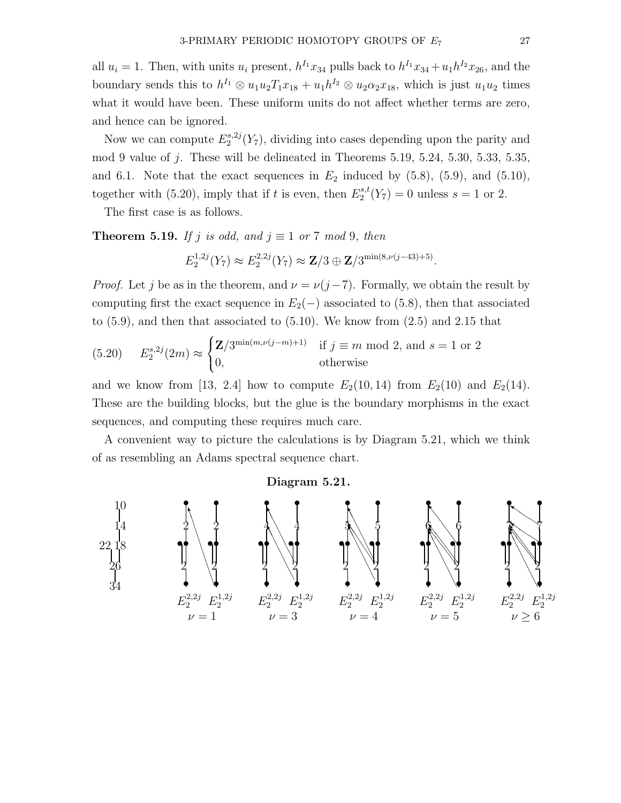all  $u_i = 1$ . Then, with units  $u_i$  present,  $h^{I_1}x_{34}$  pulls back to  $h^{I_1}x_{34} + u_1h^{I_2}x_{26}$ , and the boundary sends this to  $h^{I_1} \otimes u_1 u_2 T_1 x_{18} + u_1 h^{I_2} \otimes u_2 \alpha_2 x_{18}$ , which is just  $u_1 u_2$  times what it would have been. These uniform units do not affect whether terms are zero, and hence can be ignored.

Now we can compute  $E_2^{s,2j}$  $2^{s,2j}(Y_7)$ , dividing into cases depending upon the parity and mod 9 value of j. These will be delineated in Theorems 5.19, 5.24, 5.30, 5.33, 5.35, and 6.1. Note that the exact sequences in  $E_2$  induced by  $(5.8)$ ,  $(5.9)$ , and  $(5.10)$ , together with (5.20), imply that if t is even, then  $E_2^{s,t}$  $2^{s,t}(Y_7) = 0$  unless  $s = 1$  or 2.

The first case is as follows.

**Theorem 5.19.** If j is odd, and  $j \equiv 1$  or 7 mod 9, then

$$
E_2^{1,2j}(Y_7) \approx E_2^{2,2j}(Y_7) \approx \mathbf{Z}/3 \oplus \mathbf{Z}/3^{\min(8,\nu(j-43)+5)}
$$
.

*Proof.* Let j be as in the theorem, and  $\nu = \nu(j-7)$ . Formally, we obtain the result by computing first the exact sequence in  $E_2(-)$  associated to (5.8), then that associated to (5.9), and then that associated to (5.10). We know from (2.5) and 2.15 that

(5.20) 
$$
E_2^{s,2j}(2m) \approx \begin{cases} \mathbf{Z}/3^{\min(m,\nu(j-m)+1)} & \text{if } j \equiv m \bmod 2 \text{, and } s = 1 \text{ or } 2\\ 0, & \text{otherwise} \end{cases}
$$

and we know from [13, 2.4] how to compute  $E_2(10, 14)$  from  $E_2(10)$  and  $E_2(14)$ . These are the building blocks, but the glue is the boundary morphisms in the exact sequences, and computing these requires much care.

A convenient way to picture the calculations is by Diagram 5.21, which we think of as resembling an Adams spectral sequence chart.

Diagram 5.21.

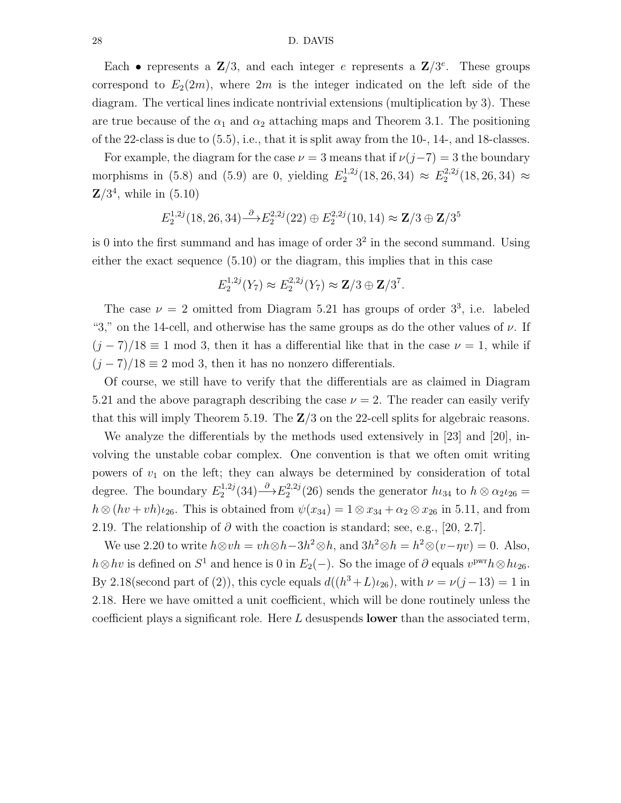#### 28 D. DAVIS

Each • represents a  $\mathbb{Z}/3$ , and each integer e represents a  $\mathbb{Z}/3^e$ . These groups correspond to  $E_2(2m)$ , where  $2m$  is the integer indicated on the left side of the diagram. The vertical lines indicate nontrivial extensions (multiplication by 3). These are true because of the  $\alpha_1$  and  $\alpha_2$  attaching maps and Theorem 3.1. The positioning of the 22-class is due to (5.5), i.e., that it is split away from the 10-, 14-, and 18-classes.

For example, the diagram for the case  $\nu = 3$  means that if  $\nu(j-7) = 3$  the boundary morphisms in (5.8) and (5.9) are 0, yielding  $E_2^{1,2j}$  $E_2^{1,2j}(18, 26, 34) \approx E_2^{2,2j}$  $2^{(2,2j)}(18,26,34) \approx$  $\mathbf{Z}/3^4$ , while in  $(5.10)$ 

$$
E_2^{1,2j}(18,26,34) \stackrel{\partial}{\longrightarrow} E_2^{2,2j}(22) \oplus E_2^{2,2j}(10,14) \approx \mathbf{Z}/3 \oplus \mathbf{Z}/3^5
$$

is 0 into the first summand and has image of order  $3<sup>2</sup>$  in the second summand. Using either the exact sequence (5.10) or the diagram, this implies that in this case

$$
E_2^{1,2j}(Y_7) \approx E_2^{2,2j}(Y_7) \approx \mathbf{Z}/3 \oplus \mathbf{Z}/3^7.
$$

The case  $\nu = 2$  omitted from Diagram 5.21 has groups of order  $3^3$ , i.e. labeled "3," on the 14-cell, and otherwise has the same groups as do the other values of  $\nu$ . If  $(j-7)/18 \equiv 1 \mod 3$ , then it has a differential like that in the case  $\nu = 1$ , while if  $(j-7)/18 \equiv 2 \mod 3$ , then it has no nonzero differentials.

Of course, we still have to verify that the differentials are as claimed in Diagram 5.21 and the above paragraph describing the case  $\nu = 2$ . The reader can easily verify that this will imply Theorem 5.19. The  $\mathbb{Z}/3$  on the 22-cell splits for algebraic reasons.

We analyze the differentials by the methods used extensively in [23] and [20], involving the unstable cobar complex. One convention is that we often omit writing powers of  $v_1$  on the left; they can always be determined by consideration of total degree. The boundary  $E_2^{1,2j}$  $L_2^{1,2j}(34) \longrightarrow E_2^{2,2j}$  $2^{2,2}$ (26) sends the generator  $h_{34}$  to  $h \otimes \alpha_2 \iota_{26} =$  $h \otimes (hv + vh)\iota_{26}$ . This is obtained from  $\psi(x_{34}) = 1 \otimes x_{34} + \alpha_2 \otimes x_{26}$  in 5.11, and from 2.19. The relationship of  $\partial$  with the coaction is standard; see, e.g., [20, 2.7].

We use 2.20 to write  $h \otimes v h = v h \otimes h - 3h^2 \otimes h$ , and  $3h^2 \otimes h = h^2 \otimes (v - \eta v) = 0$ . Also,  $h \otimes hv$  is defined on  $S^1$  and hence is 0 in  $E_2(-)$ . So the image of  $\partial$  equals  $v^{\text{pwr}}h \otimes ht_{26}$ . By 2.18(second part of (2)), this cycle equals  $d((h^3+L)\iota_{26})$ , with  $\nu = \nu(j-13) = 1$  in 2.18. Here we have omitted a unit coefficient, which will be done routinely unless the coefficient plays a significant role. Here  $L$  desuspends lower than the associated term,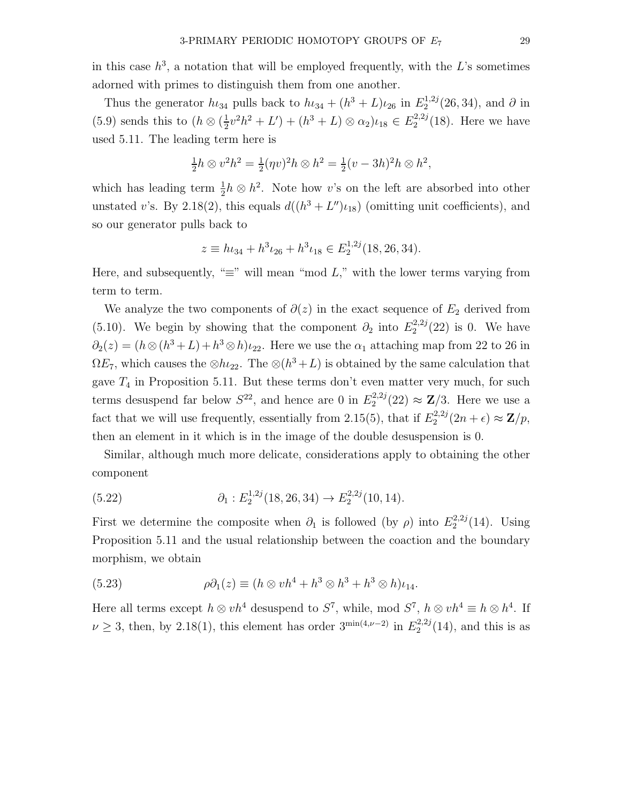in this case  $h^3$ , a notation that will be employed frequently, with the L's sometimes adorned with primes to distinguish them from one another.

Thus the generator  $h_{34}$  pulls back to  $h_{34} + (h^3 + L)\nu_{26}$  in  $E_2^{1,2j}$  $2^{(1,2)}(26,34)$ , and  $\partial$  in  $(5.9)$  sends this to  $(h \otimes (\frac{1}{2})$  $\frac{1}{2}v^2h^2 + L' + (h^3 + L) \otimes \alpha_2\mu_{18} \in E_2^{2,2j}$  $2^{2,2j}(18)$ . Here we have used 5.11. The leading term here is

$$
\frac{1}{2}h \otimes v^2 h^2 = \frac{1}{2}(\eta v)^2 h \otimes h^2 = \frac{1}{2}(v - 3h)^2 h \otimes h^2,
$$

which has leading term  $\frac{1}{2}h \otimes h^2$ . Note how v's on the left are absorbed into other unstated v's. By 2.18(2), this equals  $d((h^3 + L'')\iota_{18})$  (omitting unit coefficients), and so our generator pulls back to

$$
z \equiv h\iota_{34} + h^3 \iota_{26} + h^3 \iota_{18} \in E_2^{1,2j}(18, 26, 34).
$$

Here, and subsequently, " $\equiv$ " will mean "mod L," with the lower terms varying from term to term.

We analyze the two components of  $\partial(z)$  in the exact sequence of  $E_2$  derived from (5.10). We begin by showing that the component  $\partial_2$  into  $E_2^{2,2j}$  $2^{2,2j}(22)$  is 0. We have  $\partial_2(z) = (h \otimes (h^3 + L) + h^3 \otimes h)\iota_{22}$ . Here we use the  $\alpha_1$  attaching map from 22 to 26 in  $\Omega E_7$ , which causes the ⊗ $h\iota_{22}$ . The ⊗ $(h^3+L)$  is obtained by the same calculation that gave  $T_4$  in Proposition 5.11. But these terms don't even matter very much, for such terms desuspend far below  $S^{22}$ , and hence are 0 in  $E_2^{2,2j}$  $2^{2,2j}(22) \approx \mathbf{Z}/3$ . Here we use a fact that we will use frequently, essentially from 2.15(5), that if  $E_2^{2,2j}$  $2^{(2,2)}(2n+\epsilon) \approx \mathbf{Z}/p,$ then an element in it which is in the image of the double desuspension is 0.

Similar, although much more delicate, considerations apply to obtaining the other component

(5.22) 
$$
\partial_1 : E_2^{1,2j}(18, 26, 34) \to E_2^{2,2j}(10, 14).
$$

First we determine the composite when  $\partial_1$  is followed (by  $\rho$ ) into  $E_2^{2,2j}$  $2^{2,2j}(14)$ . Using Proposition 5.11 and the usual relationship between the coaction and the boundary morphism, we obtain

(5.23) 
$$
\rho \partial_1(z) \equiv (h \otimes v h^4 + h^3 \otimes h^3 + h^3 \otimes h) \iota_{14}.
$$

Here all terms except  $h \otimes v h^4$  desuspend to  $S^7$ , while, mod  $S^7$ ,  $h \otimes v h^4 \equiv h \otimes h^4$ . If  $\nu \geq 3$ , then, by 2.18(1), this element has order 3<sup>min(4, $\nu$ -2) in  $E_2^{2,2j}$ </sup>  $2^{2,2j}(14)$ , and this is as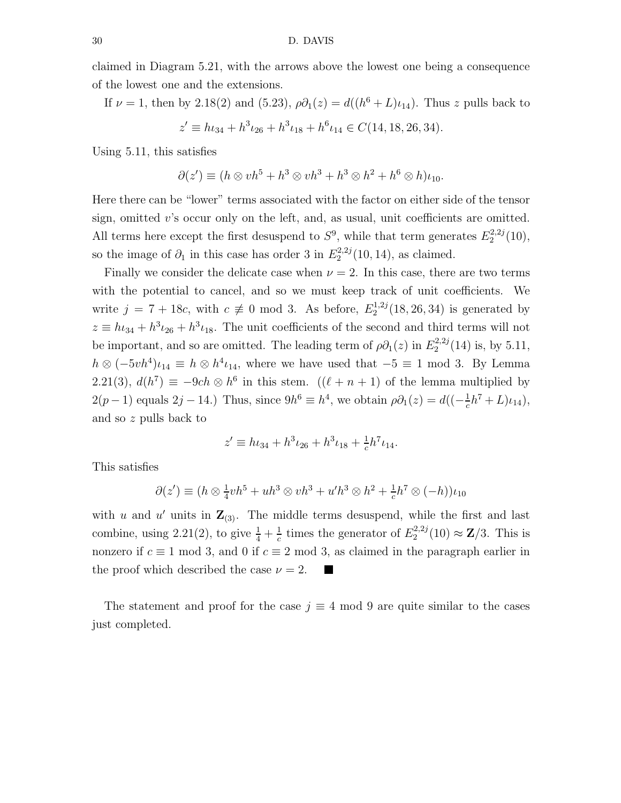claimed in Diagram 5.21, with the arrows above the lowest one being a consequence of the lowest one and the extensions.

If  $\nu = 1$ , then by 2.18(2) and (5.23),  $\rho \partial_1(z) = d((h^6 + L)\iota_{14})$ . Thus z pulls back to  $z' \equiv h\iota_{34} + h^3\iota_{26} + h^3\iota_{18} + h^6\iota_{14} \in C(14, 18, 26, 34).$ 

Using 5.11, this satisfies

$$
\partial(z') \equiv (h \otimes v h^5 + h^3 \otimes v h^3 + h^3 \otimes h^2 + h^6 \otimes h)\iota_{10}.
$$

Here there can be "lower" terms associated with the factor on either side of the tensor sign, omitted  $v$ 's occur only on the left, and, as usual, unit coefficients are omitted. All terms here except the first desuspend to  $S^9$ , while that term generates  $E_2^{2,2j}$  $2^{2,2j}(10),$ so the image of  $\partial_1$  in this case has order 3 in  $E_2^{2,2j}$  $2^{2,2j}(10,14)$ , as claimed.

Finally we consider the delicate case when  $\nu = 2$ . In this case, there are two terms with the potential to cancel, and so we must keep track of unit coefficients. We write  $j = 7 + 18c$ , with  $c \neq 0 \mod 3$ . As before,  $E_2^{1,2j}$  $2^{(1,2)}(18, 26, 34)$  is generated by  $z \equiv h_{34} + h^3 \iota_{26} + h^3 \iota_{18}$ . The unit coefficients of the second and third terms will not be important, and so are omitted. The leading term of  $\rho \partial_1(z)$  in  $E_2^{2,2j}$  $2^{2,2j}(14)$  is, by 5.11,  $h \otimes (-5vh^4)\iota_{14} \equiv h \otimes h^4\iota_{14}$ , where we have used that  $-5 \equiv 1 \mod 3$ . By Lemma 2.21(3),  $d(h^7) \equiv -9ch \otimes h^6$  in this stem.  $((\ell + n + 1)$  of the lemma multiplied by  $2(p-1)$  equals  $2j-14$ .) Thus, since  $9h^6 \equiv h^4$ , we obtain  $\rho \partial_1(z) = d((- \frac{1}{c}$  $\frac{1}{c}h^7 + L)\iota_{14}$ , and so z pulls back to

$$
z' \equiv h\iota_{34} + h^3 \iota_{26} + h^3 \iota_{18} + \frac{1}{c} h^7 \iota_{14}.
$$

This satisfies

$$
\partial(z') \equiv (h \otimes \frac{1}{4}v h^5 + uh^3 \otimes v h^3 + u' h^3 \otimes h^2 + \frac{1}{c}h^7 \otimes (-h))\iota_{10}
$$

with u and u' units in  $\mathbf{Z}_{(3)}$ . The middle terms desuspend, while the first and last combine, using 2.21(2), to give  $\frac{1}{4} + \frac{1}{c}$  $\frac{1}{c}$  times the generator of  $E_2^{2,2j}$  $2^{2,2j}(10) \approx \mathbf{Z}/3$ . This is nonzero if  $c \equiv 1 \mod 3$ , and 0 if  $c \equiv 2 \mod 3$ , as claimed in the paragraph earlier in the proof which described the case  $\nu = 2$ .  $\blacksquare$ 

The statement and proof for the case  $j \equiv 4 \mod 9$  are quite similar to the cases just completed.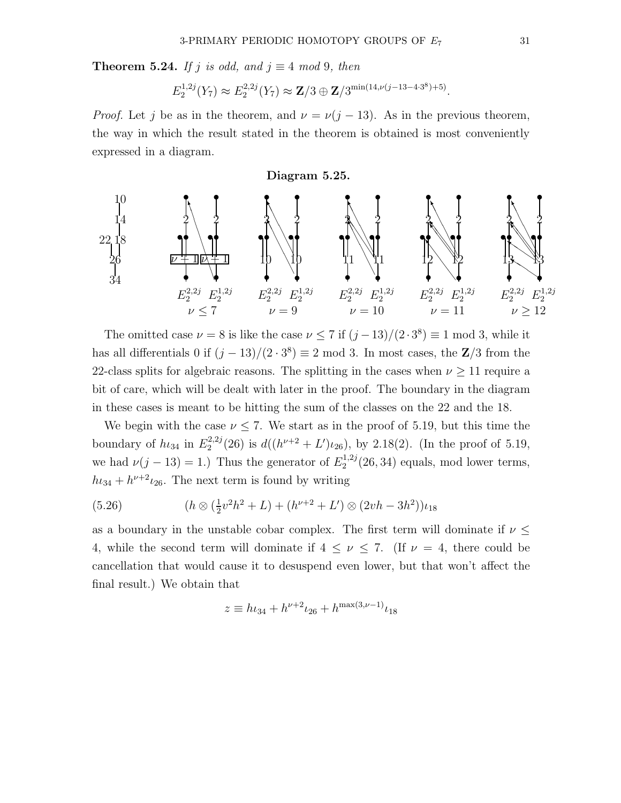**Theorem 5.24.** If j is odd, and  $j \equiv 4 \mod 9$ , then

$$
E_2^{1,2j}(Y_7) \approx E_2^{2,2j}(Y_7) \approx \mathbf{Z}/3 \oplus \mathbf{Z}/3^{\min(14,\nu(j-13-4\cdot3^8)+5)}.
$$

*Proof.* Let j be as in the theorem, and  $\nu = \nu(j-13)$ . As in the previous theorem, the way in which the result stated in the theorem is obtained is most conveniently expressed in a diagram.

#### Diagram 5.25.



The omitted case  $\nu = 8$  is like the case  $\nu \leq 7$  if  $(j-13)/(2 \cdot 3^8) \equiv 1 \mod 3$ , while it has all differentials 0 if  $(j-13)/(2 \cdot 3^8) \equiv 2 \mod 3$ . In most cases, the Z/3 from the 22-class splits for algebraic reasons. The splitting in the cases when  $\nu \geq 11$  require a bit of care, which will be dealt with later in the proof. The boundary in the diagram in these cases is meant to be hitting the sum of the classes on the 22 and the 18.

We begin with the case  $\nu \leq 7$ . We start as in the proof of 5.19, but this time the boundary of  $h_{34}$  in  $E_2^{2,2j}$  $\frac{2^{2}}{2}$  (26) is  $d((h^{\nu+2} + L')\iota_{26})$ , by 2.18(2). (In the proof of 5.19, we had  $\nu(j-13)=1$ .) Thus the generator of  $E_2^{1,2j}$  $2^{1,2j}(26,34)$  equals, mod lower terms,  $h_{34} + h^{\nu+2}v_{26}$ . The next term is found by writing

(5.26) 
$$
(h \otimes (\frac{1}{2}v^2h^2 + L) + (h^{\nu+2} + L') \otimes (2vh - 3h^2))\iota_{18}
$$

as a boundary in the unstable cobar complex. The first term will dominate if  $\nu \leq$ 4, while the second term will dominate if  $4 \leq \nu \leq 7$ . (If  $\nu = 4$ , there could be cancellation that would cause it to desuspend even lower, but that won't affect the final result.) We obtain that

$$
z \equiv h\iota_{34} + h^{\nu+2}\iota_{26} + h^{\max(3,\nu-1)}\iota_{18}
$$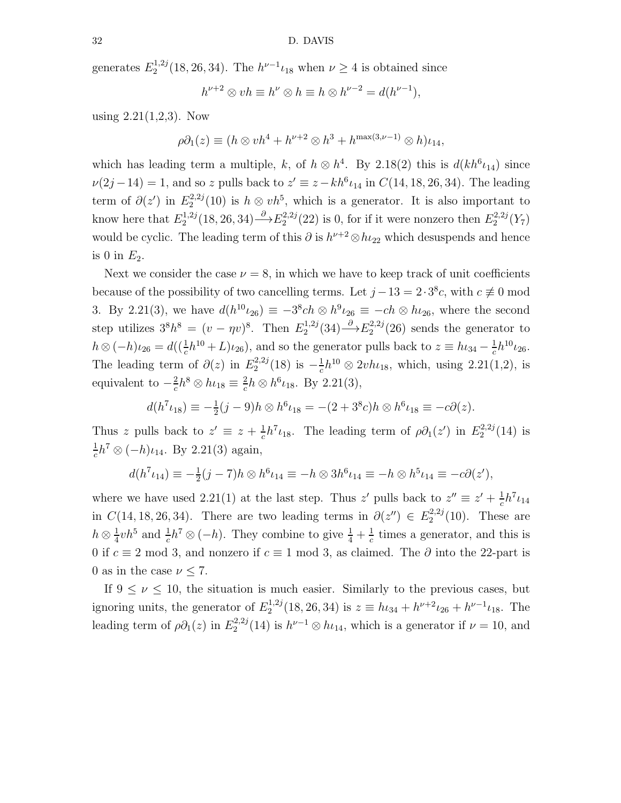generates  $E_2^{1,2j}$  $h_2^{1,2j}(18, 26, 34)$ . The  $h^{\nu-1}\iota_{18}$  when  $\nu \geq 4$  is obtained since

$$
h^{\nu+2} \otimes vh \equiv h^{\nu} \otimes h \equiv h \otimes h^{\nu-2} = d(h^{\nu-1}),
$$

using  $2.21(1,2,3)$ . Now

$$
\rho \partial_1(z) \equiv (h \otimes v h^4 + h^{\nu+2} \otimes h^3 + h^{\max(3,\nu-1)} \otimes h) \iota_{14},
$$

which has leading term a multiple, k, of  $h \otimes h^4$ . By 2.18(2) this is  $d(kh^6\iota_{14})$  since  $\nu(2j-14) = 1$ , and so z pulls back to  $z' \equiv z - kh^6 \iota_{14}$  in  $C(14, 18, 26, 34)$ . The leading term of  $\partial(z')$  in  $E_2^{2,2j}$  $h_2^{2,2j}(10)$  is  $h \otimes v h^5$ , which is a generator. It is also important to know here that  $E_2^{1,2j}$  $2^{1,2j}(18, 26, 34) \rightarrow E_2^{2,2j}$  $2^{2,2j}_{2}(22)$  is 0, for if it were nonzero then  $E_2^{2,2j}$  $2^{2,2j}(Y_7)$ would be cyclic. The leading term of this  $\partial$  is  $h^{\nu+2} \otimes h_{22}$  which desuspends and hence is 0 in  $E_2$ .

Next we consider the case  $\nu = 8$ , in which we have to keep track of unit coefficients because of the possibility of two cancelling terms. Let  $j - 13 = 2 \cdot 3^8 c$ , with  $c \neq 0$  mod 3. By 2.21(3), we have  $d(h^{10}\iota_{26}) \equiv -3^8ch \otimes h^9\iota_{26} \equiv -ch \otimes h\iota_{26}$ , where the second step utilizes  $3^8 h^8 = (v - \eta v)^8$ . Then  $E_2^{1,2j}$  $2^{(1,2j)}(34) \rightarrow E_2^{2,2j}$  $2^{2,2j}(26)$  sends the generator to  $h \otimes (-h)\iota_{26} = d((\frac{1}{c}h^{10} + L)\iota_{26})$ , and so the generator pulls back to  $z \equiv h\iota_{34} - \frac{1}{c}$  $\frac{1}{c}h^{10}\iota_{26}.$ The leading term of  $\partial(z)$  in  $E_2^{2,2j}$  $i_2^{(2,2j)}(18)$  is  $-\frac{1}{c}$  $\frac{1}{c}h^{10} \otimes 2vh_{18}$ , which, using 2.21(1,2), is equivalent to  $-\frac{2}{c}$  $\frac{2}{c}h^8\otimes h\iota_{18}\equiv \frac{2}{c}$  $\frac{2}{c}h \otimes h^6 \iota_{18}$ . By 2.21(3),

$$
d(h^7 \iota_{18}) \equiv -\frac{1}{2}(j-9)h \otimes h^6 \iota_{18} = -(2+3^8 c)h \otimes h^6 \iota_{18} \equiv -c\partial(z).
$$

Thus z pulls back to  $z' \equiv z + \frac{1}{c}$  $\frac{1}{c}h^7\iota_{18}$ . The leading term of  $\rho \partial_1(z')$  in  $E_2^{2,2j}$  $2^{2,2j}(14)$  is 1  $\frac{1}{c}h^7 \otimes (-h)\iota_{14}$ . By 2.21(3) again,

$$
d(h^{7}\iota_{14}) \equiv -\frac{1}{2}(j-7)h \otimes h^{6}\iota_{14} \equiv -h \otimes 3h^{6}\iota_{14} \equiv -h \otimes h^{5}\iota_{14} \equiv -c\partial(z'),
$$

where we have used 2.21(1) at the last step. Thus z' pulls back to  $z'' \equiv z' + \frac{1}{c}$  $\frac{1}{c}h^7\iota_{14}$ in  $C(14, 18, 26, 34)$ . There are two leading terms in  $\partial(z'') \in E_2^{2,2j}$  $2^{2,2j}(10)$ . These are  $h\otimes \frac{1}{4}$  $\frac{1}{4}vh^5$  and  $\frac{1}{c}h^7 \otimes (-h)$ . They combine to give  $\frac{1}{4} + \frac{1}{c}$  $\frac{1}{c}$  times a generator, and this is 0 if  $c \equiv 2 \mod 3$ , and nonzero if  $c \equiv 1 \mod 3$ , as claimed. The  $\partial$  into the 22-part is 0 as in the case  $\nu \leq 7$ .

If  $9 \leq \nu \leq 10$ , the situation is much easier. Similarly to the previous cases, but ignoring units, the generator of  $E_2^{1,2j}$  $h_2^{1,2j}(18, 26, 34)$  is  $z \equiv h\iota_{34} + h^{\nu+2}\iota_{26} + h^{\nu-1}\iota_{18}$ . The leading term of  $\rho \partial_1(z)$  in  $E_2^{2,2j}$  $h^2^{2,2j}(14)$  is  $h^{\nu-1} \otimes h^{\nu}$ , which is a generator if  $\nu = 10$ , and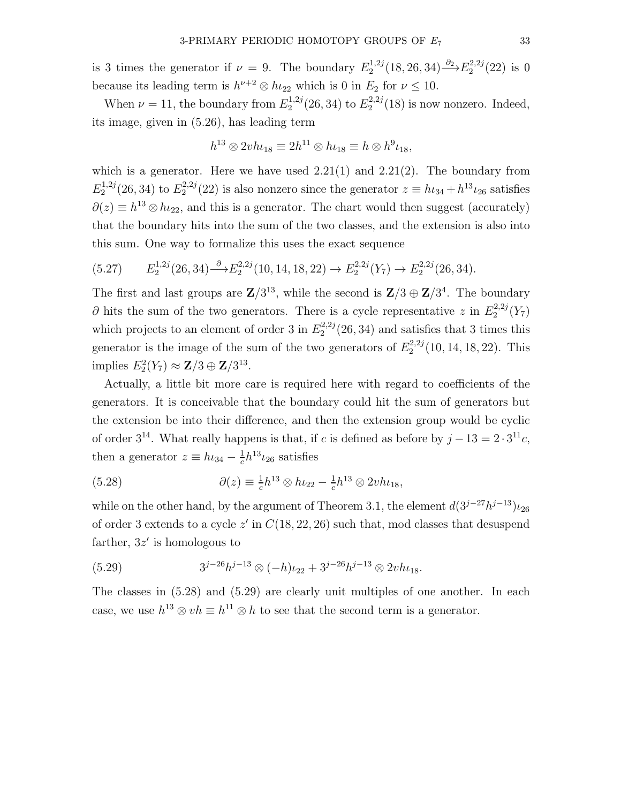is 3 times the generator if  $\nu = 9$ . The boundary  $E_2^{1,2j}$  $2^{1,2j}(18, 26, 34) \rightarrow{0_2} E_2^{2,2j}$  $2^{2,2j}(22)$  is 0 because its leading term is  $h^{\nu+2} \otimes h_{22}$  which is 0 in  $E_2$  for  $\nu \leq 10$ .

When  $\nu = 11$ , the boundary from  $E_2^{1,2j}$  $E_2^{1,2j}(26,34)$  to  $E_2^{2,2j}$  $2^{(2,2)}(18)$  is now nonzero. Indeed, its image, given in (5.26), has leading term

$$
h^{13} \otimes 2v h \iota_{18} \equiv 2h^{11} \otimes h \iota_{18} \equiv h \otimes h^9 \iota_{18},
$$

which is a generator. Here we have used  $2.21(1)$  and  $2.21(2)$ . The boundary from  $E_2^{1,2j}$  $2^{1,2j}(26,34)$  to  $E_2^{2,2j}$  $2^{2,2j}_{2}(22)$  is also nonzero since the generator  $z \equiv h_{34} + h_{34}$  satisfies  $\partial(z) \equiv h^{13} \otimes h_{22}$ , and this is a generator. The chart would then suggest (accurately) that the boundary hits into the sum of the two classes, and the extension is also into this sum. One way to formalize this uses the exact sequence

$$
(5.27) \qquad E_2^{1,2j}(26,34) \stackrel{\partial}{\longrightarrow} E_2^{2,2j}(10,14,18,22) \to E_2^{2,2j}(Y_7) \to E_2^{2,2j}(26,34).
$$

The first and last groups are  $\mathbb{Z}/3^{13}$ , while the second is  $\mathbb{Z}/3 \oplus \mathbb{Z}/3^4$ . The boundary  $\partial$  hits the sum of the two generators. There is a cycle representative z in  $E_2^{2,2j}$  $2^{2,2j}(Y_7)$ which projects to an element of order 3 in  $E_2^{2,2j}$  $2^{2,2j}(26,34)$  and satisfies that 3 times this generator is the image of the sum of the two generators of  $E_2^{2,2j}$  $2^{2,2j}(10, 14, 18, 22)$ . This implies  $E_2^2(Y_7) \approx \mathbf{Z}/3 \oplus \mathbf{Z}/3^{13}$ .

Actually, a little bit more care is required here with regard to coefficients of the generators. It is conceivable that the boundary could hit the sum of generators but the extension be into their difference, and then the extension group would be cyclic of order  $3^{14}$ . What really happens is that, if c is defined as before by  $j - 13 = 2 \cdot 3^{11}c$ , then a generator  $z \equiv h\iota_{34} - \frac{1}{c}$  $\frac{1}{c}h^{13}\iota_{26}$  satisfies

(5.28) 
$$
\partial(z) \equiv \frac{1}{c} h^{13} \otimes h_{22} - \frac{1}{c} h^{13} \otimes 2v h_{18},
$$

while on the other hand, by the argument of Theorem 3.1, the element  $d(3^{j-27}h^{j-13})\iota_{26}$ of order 3 extends to a cycle  $z'$  in  $C(18, 22, 26)$  such that, mod classes that desuspend farther,  $3z'$  is homologous to

$$
(5.29) \t3^{j-26}h^{j-13} \otimes (-h)\iota_{22} + 3^{j-26}h^{j-13} \otimes 2v h \iota_{18}.
$$

The classes in (5.28) and (5.29) are clearly unit multiples of one another. In each case, we use  $h^{13} \otimes vh \equiv h^{11} \otimes h$  to see that the second term is a generator.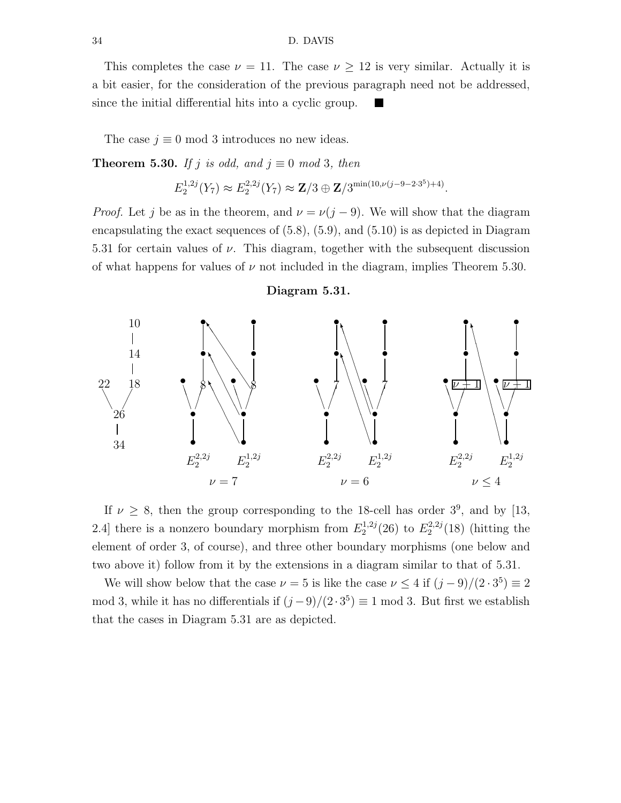#### 34 D. DAVIS

This completes the case  $\nu = 11$ . The case  $\nu \geq 12$  is very similar. Actually it is a bit easier, for the consideration of the previous paragraph need not be addressed, since the initial differential hits into a cyclic group. m

The case  $j \equiv 0 \mod 3$  introduces no new ideas.

**Theorem 5.30.** If j is odd, and  $j \equiv 0 \mod 3$ , then

$$
E_2^{1,2j}(Y_7) \approx E_2^{2,2j}(Y_7) \approx \mathbf{Z}/3 \oplus \mathbf{Z}/3^{\min(10,\nu(j-9-2\cdot3^5)+4)}.
$$

*Proof.* Let j be as in the theorem, and  $\nu = \nu(j-9)$ . We will show that the diagram encapsulating the exact sequences of (5.8), (5.9), and (5.10) is as depicted in Diagram 5.31 for certain values of  $\nu$ . This diagram, together with the subsequent discussion of what happens for values of  $\nu$  not included in the diagram, implies Theorem 5.30.

#### Diagram 5.31.



If  $\nu \geq 8$ , then the group corresponding to the 18-cell has order  $3^9$ , and by [13, 2.4] there is a nonzero boundary morphism from  $E_2^{1,2j}$  $2^{1,2j}(26)$  to  $E_2^{2,2j}$  $2^{2,2j}(18)$  (hitting the element of order 3, of course), and three other boundary morphisms (one below and two above it) follow from it by the extensions in a diagram similar to that of 5.31.

We will show below that the case  $\nu = 5$  is like the case  $\nu \leq 4$  if  $(j - 9)/(2 \cdot 3^5) \equiv 2$ mod 3, while it has no differentials if  $(j-9)/(2 \cdot 3^5) \equiv 1 \mod 3$ . But first we establish that the cases in Diagram 5.31 are as depicted.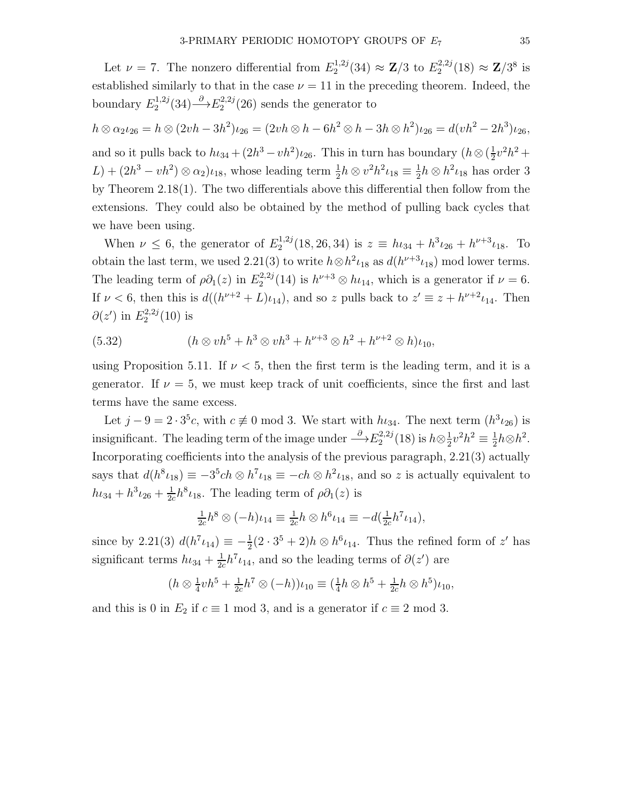Let  $\nu = 7$ . The nonzero differential from  $E_2^{1,2j}$  $2^{1,2j}(34) \approx \mathbf{Z}/3$  to  $E_2^{2,2j}$  $2^{2,2j}(18) \approx \mathbf{Z}/3^8$  is established similarly to that in the case  $\nu = 11$  in the preceding theorem. Indeed, the boundary  $E_2^{1,2j}$  $2^{1,2j}(34) \rightarrow E_2^{2,2j}$  $2^{2,2j}(26)$  sends the generator to

$$
h \otimes \alpha_2 \iota_{26} = h \otimes (2vh - 3h^2)\iota_{26} = (2vh \otimes h - 6h^2 \otimes h - 3h \otimes h^2)\iota_{26} = d(vh^2 - 2h^3)\iota_{26}
$$
, and so it pulls back to  $h\iota_{34} + (2h^3 - vh^2)\iota_{26}$ . This in turn has boundary  $(h \otimes (\frac{1}{2}v^2h^2 + L) + (2h^3 - vh^2) \otimes \alpha_2)\iota_{18}$ , whose leading term  $\frac{1}{2}h \otimes v^2h^2\iota_{18} \equiv \frac{1}{2}h \otimes h^2\iota_{18}$  has order 3 by Theorem 2.18(1). The two differentials above this differential then follow from the extensions. They could also be obtained by the method of pulling back cycles that we have been using.

When  $\nu \leq 6$ , the generator of  $E_2^{1,2j}$  $h_2^{1,2j}(18, 26, 34)$  is  $z \equiv h_{24} + h^3 \iota_{26} + h^{\nu+3} \iota_{18}$ . To obtain the last term, we used 2.21(3) to write  $h \otimes h^2 \iota_{18}$  as  $d(h^{\nu+3} \iota_{18})$  mod lower terms. The leading term of  $\rho \partial_1(z)$  in  $E_2^{2,2j}$  $h^2^{(2,2j)}$  (14) is  $h^{\nu+3} \otimes h^2$ , which is a generator if  $\nu = 6$ . If  $\nu < 6$ , then this is  $d((h^{\nu+2} + L)\iota_{14})$ , and so z pulls back to  $z' \equiv z + h^{\nu+2}\iota_{14}$ . Then  $\partial(z')$  in  $E_2^{2,2j}$  $2^{2,2j}(10)$  is

(5.32) 
$$
(h \otimes v h^5 + h^3 \otimes v h^3 + h^{\nu+3} \otimes h^2 + h^{\nu+2} \otimes h) \iota_{10},
$$

using Proposition 5.11. If  $\nu < 5$ , then the first term is the leading term, and it is a generator. If  $\nu = 5$ , we must keep track of unit coefficients, since the first and last terms have the same excess.

Let  $j - 9 = 2 \cdot 3^5 c$ , with  $c \neq 0 \mod 3$ . We start with  $h_{34}$ . The next term  $(h^3 \iota_{26})$  is insignificant. The leading term of the image under  $\stackrel{\partial}{\longrightarrow} E_2^{2,2j}$  $h_2^{(2,2j)}(18)$  is  $h\otimes \frac{1}{2}$  $\frac{1}{2}v^2h^2 \equiv \frac{1}{2}$  $\frac{1}{2}h\otimes h^2$ . Incorporating coefficients into the analysis of the previous paragraph, 2.21(3) actually says that  $d(h^8 \iota_{18}) \equiv -3^5 ch \otimes h^7 \iota_{18} \equiv -ch \otimes h^2 \iota_{18}$ , and so z is actually equivalent to  $h_{{}^{1}34} + h_{{}^{3}L_{26}} + \frac{1}{24}$  $\frac{1}{2c}h^8\iota_{18}$ . The leading term of  $\rho\partial_1(z)$  is

$$
\frac{1}{2c}h^8 \otimes (-h)\iota_{14} \equiv \frac{1}{2c}h \otimes h^6 \iota_{14} \equiv -d(\frac{1}{2c}h^7 \iota_{14}),
$$

since by 2.21(3)  $d(h^7 \iota_{14}) \equiv -\frac{1}{2}(2 \cdot 3^5 + 2)h \otimes h^6 \iota_{14}$ . Thus the refined form of z' has significant terms  $h_{34} + \frac{1}{2a}$  $\frac{1}{2c}h^7\iota_{14}$ , and so the leading terms of  $\partial(z')$  are

$$
(h \otimes \frac{1}{4}v h^5 + \frac{1}{2c}h^7 \otimes (-h))\iota_{10} \equiv (\frac{1}{4}h \otimes h^5 + \frac{1}{2c}h \otimes h^5)\iota_{10},
$$

and this is 0 in  $E_2$  if  $c \equiv 1 \mod 3$ , and is a generator if  $c \equiv 2 \mod 3$ .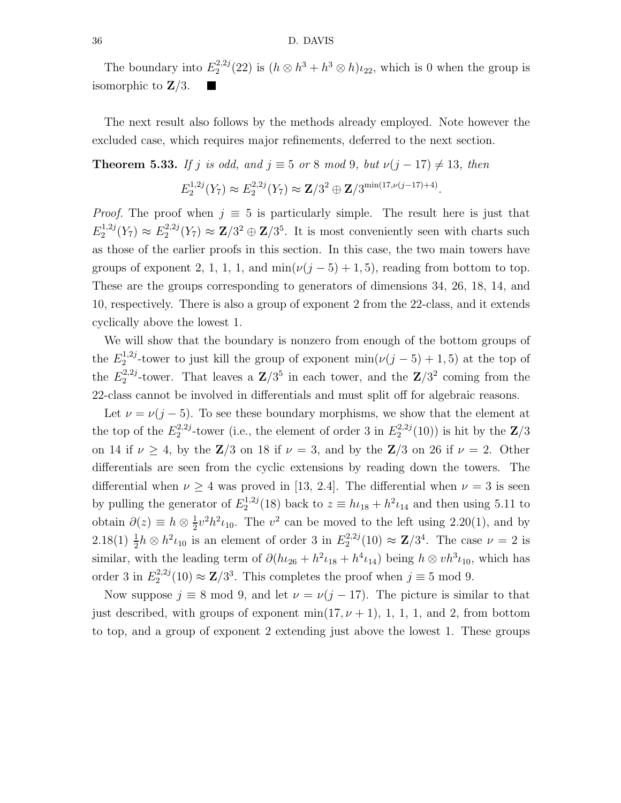#### 36 D. DAVIS

The boundary into  $E_2^{2,2j}$  $h_2^{2,2j}(22)$  is  $(h \otimes h^3 + h^3 \otimes h)\iota_{22}$ , which is 0 when the group is isomorphic to  $\mathbf{Z}/3$ .

The next result also follows by the methods already employed. Note however the excluded case, which requires major refinements, deferred to the next section.

**Theorem 5.33.** If j is odd, and  $j \equiv 5$  or 8 mod 9, but  $\nu(j - 17) \neq 13$ , then

$$
E_2^{1,2j}(Y_7) \approx E_2^{2,2j}(Y_7) \approx \mathbf{Z}/3^2 \oplus \mathbf{Z}/3^{\min(17,\nu(j-17)+4)}.
$$

*Proof.* The proof when  $j \equiv 5$  is particularly simple. The result here is just that  $E_2^{1,2j}$  $E_2^{1,2j}(Y_7) \approx E_2^{2,2j}$  $2^{2,2j}(Y_7) \approx \mathbb{Z}/3^2 \oplus \mathbb{Z}/3^5$ . It is most conveniently seen with charts such as those of the earlier proofs in this section. In this case, the two main towers have groups of exponent 2, 1, 1, 1, and  $\min(\nu(j-5)+1,5)$ , reading from bottom to top. These are the groups corresponding to generators of dimensions 34, 26, 18, 14, and 10, respectively. There is also a group of exponent 2 from the 22-class, and it extends cyclically above the lowest 1.

We will show that the boundary is nonzero from enough of the bottom groups of the  $E_2^{1,2j}$ <sup>1,2j</sup>-tower to just kill the group of exponent  $\min(\nu(j-5)+1,5)$  at the top of the  $E_2^{2,2j}$ <sup>2,2j</sup>-tower. That leaves a  $\mathbb{Z}/3^5$  in each tower, and the  $\mathbb{Z}/3^2$  coming from the 22-class cannot be involved in differentials and must split off for algebraic reasons.

Let  $\nu = \nu(j-5)$ . To see these boundary morphisms, we show that the element at the top of the  $E_2^{2,2j}$ <sup>2,2j</sup>-tower (i.e., the element of order 3 in  $E_2^{2,2j}$  $2^{2,2j}(10)$  is hit by the  $\mathbb{Z}/3$ on 14 if  $\nu \geq 4$ , by the **Z**/3 on 18 if  $\nu = 3$ , and by the **Z**/3 on 26 if  $\nu = 2$ . Other differentials are seen from the cyclic extensions by reading down the towers. The differential when  $\nu \geq 4$  was proved in [13, 2.4]. The differential when  $\nu = 3$  is seen by pulling the generator of  $E_2^{1,2j}$  $2^{1,2j}(18)$  back to  $z \equiv h \iota_{18} + h^2 \iota_{14}$  and then using 5.11 to obtain  $\partial(z) \equiv h \otimes \frac{1}{2}$  $\frac{1}{2}v^2h^2\iota_{10}$ . The  $v^2$  can be moved to the left using 2.20(1), and by  $2.18(1) \frac{1}{2}h \otimes h^2 \iota_{10}$  is an element of order 3 in  $E_2^{2,2j}$  $2^{(2,2j)}_{2}(10) \approx \mathbf{Z}/3^4$ . The case  $\nu = 2$  is similar, with the leading term of  $\partial (h_{{}^26} + h^2 \iota_{18} + h^4 \iota_{14})$  being  $h \otimes v h^3 \iota_{10}$ , which has order 3 in  $E_2^{2,2j}$  $2^{2,2j}(10) \approx \mathbb{Z}/3^3$ . This completes the proof when  $j \equiv 5 \text{ mod } 9$ .

Now suppose  $j \equiv 8 \mod 9$ , and let  $\nu = \nu(j - 17)$ . The picture is similar to that just described, with groups of exponent  $\min(17, \nu + 1)$ , 1, 1, 1, and 2, from bottom to top, and a group of exponent 2 extending just above the lowest 1. These groups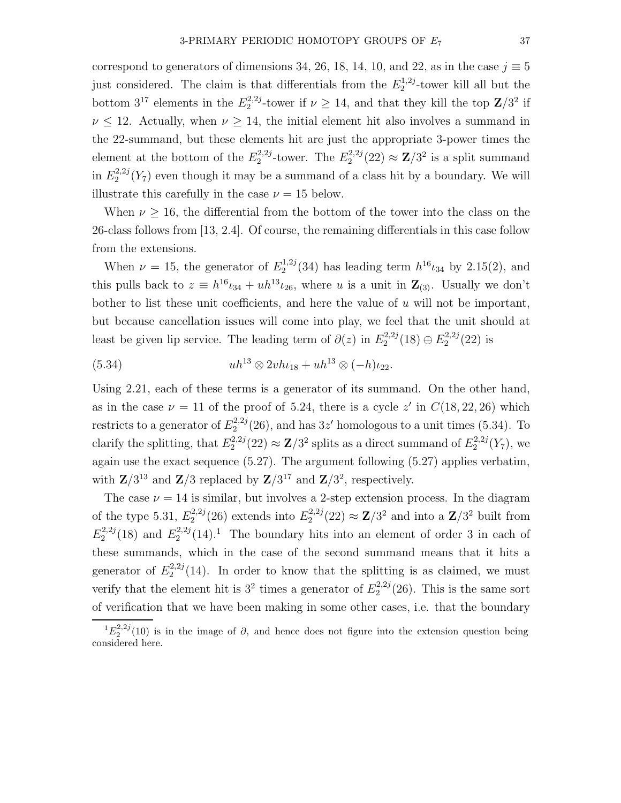correspond to generators of dimensions 34, 26, 18, 14, 10, and 22, as in the case  $j \equiv 5$ just considered. The claim is that differentials from the  $E_2^{1,2j}$  $2^{1,2j}$ -tower kill all but the bottom  $3^{17}$  elements in the  $E_2^{2,2j}$ <sup>2,2j</sup>-tower if  $\nu \ge 14$ , and that they kill the top  $\mathbb{Z}/3^2$  if  $\nu \leq 12$ . Actually, when  $\nu \geq 14$ , the initial element hit also involves a summand in the 22-summand, but these elements hit are just the appropriate 3-power times the element at the bottom of the  $E_2^{2,2j}$  $2^{2,2j}$ -tower. The  $E_2^{2,2j}$  $2^{(2,2j)}_{2}(22) \approx \mathbf{Z}/3^2$  is a split summand in  $E_2^{2,2j}$  $22^{2,2j}(Y_7)$  even though it may be a summand of a class hit by a boundary. We will illustrate this carefully in the case  $\nu = 15$  below.

When  $\nu \geq 16$ , the differential from the bottom of the tower into the class on the 26-class follows from [13, 2.4]. Of course, the remaining differentials in this case follow from the extensions.

When  $\nu = 15$ , the generator of  $E_2^{1,2j}$  $h_2^{1,2j}(34)$  has leading term  $h^{16}\iota_{34}$  by 2.15(2), and this pulls back to  $z \equiv h^{16} \iota_{34} + u h^{13} \iota_{26}$ , where u is a unit in  $\mathbb{Z}_{(3)}$ . Usually we don't bother to list these unit coefficients, and here the value of  $u$  will not be important, but because cancellation issues will come into play, we feel that the unit should at least be given lip service. The leading term of  $\partial(z)$  in  $E_2^{2,2j}$  $E_2^{2,2j}(18) \oplus E_2^{2,2j}$  $2^{2,2j}(22)$  is

(5.34) 
$$
uh^{13} \otimes 2vh_{18} + uh^{13} \otimes (-h)_{22}.
$$

Using 2.21, each of these terms is a generator of its summand. On the other hand, as in the case  $\nu = 11$  of the proof of 5.24, there is a cycle z' in  $C(18, 22, 26)$  which restricts to a generator of  $E_2^{2,2j}$  $2^{2,2j}(26)$ , and has  $3z'$  homologous to a unit times (5.34). To clarify the splitting, that  $E_2^{2,2j}$  $2^{2,2j}(22) \approx \mathbb{Z}/3^2$  splits as a direct summand of  $E_2^{2,2j}$  $2^{2,2j}(Y_7)$ , we again use the exact sequence (5.27). The argument following (5.27) applies verbatim, with  $\mathbb{Z}/3^{13}$  and  $\mathbb{Z}/3$  replaced by  $\mathbb{Z}/3^{17}$  and  $\mathbb{Z}/3^2$ , respectively.

The case  $\nu = 14$  is similar, but involves a 2-step extension process. In the diagram of the type 5.31,  $E_2^{2,2j}$  $E_2^{2,2j}(26)$  extends into  $E_2^{2,2j}$  $2^{2,2j}(22) \approx \mathbf{Z}/3^2$  and into a  $\mathbf{Z}/3^2$  built from  $E_2^{2,2j}$  $E_2^{2,2j}(18)$  and  $E_2^{2,2j}$  $2^{2,2j}(14).$ <sup>1</sup> The boundary hits into an element of order 3 in each of these summands, which in the case of the second summand means that it hits a generator of  $E_2^{2,2j}$  $2^{2,2j}(14)$ . In order to know that the splitting is as claimed, we must verify that the element hit is  $3^2$  times a generator of  $E_2^{2,2j}$  $2^{2,2j}(26)$ . This is the same sort of verification that we have been making in some other cases, i.e. that the boundary

 ${}^{1}E_{2}^{2,2j}(10)$  is in the image of  $\partial$ , and hence does not figure into the extension question being considered here.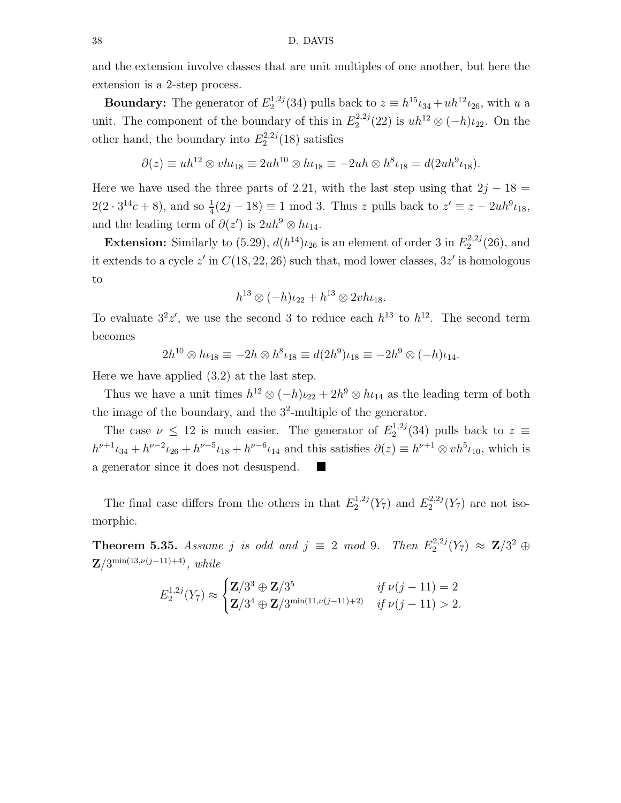and the extension involve classes that are unit multiples of one another, but here the extension is a 2-step process.

**Boundary:** The generator of  $E_2^{1,2j}$  $2^{1,2j}(34)$  pulls back to  $z \equiv h^{15} \iota_{34} + u h^{12} \iota_{26}$ , with u a unit. The component of the boundary of this in  $E_2^{2,2j}$  $u_2^{(2,2)}(22)$  is  $uh^{12} \otimes (-h)\iota_{22}$ . On the other hand, the boundary into  $E_2^{2,2j}$  $2^{2,2j}(18)$  satisfies

$$
\partial(z) \equiv uh^{12} \otimes v h_{18} \equiv 2uh^{10} \otimes h_{18} \equiv -2uh \otimes h^{8} u_{18} = d(2uh^{9} u_{18}).
$$

Here we have used the three parts of 2.21, with the last step using that  $2j - 18 =$  $2(2 \cdot 3^{14}c + 8)$ , and so  $\frac{1}{4}(2j - 18) \equiv 1 \mod 3$ . Thus z pulls back to  $z' \equiv z - 2uh^9\iota_{18}$ , and the leading term of  $\partial(z')$  is  $2uh^9 \otimes h \iota_{14}$ .

**Extension:** Similarly to (5.29),  $d(h^{14})_{l_{26}}$  is an element of order 3 in  $E_2^{2,2j}$  $2^{2,2j}(26)$ , and it extends to a cycle  $z'$  in  $C(18, 22, 26)$  such that, mod lower classes,  $3z'$  is homologous to

$$
h^{13} \otimes (-h)\iota_{22} + h^{13} \otimes 2vh\iota_{18}.
$$

To evaluate  $3^2z'$ , we use the second 3 to reduce each  $h^{13}$  to  $h^{12}$ . The second term becomes

$$
2h^{10} \otimes h\iota_{18} \equiv -2h \otimes h^8 \iota_{18} \equiv d(2h^9)\iota_{18} \equiv -2h^9 \otimes (-h)\iota_{14}.
$$

Here we have applied (3.2) at the last step.

Thus we have a unit times  $h^{12} \otimes (-h)\iota_{22} + 2h^9 \otimes h\iota_{14}$  as the leading term of both the image of the boundary, and the  $3^2$ -multiple of the generator.

The case  $\nu \leq 12$  is much easier. The generator of  $E_2^{1,2j}$  $2^{1,2j}(34)$  pulls back to  $z \equiv$  $h^{\nu+1} \iota_{34} + h^{\nu-2} \iota_{26} + h^{\nu-5} \iota_{18} + h^{\nu-6} \iota_{14}$  and this satisfies  $\partial(z) \equiv h^{\nu+1} \otimes v h^5 \iota_{10}$ , which is a generator since it does not desuspend.  $\blacksquare$ 

The final case differs from the others in that  $E_2^{1,2j}$  $E_2^{1,2j}(Y_7)$  and  $E_2^{2,2j}$  $2^{2,2j}(Y_7)$  are not isomorphic.

**Theorem 5.35.** Assume j is odd and  $j \equiv 2 \mod 9$ . Then  $E_2^{2,2j}$  $\mathbf{Z}_2^{(2,2j)}(Y_7) \approx \mathbf{Z}/3^2 \oplus$  $Z/3^{\min(13,\nu(j-11)+4)}$ , while

$$
E_2^{1,2j}(Y_7) \approx \begin{cases} \mathbf{Z}/3^3 \oplus \mathbf{Z}/3^5 & \text{if } \nu(j-11) = 2\\ \mathbf{Z}/3^4 \oplus \mathbf{Z}/3^{\min(11,\nu(j-11)+2)} & \text{if } \nu(j-11) > 2. \end{cases}
$$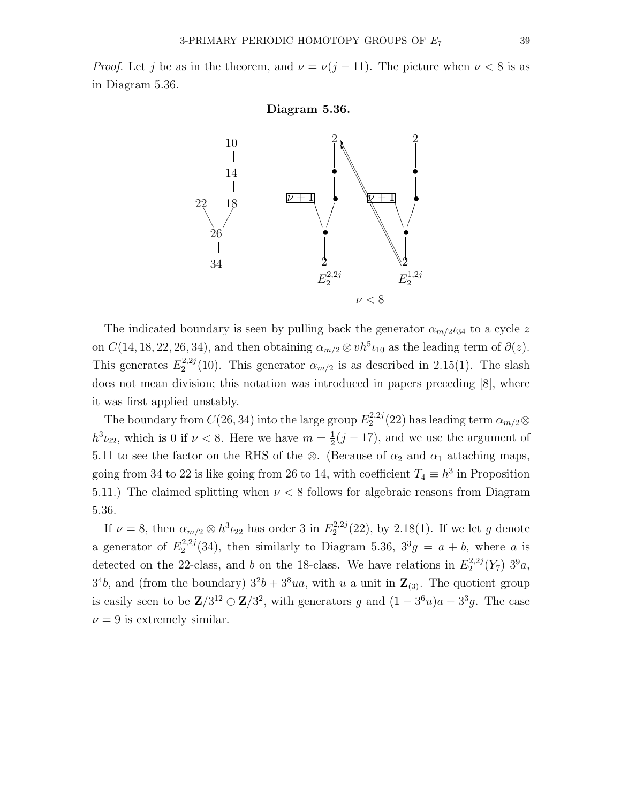



The indicated boundary is seen by pulling back the generator  $\alpha_{m/2}$ <sub>24</sub> to a cycle z on  $C(14, 18, 22, 26, 34)$ , and then obtaining  $\alpha_{m/2} \otimes v h^5 \iota_{10}$  as the leading term of  $\partial(z)$ . This generates  $E_2^{2,2j}$  $2^{2,2j}(10)$ . This generator  $\alpha_{m/2}$  is as described in 2.15(1). The slash does not mean division; this notation was introduced in papers preceding [8], where it was first applied unstably.

The boundary from  $C(26, 34)$  into the large group  $E_2^{2,2j}$  $\alpha_{2}^{(2,2)}(22)$  has leading term  $\alpha_{m/2}$  $h^3 \iota_{22}$ , which is 0 if  $\nu < 8$ . Here we have  $m = \frac{1}{2}$  $\frac{1}{2}(j-17)$ , and we use the argument of 5.11 to see the factor on the RHS of the ⊗. (Because of  $\alpha_2$  and  $\alpha_1$  attaching maps, going from 34 to 22 is like going from 26 to 14, with coefficient  $T_4 \equiv h^3$  in Proposition 5.11.) The claimed splitting when  $\nu < 8$  follows for algebraic reasons from Diagram 5.36.

If  $\nu = 8$ , then  $\alpha_{m/2} \otimes h^3 \iota_{22}$  has order 3 in  $E_2^{2,2j}$  $2^{2,2j}(22)$ , by 2.18(1). If we let g denote a generator of  $E_2^{2,2j}$  $2^{2,2j}(34)$ , then similarly to Diagram 5.36,  $3^{3}g = a + b$ , where a is detected on the 22-class, and b on the 18-class. We have relations in  $E_2^{2,2j}$  $2^{2,2j}(Y_7)$   $3^9a$ ,  $3<sup>4</sup>b$ , and (from the boundary)  $3<sup>2</sup>b + 3<sup>8</sup>ua$ , with u a unit in  $\mathbb{Z}_{(3)}$ . The quotient group is easily seen to be  $\mathbb{Z}/3^{12} \oplus \mathbb{Z}/3^2$ , with generators g and  $(1-3^6u)a - 3^3g$ . The case  $\nu = 9$  is extremely similar.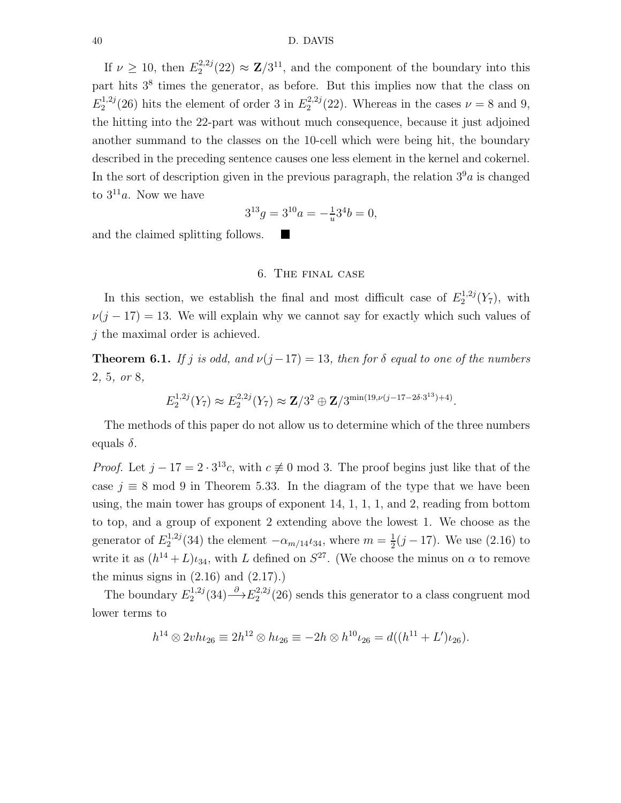### 40 D. DAVIS

If  $\nu \geq 10$ , then  $E_2^{2,2j}$  $2^{2,2j}(22) \approx \mathbb{Z}/3^{11}$ , and the component of the boundary into this part hits 3<sup>8</sup> times the generator, as before. But this implies now that the class on  $E_2^{1,2j}$  $2^{1,2j}(26)$  hits the element of order 3 in  $E_2^{2,2j}$  $2^{2,2j}(22)$ . Whereas in the cases  $\nu = 8$  and 9, the hitting into the 22-part was without much consequence, because it just adjoined another summand to the classes on the 10-cell which were being hit, the boundary described in the preceding sentence causes one less element in the kernel and cokernel. In the sort of description given in the previous paragraph, the relation  $3<sup>9</sup>a$  is changed to  $3^{11}a$ . Now we have

$$
3^{13}g = 3^{10}a = -\frac{1}{u}3^4b = 0,
$$

L.

and the claimed splitting follows.

## 6. The final case

In this section, we establish the final and most difficult case of  $E_2^{1,2j}$  $2^{(1,2j)}(Y_7)$ , with  $\nu(j - 17) = 13$ . We will explain why we cannot say for exactly which such values of j the maximal order is achieved.

**Theorem 6.1.** If j is odd, and  $\nu(j-17) = 13$ , then for  $\delta$  equal to one of the numbers 2, 5, or 8,

$$
E_2^{1,2j}(Y_7) \approx E_2^{2,2j}(Y_7) \approx \mathbf{Z}/3^2 \oplus \mathbf{Z}/3^{\min(19,\nu(j-17-2\delta\cdot 3^{13})+4)}.
$$

The methods of this paper do not allow us to determine which of the three numbers equals  $\delta$ .

*Proof.* Let  $j - 17 = 2 \cdot 3^{13}c$ , with  $c \neq 0 \mod 3$ . The proof begins just like that of the case  $j \equiv 8 \mod 9$  in Theorem 5.33. In the diagram of the type that we have been using, the main tower has groups of exponent 14, 1, 1, 1, and 2, reading from bottom to top, and a group of exponent 2 extending above the lowest 1. We choose as the generator of  $E_2^{1,2j}$  $2^{1,2j}(34)$  the element  $-\alpha_{m/14}t_{34}$ , where  $m=\frac{1}{2}$  $\frac{1}{2}(j-17)$ . We use  $(2.16)$  to write it as  $(h^{14} + L)\iota_{34}$ , with L defined on  $S^{27}$ . (We choose the minus on  $\alpha$  to remove the minus signs in  $(2.16)$  and  $(2.17)$ .

The boundary  $E_2^{1,2j}$  $L_2^{1,2j}(34) \longrightarrow E_2^{2,2j}$  $2^{2,2j}(26)$  sends this generator to a class congruent mod lower terms to

$$
h^{14} \otimes 2v h \iota_{26} \equiv 2h^{12} \otimes h \iota_{26} \equiv -2h \otimes h^{10} \iota_{26} = d((h^{11} + L') \iota_{26}).
$$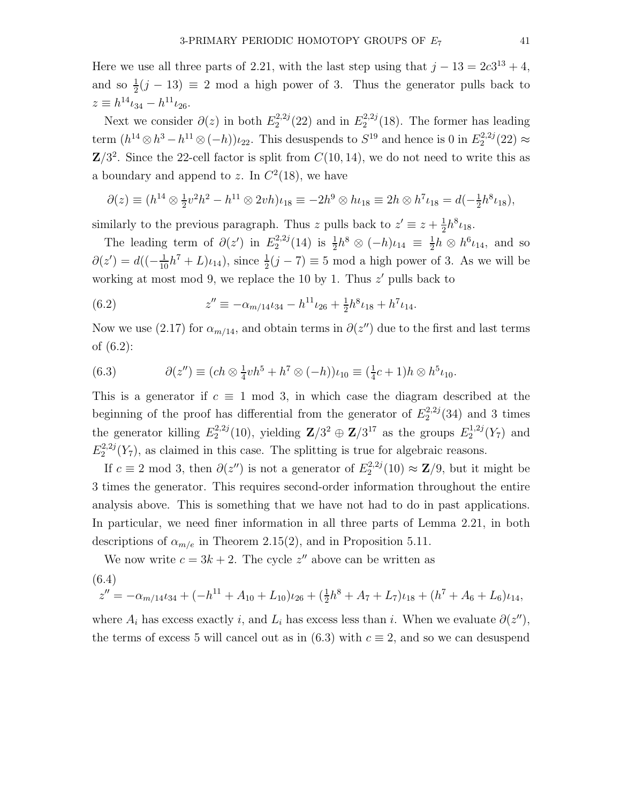Here we use all three parts of 2.21, with the last step using that  $j - 13 = 2c3^{13} + 4$ , and so  $\frac{1}{2}(j-13) \equiv 2 \mod a$  high power of 3. Thus the generator pulls back to  $z \equiv h^{14} \iota_{34} - h^{11} \iota_{26}.$ 

Next we consider  $\partial(z)$  in both  $E_2^{2,2j}$  $2^{2,2j}(22)$  and in  $E_2^{2,2j}$  $2^{2,2j}(18)$ . The former has leading term  $(h^{14} \otimes h^3 - h^{11} \otimes (-h))_{22}$ . This desuspends to  $S^{19}$  and hence is 0 in  $E_2^{2,2j}$  $2^{12,2j}(22) \approx$  $\mathbb{Z}/3^2$ . Since the 22-cell factor is split from  $C(10, 14)$ , we do not need to write this as a boundary and append to z. In  $C^2(18)$ , we have

$$
\partial(z) \equiv (h^{14} \otimes \frac{1}{2}v^2h^2 - h^{11} \otimes 2vh)\iota_{18} \equiv -2h^9 \otimes h\iota_{18} \equiv 2h \otimes h^7 \iota_{18} = d(-\frac{1}{2}h^8 \iota_{18}),
$$

similarly to the previous paragraph. Thus z pulls back to  $z' \equiv z + \frac{1}{2}$  $\frac{1}{2}h^8\iota_{18}.$ 

The leading term of  $\partial(z')$  in  $E_2^{2,2j}$  $\frac{1}{2}$ <sup>2,2j</sup>(14) is  $\frac{1}{2}h^8 \otimes (-h)\iota_{14} \equiv \frac{1}{2}$  $\frac{1}{2}h \otimes h^6\iota_{14}$ , and so  $\partial(z') = d\left((- \frac{1}{10}h^7 + L)\iota_{14}\right)$ , since  $\frac{1}{2}(j - 7) \equiv 5 \pmod{a}$  high power of 3. As we will be working at most mod 9, we replace the 10 by 1. Thus  $z'$  pulls back to

(6.2) 
$$
z'' \equiv -\alpha_{m/14} \iota_{34} - h^{11} \iota_{26} + \frac{1}{2} h^8 \iota_{18} + h^7 \iota_{14}.
$$

Now we use (2.17) for  $\alpha_{m/14}$ , and obtain terms in  $\partial(z'')$  due to the first and last terms of (6.2):

(6.3) 
$$
\partial(z'') \equiv (ch \otimes \frac{1}{4}vh^5 + h^7 \otimes (-h))\iota_{10} \equiv (\frac{1}{4}c + 1)h \otimes h^5 \iota_{10}.
$$

This is a generator if  $c \equiv 1 \mod 3$ , in which case the diagram described at the beginning of the proof has differential from the generator of  $E_2^{2,2j}$  $2^{2,2j}(34)$  and 3 times the generator killing  $E_2^{2,2j}$  $2^{2,2j}(10)$ , yielding  $\mathbb{Z}/3^2 \oplus \mathbb{Z}/3^{17}$  as the groups  $E_2^{1,2j}$  $2^{(1,2j)}(Y_7)$  and  $E_2^{2,2j}$  $2^{2,2j}(Y_7)$ , as claimed in this case. The splitting is true for algebraic reasons.

If  $c \equiv 2 \mod 3$ , then  $\partial(z'')$  is not a generator of  $E_2^{2,2j}$  $\mathbf{Z}_2^{(2,2)}(10) \approx \mathbf{Z}/9$ , but it might be 3 times the generator. This requires second-order information throughout the entire analysis above. This is something that we have not had to do in past applications. In particular, we need finer information in all three parts of Lemma 2.21, in both descriptions of  $\alpha_{m/e}$  in Theorem 2.15(2), and in Proposition 5.11.

We now write  $c = 3k + 2$ . The cycle  $z''$  above can be written as

$$
(6.4)
$$

$$
z'' = -\alpha_{m/14}t_{34} + (-h^{11} + A_{10} + L_{10})t_{26} + (\frac{1}{2}h^8 + A_7 + L_7)t_{18} + (h^7 + A_6 + L_6)t_{14},
$$

where  $A_i$  has excess exactly i, and  $L_i$  has excess less than i. When we evaluate  $\partial(z'')$ , the terms of excess 5 will cancel out as in  $(6.3)$  with  $c \equiv 2$ , and so we can desuspend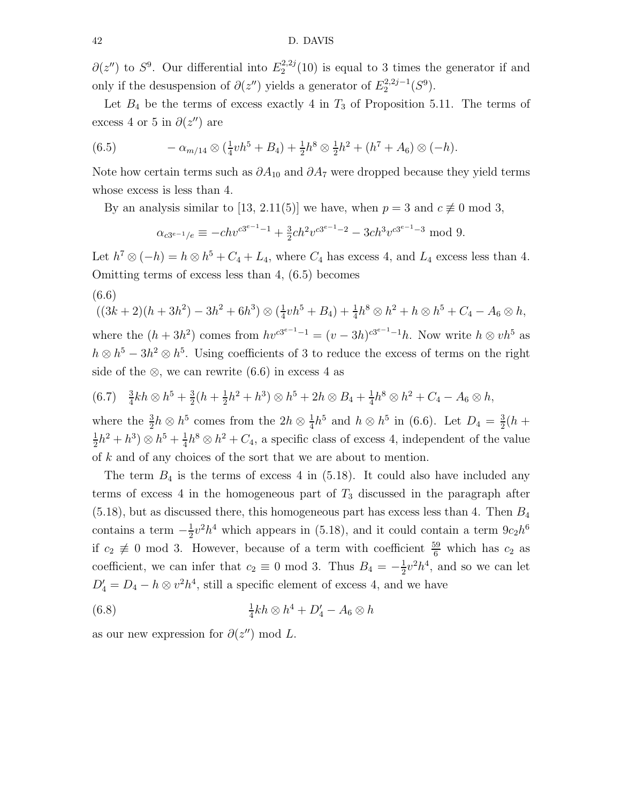$\partial(z'')$  to  $S^9$ . Our differential into  $E_2^{2,2j}$  $2^{2,2j}(10)$  is equal to 3 times the generator if and only if the desuspension of  $\partial(z'')$  yields a generator of  $E_2^{2,2j-1}$  $2^{(2,2j-1)}(S^9).$ 

Let  $B_4$  be the terms of excess exactly 4 in  $T_3$  of Proposition 5.11. The terms of excess 4 or 5 in  $\partial(z'')$  are

(6.5) 
$$
- \alpha_{m/14} \otimes (\frac{1}{4}v h^5 + B_4) + \frac{1}{2}h^8 \otimes \frac{1}{2}h^2 + (h^7 + A_6) \otimes (-h).
$$

Note how certain terms such as  $\partial A_{10}$  and  $\partial A_7$  were dropped because they yield terms whose excess is less than 4.

By an analysis similar to [13, 2.11(5)] we have, when  $p = 3$  and  $c \not\equiv 0 \mod 3$ ,

$$
\alpha_{c3^{e-1}/e} \equiv -ch v^{c3^{e-1}-1} + \frac{3}{2}ch^2 v^{c3^{e-1}-2} - 3ch^3 v^{c3^{e-1}-3} \mod 9.
$$

Let  $h^7 \otimes (-h) = h \otimes h^5 + C_4 + L_4$ , where  $C_4$  has excess 4, and  $L_4$  excess less than 4. Omitting terms of excess less than 4, (6.5) becomes

(6.6)

$$
((3k+2)(h+3h^2)-3h^2+6h^3)\otimes(\frac{1}{4}vh^5+B_4)+\frac{1}{4}h^8\otimes h^2+h\otimes h^5+C_4-A_6\otimes h
$$
, where the  $(h+3h^2)$  comes from  $hv^{cs^{e-1}-1} = (v-3h)^{cs^{e-1}-1}h$ . Now write  $h\otimes vh^5$  as  $h\otimes h^5-3h^2\otimes h^5$ . Using coefficients of 3 to reduce the excess of terms on the right side of the  $\otimes$ , we can rewrite (6.6) in excess 4 as

$$
(6.7) \quad \frac{3}{4}kh \otimes h^5 + \frac{3}{2}(h + \frac{1}{2}h^2 + h^3) \otimes h^5 + 2h \otimes B_4 + \frac{1}{4}h^8 \otimes h^2 + C_4 - A_6 \otimes h,
$$

where the  $\frac{3}{2}h \otimes h^5$  comes from the  $2h \otimes \frac{1}{4}$  $\frac{1}{4}h^5$  and  $h \otimes h^5$  in (6.6). Let  $D_4 = \frac{3}{2}$  $\frac{3}{2}(h + )$ 1  $\frac{1}{2}h^2 + h^3$   $\otimes h^5 + \frac{1}{4}$  $\frac{1}{4}h^8 \otimes h^2 + C_4$ , a specific class of excess 4, independent of the value of k and of any choices of the sort that we are about to mention.

The term  $B_4$  is the terms of excess 4 in (5.18). It could also have included any terms of excess 4 in the homogeneous part of  $T_3$  discussed in the paragraph after  $(5.18)$ , but as discussed there, this homogeneous part has excess less than 4. Then  $B_4$ contains a term  $-\frac{1}{2}$  $\frac{1}{2}v^2h^4$  which appears in (5.18), and it could contain a term  $9c_2h^6$ if  $c_2 \neq 0$  mod 3. However, because of a term with coefficient  $\frac{59}{6}$  which has  $c_2$  as coefficient, we can infer that  $c_2 \equiv 0 \mod 3$ . Thus  $B_4 = -\frac{1}{2}$  $\frac{1}{2}v^2h^4$ , and so we can let  $D'_4 = D_4 - h \otimes v^2 h^4$ , still a specific element of excess 4, and we have

$$
(6.8)\qquad \qquad \frac{1}{4}kh \otimes h^4 + D_4' - A_6 \otimes h
$$

as our new expression for  $\partial(z'') \text{ mod } L$ .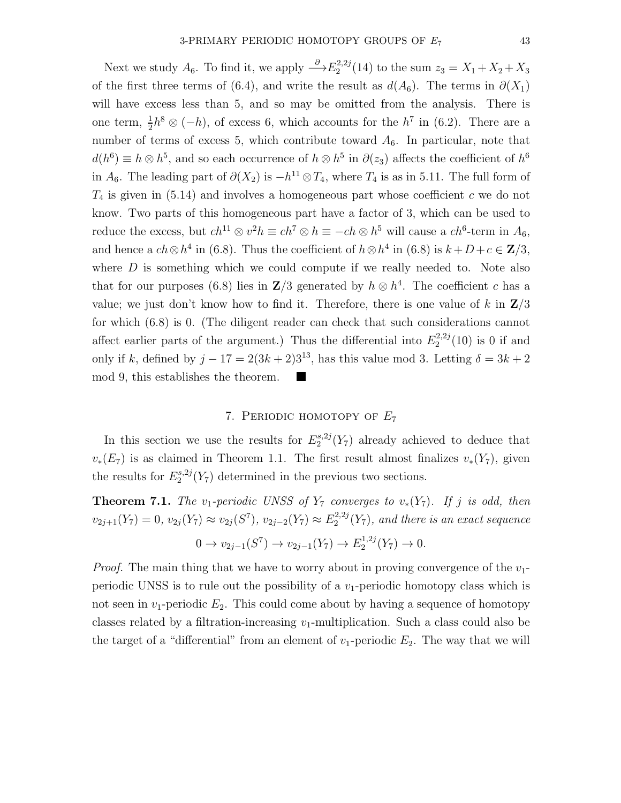Next we study  $A_6$ . To find it, we apply  $\stackrel{\partial}{\longrightarrow} E_2^{2,2j}$  $2^{2,2j}(14)$  to the sum  $z_3 = X_1 + X_2 + X_3$ of the first three terms of (6.4), and write the result as  $d(A_6)$ . The terms in  $\partial(X_1)$ will have excess less than 5, and so may be omitted from the analysis. There is one term,  $\frac{1}{2}h^8 \otimes (-h)$ , of excess 6, which accounts for the  $h^7$  in (6.2). There are a number of terms of excess 5, which contribute toward  $A_6$ . In particular, note that  $d(h^6) \equiv h \otimes h^5$ , and so each occurrence of  $h \otimes h^5$  in  $\partial(z_3)$  affects the coefficient of  $h^6$ in  $A_6$ . The leading part of  $\partial(X_2)$  is  $-h^{11} \otimes T_4$ , where  $T_4$  is as in 5.11. The full form of  $T_4$  is given in (5.14) and involves a homogeneous part whose coefficient c we do not know. Two parts of this homogeneous part have a factor of 3, which can be used to reduce the excess, but  $ch^{11} \otimes v^2 h \equiv ch^7 \otimes h \equiv -ch \otimes h^5$  will cause a  $ch^6$ -term in  $A_6$ , and hence a  $ch \otimes h^4$  in (6.8). Thus the coefficient of  $h \otimes h^4$  in (6.8) is  $k+D+c \in \mathbb{Z}/3$ , where  $D$  is something which we could compute if we really needed to. Note also that for our purposes (6.8) lies in  $\mathbb{Z}/3$  generated by  $h \otimes h^4$ . The coefficient c has a value; we just don't know how to find it. Therefore, there is one value of k in  $\mathbb{Z}/3$ for which (6.8) is 0. (The diligent reader can check that such considerations cannot affect earlier parts of the argument.) Thus the differential into  $E_2^{2,2j}$  $2^{2,2j}(10)$  is 0 if and only if k, defined by  $j - 17 = 2(3k + 2)3^{13}$ , has this value mod 3. Letting  $\delta = 3k + 2$ mod 9, this establishes the theorem.

## 7. PERIODIC HOMOTOPY OF  $E_7$

In this section we use the results for  $E_2^{s,2j}$  $2^{(8,2)}(Y_7)$  already achieved to deduce that  $v_*(E_7)$  is as claimed in Theorem 1.1. The first result almost finalizes  $v_*(Y_7)$ , given the results for  $E_2^{s,2j}$  $2^{s,2}Y_7$  determined in the previous two sections.

**Theorem 7.1.** The v<sub>1</sub>-periodic UNSS of  $Y_7$  converges to  $v_*(Y_7)$ . If j is odd, then  $v_{2j+1}(Y_7) = 0, v_{2j}(Y_7) \approx v_{2j}(S^7), v_{2j-2}(Y_7) \approx E_2^{2,2j}$  $2^{2,2j}(Y_7)$ , and there is an exact sequence  $0 \to v_{2j-1}(S^7) \to v_{2j-1}(Y_7) \to E_2^{1,2j}$  $i^{1,2j}(Y_7) \to 0.$ 

*Proof.* The main thing that we have to worry about in proving convergence of the  $v_1$ periodic UNSS is to rule out the possibility of a  $v_1$ -periodic homotopy class which is not seen in  $v_1$ -periodic  $E_2$ . This could come about by having a sequence of homotopy classes related by a filtration-increasing  $v_1$ -multiplication. Such a class could also be the target of a "differential" from an element of  $v_1$ -periodic  $E_2$ . The way that we will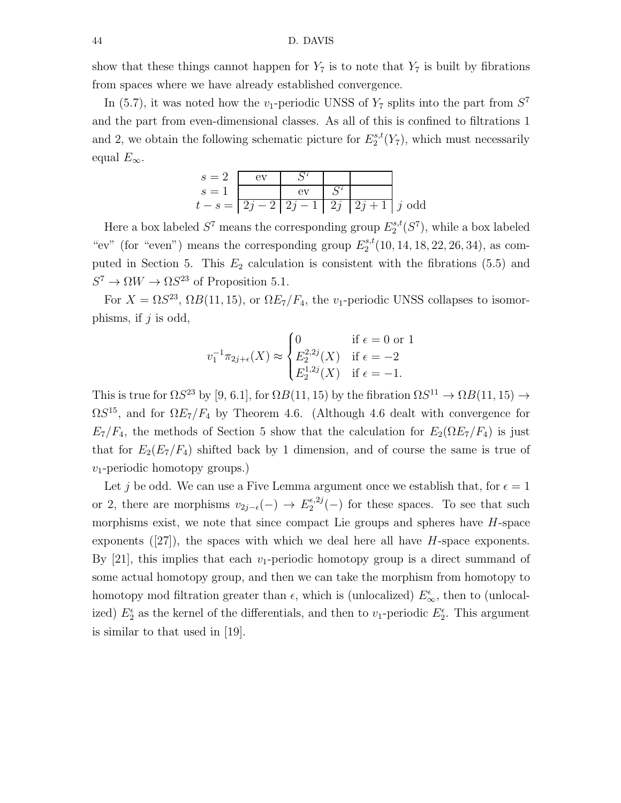show that these things cannot happen for  $Y_7$  is to note that  $Y_7$  is built by fibrations from spaces where we have already established convergence.

In (5.7), it was noted how the  $v_1$ -periodic UNSS of  $Y_7$  splits into the part from  $S^7$ and the part from even-dimensional classes. As all of this is confined to filtrations 1 and 2, we obtain the following schematic picture for  $E_2^{s,t}$  $2^{s,t}(Y_7)$ , which must necessarily equal  $E_{\infty}$ .

$$
s = 2 \quad \text{ev} \quad S^7
$$
\n
$$
s = 1 \quad \text{ev} \quad S^7
$$
\n
$$
t - s = \boxed{2j - 2 \mid 2j - 1 \mid 2j \mid 2j + 1 \mid j \text{ odd}}
$$

Here a box labeled  $S^7$  means the corresponding group  $E_2^{s,t}$  $2^{s,t}(S^7)$ , while a box labeled "ev" (for "even") means the corresponding group  $E_2^{s,t}$  $2^{s,t}(10, 14, 18, 22, 26, 34)$ , as computed in Section 5. This  $E_2$  calculation is consistent with the fibrations (5.5) and  $S^7 \to \Omega W \to \Omega S^{23}$  of Proposition 5.1.

For  $X = \Omega S^{23}$ ,  $\Omega B(11, 15)$ , or  $\Omega E_7/F_4$ , the v<sub>1</sub>-periodic UNSS collapses to isomorphisms, if  $j$  is odd,

$$
v_1^{-1}\pi_{2j+\epsilon}(X) \approx \begin{cases} 0 & \text{if } \epsilon = 0 \text{ or } 1\\ E_2^{2,2j}(X) & \text{if } \epsilon = -2\\ E_2^{1,2j}(X) & \text{if } \epsilon = -1. \end{cases}
$$

This is true for  $\Omega S^{23}$  by [9, 6.1], for  $\Omega B(11, 15)$  by the fibration  $\Omega S^{11} \to \Omega B(11, 15) \to$  $\Omega S^{15}$ , and for  $\Omega E_7/F_4$  by Theorem 4.6. (Although 4.6 dealt with convergence for  $E_7/F_4$ , the methods of Section 5 show that the calculation for  $E_2(\Omega E_7/F_4)$  is just that for  $E_2(E_7/F_4)$  shifted back by 1 dimension, and of course the same is true of  $v_1$ -periodic homotopy groups.)

Let j be odd. We can use a Five Lemma argument once we establish that, for  $\epsilon = 1$ or 2, there are morphisms  $v_{2j-\epsilon}(-) \rightarrow E_2^{\epsilon,2j}$  $2^{(\epsilon,2)}$ (-) for these spaces. To see that such morphisms exist, we note that since compact Lie groups and spheres have  $H$ -space exponents  $(27)$ , the spaces with which we deal here all have H-space exponents. By  $[21]$ , this implies that each v<sub>1</sub>-periodic homotopy group is a direct summand of some actual homotopy group, and then we can take the morphism from homotopy to homotopy mod filtration greater than  $\epsilon$ , which is (unlocalized)  $E_{\infty}^{\epsilon}$ , then to (unlocalized)  $E_2^{\epsilon}$  as the kernel of the differentials, and then to  $v_1$ -periodic  $E_2^{\epsilon}$ . This argument is similar to that used in [19].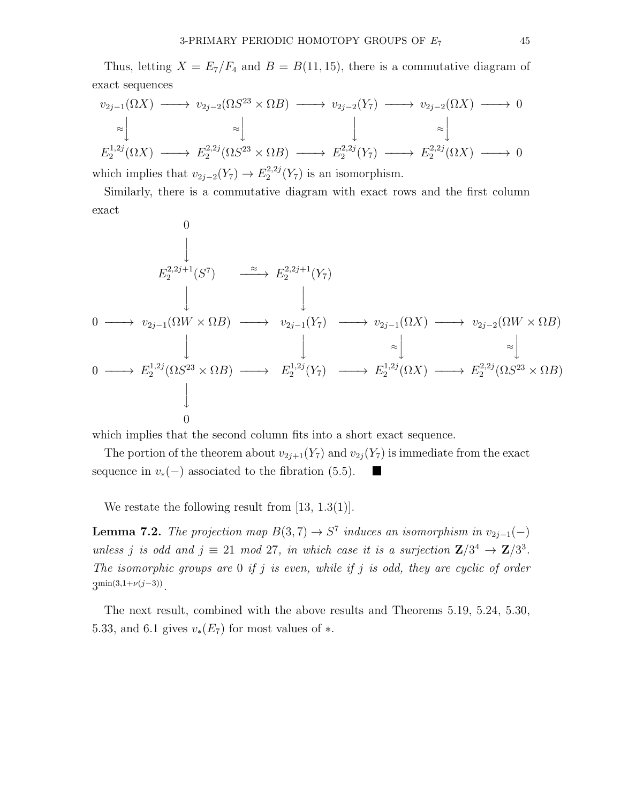Thus, letting  $X = E_7/F_4$  and  $B = B(11, 15)$ , there is a commutative diagram of exact sequences

$$
v_{2j-1}(\Omega X) \longrightarrow v_{2j-2}(\Omega S^{23} \times \Omega B) \longrightarrow v_{2j-2}(Y_7) \longrightarrow v_{2j-2}(\Omega X) \longrightarrow 0
$$
  
\n
$$
\approx \downarrow \qquad \qquad \downarrow \qquad \qquad \sim \downarrow
$$
  
\n
$$
E_2^{1,2j}(\Omega X) \longrightarrow E_2^{2,2j}(\Omega S^{23} \times \Omega B) \longrightarrow E_2^{2,2j}(Y_7) \longrightarrow E_2^{2,2j}(\Omega X) \longrightarrow 0
$$
  
\nwhich implies that  $v \in (Y_1) \longrightarrow E_2^{2,2j}(Y_1)$  is an isomorphism.

which implies that  $v_{2j-2}(Y_7) \rightarrow E_2^{2,2j}$  $2^{2,2j}(Y_7)$  is an isomorphism.

Similarly, there is a commutative diagram with exact rows and the first column exact

$$
0
$$
\n
$$
E_2^{2,2j+1}(S^7) \xrightarrow{\approx} E_2^{2,2j+1}(Y_7)
$$
\n
$$
\downarrow \qquad \qquad \downarrow
$$
\n
$$
0 \longrightarrow v_{2j-1}(\Omega W \times \Omega B) \longrightarrow v_{2j-1}(Y_7) \longrightarrow v_{2j-1}(\Omega X) \longrightarrow v_{2j-2}(\Omega W \times \Omega B)
$$
\n
$$
\downarrow \qquad \qquad \downarrow \qquad \qquad \downarrow \qquad \qquad \downarrow \qquad \qquad \downarrow
$$
\n
$$
0 \longrightarrow E_2^{1,2j}(\Omega S^{23} \times \Omega B) \longrightarrow E_2^{1,2j}(Y_7) \longrightarrow E_2^{1,2j}(\Omega X) \longrightarrow E_2^{2,2j}(\Omega S^{23} \times \Omega B)
$$
\n
$$
\downarrow
$$
\n
$$
0
$$

which implies that the second column fits into a short exact sequence.

The portion of the theorem about  $v_{2j+1}(Y_7)$  and  $v_{2j}(Y_7)$  is immediate from the exact sequence in  $v_*(-)$  associated to the fibration (5.5). Г

We restate the following result from [13, 1.3(1)].

**Lemma 7.2.** The projection map  $B(3,7) \rightarrow S^7$  induces an isomorphism in  $v_{2j-1}(-)$ unless j is odd and  $j \equiv 21 \mod 27$ , in which case it is a surjection  $\mathbb{Z}/3^4 \to \mathbb{Z}/3^3$ . The isomorphic groups are  $0$  if j is even, while if j is odd, they are cyclic of order  $3^{\min(3,1+\nu(j-3))}$ .

The next result, combined with the above results and Theorems 5.19, 5.24, 5.30, 5.33, and 6.1 gives  $v_*(E_7)$  for most values of  $*$ .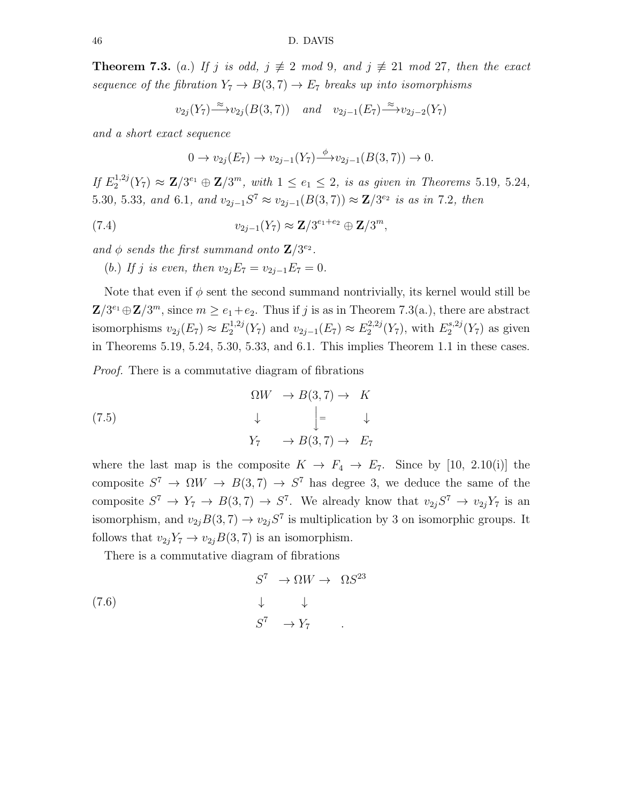**Theorem 7.3.** (a.) If j is odd,  $j \neq 2 \mod 9$ , and  $j \neq 21 \mod 27$ , then the exact sequence of the fibration  $Y_7 \rightarrow B(3, 7) \rightarrow E_7$  breaks up into isomorphisms

$$
v_{2j}(Y_7) \xrightarrow{\approx} v_{2j}(B(3,7)) \quad \text{and} \quad v_{2j-1}(E_7) \xrightarrow{\approx} v_{2j-2}(Y_7)
$$

and a short exact sequence

$$
0 \to v_{2j}(E_7) \to v_{2j-1}(Y_7) \xrightarrow{\phi} v_{2j-1}(B(3,7)) \to 0.
$$

If  $E_2^{1,2j}$  $2^{1,2j}(Y_7) \approx \mathbf{Z}/3^{e_1} \oplus \mathbf{Z}/3^m$ , with  $1 \leq e_1 \leq 2$ , is as given in Theorems 5.19, 5.24, 5.30, 5.33, and 6.1, and  $v_{2j-1}S^7 \approx v_{2j-1}(B(3,7)) \approx \mathbb{Z}/3^{e_2}$  is as in 7.2, then

(7.4) 
$$
v_{2j-1}(Y_7) \approx \mathbf{Z}/3^{e_1+e_2} \oplus \mathbf{Z}/3^m,
$$

and  $\phi$  sends the first summand onto  $\mathbb{Z}/3^{e_2}$ .

(b.) If j is even, then  $v_{2i}E_7 = v_{2i-1}E_7 = 0$ .

Note that even if  $\phi$  sent the second summand nontrivially, its kernel would still be  $\mathbf{Z}/3^{e_1} \oplus \mathbf{Z}/3^m$ , since  $m \ge e_1 + e_2$ . Thus if j is as in Theorem 7.3(a.), there are abstract isomorphisms  $v_{2j}(E_7) \approx E_2^{1,2j}$  $2^{1,2j}(Y_7)$  and  $v_{2j-1}(E_7) \approx E_2^{2,2j}$  $2^{2,2j}(Y_7)$ , with  $E_2^{s,2j}$  $2^{8,2j}(Y_7)$  as given in Theorems 5.19, 5.24, 5.30, 5.33, and 6.1. This implies Theorem 1.1 in these cases.

Proof. There is a commutative diagram of fibrations

(7.5)  
\n
$$
\begin{array}{ccc}\n\Omega W & \to B(3,7) \to & K \\
\downarrow & \qquad \Big\downarrow = & \downarrow \\
Y_7 & \to B(3,7) \to & E_7\n\end{array}
$$

where the last map is the composite  $K \to F_4 \to E_7$ . Since by [10, 2.10(i)] the composite  $S^7 \to \Omega W \to B(3, 7) \to S^7$  has degree 3, we deduce the same of the composite  $S^7 \to Y_7 \to B(3,7) \to S^7$ . We already know that  $v_{2j}S^7 \to v_{2j}Y_7$  is an isomorphism, and  $v_{2j}B(3,7) \rightarrow v_{2j}S^7$  is multiplication by 3 on isomorphic groups. It follows that  $v_{2j}Y_7 \rightarrow v_{2j}B(3, 7)$  is an isomorphism.

There is a commutative diagram of fibrations

$$
S^7 \to \Omega W \to \Omega S^{23}
$$
  
\n
$$
\downarrow \qquad \downarrow
$$
  
\n
$$
S^7 \to Y_7
$$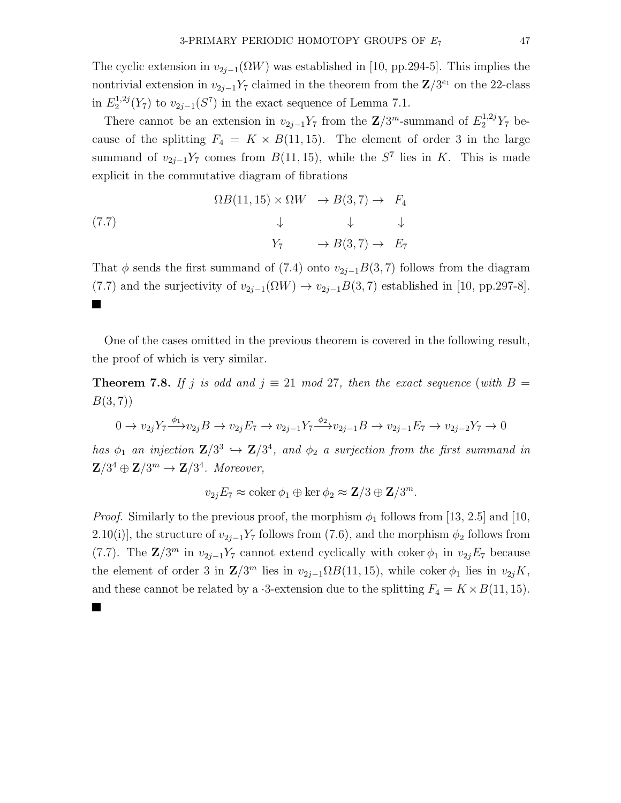The cyclic extension in  $v_{2j-1}(\Omega W)$  was established in [10, pp.294-5]. This implies the nontrivial extension in  $v_{2j-1}Y_7$  claimed in the theorem from the  $\mathbb{Z}/3^{e_1}$  on the 22-class in  $E_2^{1,2j}$  $2^{1,2j}(Y_7)$  to  $v_{2j-1}(S^7)$  in the exact sequence of Lemma 7.1.

There cannot be an extension in  $v_{2j-1}Y_7$  from the  $\mathbb{Z}/3^m$ -summand of  $E_2^{1,2j}Y_7$  because of the splitting  $F_4 = K \times B(11, 15)$ . The element of order 3 in the large summand of  $v_{2j-1}Y_7$  comes from  $B(11, 15)$ , while the  $S^7$  lies in K. This is made explicit in the commutative diagram of fibrations

$$
\Omega B(11, 15) \times \Omega W \rightarrow B(3, 7) \rightarrow F_4
$$
  
\n
$$
\downarrow \qquad \downarrow \qquad \downarrow
$$
  
\n
$$
Y_7 \qquad \rightarrow B(3, 7) \rightarrow E_7
$$

That  $\phi$  sends the first summand of (7.4) onto  $v_{2i-1}B(3, 7)$  follows from the diagram (7.7) and the surjectivity of  $v_{2j-1}(\Omega W) \to v_{2j-1}B(3, 7)$  established in [10, pp.297-8]. **Contract** 

One of the cases omitted in the previous theorem is covered in the following result, the proof of which is very similar.

**Theorem 7.8.** If j is odd and  $j \equiv 21 \mod 27$ , then the exact sequence (with  $B =$  $B(3, 7)$ 

$$
0 \to v_{2j} Y_7 \xrightarrow{\phi_1} v_{2j} B \to v_{2j} E_7 \to v_{2j-1} Y_7 \xrightarrow{\phi_2} v_{2j-1} B \to v_{2j-1} E_7 \to v_{2j-2} Y_7 \to 0
$$

has  $\phi_1$  an injection  $\mathbb{Z}/3^3 \hookrightarrow \mathbb{Z}/3^4$ , and  $\phi_2$  a surjection from the first summand in  $\mathbf{Z}/3^4 \oplus \mathbf{Z}/3^m \rightarrow \mathbf{Z}/3^4$ . Moreover,

 $v_{2j}E_7 \approx \text{coker}\,\phi_1 \oplus \text{ker}\,\phi_2 \approx \mathbf{Z}/3 \oplus \mathbf{Z}/3^m.$ 

*Proof.* Similarly to the previous proof, the morphism  $\phi_1$  follows from [13, 2.5] and [10, 2.10(i)], the structure of  $v_{2j-1}Y_7$  follows from (7.6), and the morphism  $\phi_2$  follows from (7.7). The  $\mathbf{Z}/3^m$  in  $v_{2j-1}Y_7$  cannot extend cyclically with coker  $\phi_1$  in  $v_{2j}E_7$  because the element of order 3 in  $\mathbb{Z}/3^m$  lies in  $v_{2j-1}\Omega B(11, 15)$ , while coker  $\phi_1$  lies in  $v_{2j}K$ , and these cannot be related by a  $\cdot$ 3-extension due to the splitting  $F_4 = K \times B(11, 15)$ .

П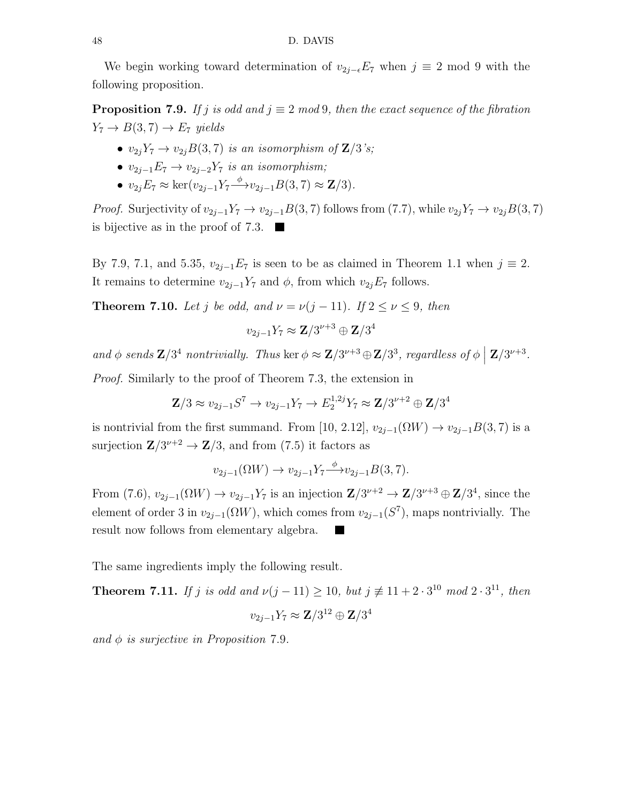We begin working toward determination of  $v_{2j-\epsilon}E_7$  when  $j \equiv 2 \mod 9$  with the following proposition.

**Proposition 7.9.** If j is odd and  $j \equiv 2 \mod 9$ , then the exact sequence of the fibration  $Y_7 \rightarrow B(3, 7) \rightarrow E_7$  yields

- $v_{2i}Y_7 \rightarrow v_{2j}B(3,7)$  is an isomorphism of  $\mathbb{Z}/3$ 's;
- $v_{2j-1}E_7 \rightarrow v_{2j-2}Y_7$  is an isomorphism;
- $v_{2j}E_7 \approx \ker(v_{2j-1}Y_7 \xrightarrow{\phi} v_{2j-1}B(3,7) \approx \mathbf{Z}/3).$

*Proof.* Surjectivity of  $v_{2j-1}Y_7 \to v_{2j-1}B(3, 7)$  follows from (7.7), while  $v_{2j}Y_7 \to v_{2j}B(3, 7)$ is bijective as in the proof of 7.3.  $\blacksquare$ 

By 7.9, 7.1, and 5.35,  $v_{2j-1}E_7$  is seen to be as claimed in Theorem 1.1 when  $j \equiv 2$ . It remains to determine  $v_{2j-1}Y_7$  and  $\phi$ , from which  $v_{2j}E_7$  follows.

**Theorem 7.10.** Let j be odd, and  $\nu = \nu(j-11)$ . If  $2 \le \nu \le 9$ , then

$$
v_{2j-1}Y_7\approx {\bf Z}/3^{\nu+3}\oplus {\bf Z}/3^4
$$

and  $\phi$  sends  $\mathbf{Z}/3^4$  nontrivially. Thus ker  $\phi \approx \mathbf{Z}/3^{\nu+3} \oplus \mathbf{Z}/3^3$ , regardless of  $\phi \mid \mathbf{Z}/3^{\nu+3}$ .

Proof. Similarly to the proof of Theorem 7.3, the extension in

$$
\mathbf{Z}/3 \approx v_{2j-1} S^7 \to v_{2j-1} Y_7 \to E_2^{1,2j} Y_7 \approx \mathbf{Z}/3^{\nu+2} \oplus \mathbf{Z}/3^4
$$

is nontrivial from the first summand. From [10, 2.12],  $v_{2j-1}(\Omega W) \to v_{2j-1}B(3, 7)$  is a surjection  $\mathbb{Z}/3^{\nu+2} \to \mathbb{Z}/3$ , and from (7.5) it factors as

$$
v_{2j-1}(\Omega W) \to v_{2j-1} Y_7 \xrightarrow{\phi} v_{2j-1} B(3,7).
$$

From  $(7.6)$ ,  $v_{2j-1}(\Omega W) \to v_{2j-1}Y_7$  is an injection  $\mathbb{Z}/3^{\nu+2} \to \mathbb{Z}/3^{\nu+3} \oplus \mathbb{Z}/3^4$ , since the element of order 3 in  $v_{2j-1}(\Omega W)$ , which comes from  $v_{2j-1}(S^7)$ , maps nontrivially. The result now follows from elementary algebra.

The same ingredients imply the following result.

**Theorem 7.11.** If j is odd and  $\nu(j-11) \ge 10$ , but  $j \not\equiv 11 + 2 \cdot 3^{10} \mod 2 \cdot 3^{11}$ , then  $v_{2j-1} Y_7 \approx {\bf Z}/3^{12} \oplus {\bf Z}/3^4$ 

and  $\phi$  is surjective in Proposition 7.9.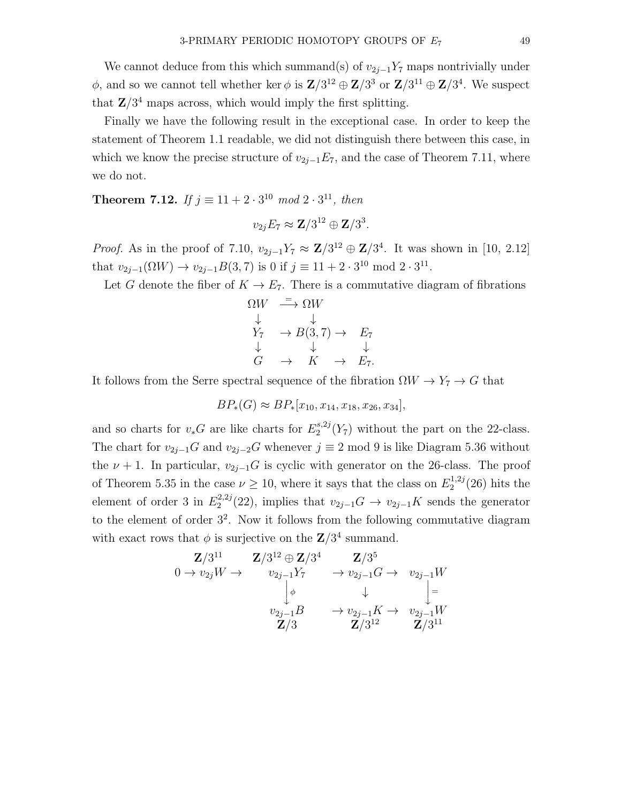We cannot deduce from this which summand(s) of  $v_{2j-1}Y_7$  maps nontrivially under  $\phi$ , and so we cannot tell whether ker  $\phi$  is  $\mathbb{Z}/3^{12} \oplus \mathbb{Z}/3^3$  or  $\mathbb{Z}/3^{11} \oplus \mathbb{Z}/3^4$ . We suspect that  $\mathbb{Z}/3^4$  maps across, which would imply the first splitting.

Finally we have the following result in the exceptional case. In order to keep the statement of Theorem 1.1 readable, we did not distinguish there between this case, in which we know the precise structure of  $v_{2j-1}E_7$ , and the case of Theorem 7.11, where we do not.

**Theorem 7.12.** If  $j \equiv 11 + 2 \cdot 3^{10} \mod 2 \cdot 3^{11}$ , then

$$
v_{2j}E_7 \approx \mathbf{Z}/3^{12} \oplus \mathbf{Z}/3^3.
$$

*Proof.* As in the proof of 7.10,  $v_{2j-1}Y_7 \approx \mathbb{Z}/3^{12} \oplus \mathbb{Z}/3^4$ . It was shown in [10, 2.12] that  $v_{2j-1}(\Omega W) \to v_{2j-1}B(3,7)$  is 0 if  $j \equiv 11 + 2 \cdot 3^{10} \mod 2 \cdot 3^{11}$ .

Let G denote the fiber of  $K \to E_7$ . There is a commutative diagram of fibrations

$$
\begin{array}{ccc}\n\Omega W & \stackrel{=}{\longrightarrow} \Omega W \\
\downarrow & & \downarrow \\
Y_7 & \to B(3,7) \to E_7 \\
\downarrow & & \downarrow \\
G & \to & K \to E_7.\n\end{array}
$$

It follows from the Serre spectral sequence of the fibration  $\Omega W \to Y_7 \to G$  that

$$
BP_*(G) \approx BP_*[x_{10}, x_{14}, x_{18}, x_{26}, x_{34}],
$$

and so charts for  $v_*G$  are like charts for  $E_2^{s,2j}$  $2^{(8,2)}_{2}(Y_7)$  without the part on the 22-class. The chart for  $v_{2j-1}G$  and  $v_{2j-2}G$  whenever  $j \equiv 2 \mod 9$  is like Diagram 5.36 without the  $\nu + 1$ . In particular,  $v_{2j-1}G$  is cyclic with generator on the 26-class. The proof of Theorem 5.35 in the case  $\nu \geq 10$ , where it says that the class on  $E_2^{1,2j}$  $2^{1,2j}(26)$  hits the element of order 3 in  $E_2^{2,2j}$  $2^{2,2j}(22)$ , implies that  $v_{2j-1}G \rightarrow v_{2j-1}K$  sends the generator to the element of order  $3^2$ . Now it follows from the following commutative diagram with exact rows that  $\phi$  is surjective on the  $\mathbb{Z}/3^4$  summand.

$$
0 \to v_{2j}W \to \begin{array}{c} \mathbf{Z}/3^{11} & \mathbf{Z}/3^{4} & \mathbf{Z}/3^{5} \\ v_{2j-1}Y_{7} & \to v_{2j-1}G \to v_{2j-1}W \\ \downarrow^{\phi} & \downarrow^{\phi} \\ v_{2j-1}B & \to v_{2j-1}K \to v_{2j-1}W \\ \mathbf{Z}/3 & \mathbf{Z}/3^{12} & \mathbf{Z}/3^{11} \end{array}
$$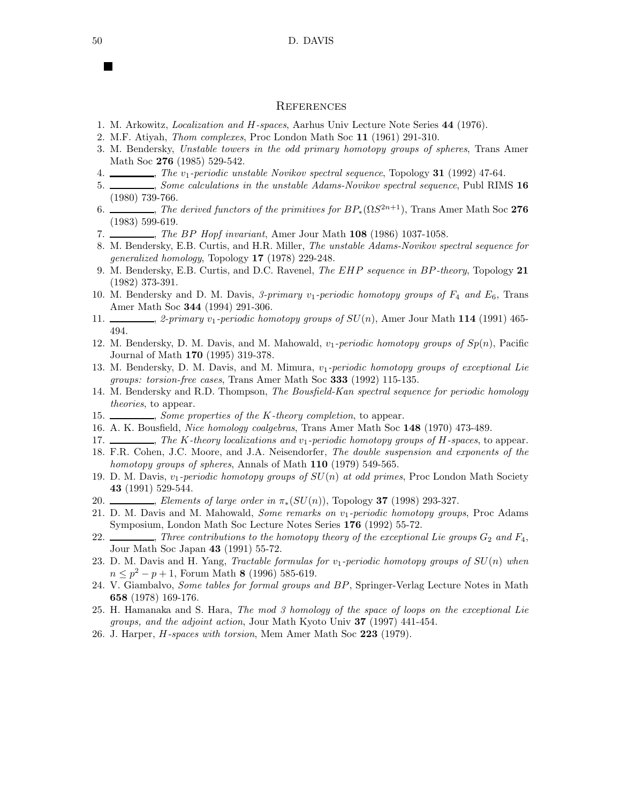#### **REFERENCES**

- 1. M. Arkowitz, *Localization and* H*-spaces*, Aarhus Univ Lecture Note Series 44 (1976).
- 2. M.F. Atiyah, *Thom complexes*, Proc London Math Soc 11 (1961) 291-310.
- 3. M. Bendersky, *Unstable towers in the odd primary homotopy groups of spheres*, Trans Amer Math Soc 276 (1985) 529-542.
- 4. , *The* v1*-periodic unstable Novikov spectral sequence*, Topology 31 (1992) 47-64.
- 5. , *Some calculations in the unstable Adams-Novikov spectral sequence*, Publ RIMS 16 (1980) 739-766.
- 6.  $\_\_\_\_\_\_\_\_\_\_\_\_\_\_\_\.\_\_\_\_\_\.\_\_\_\_\_\_\.\_$ (1983) 599-619.
- 7. , *The* BP *Hopf invariant*, Amer Jour Math 108 (1986) 1037-1058.
- 8. M. Bendersky, E.B. Curtis, and H.R. Miller, *The unstable Adams-Novikov spectral sequence for generalized homology*, Topology 17 (1978) 229-248.
- 9. M. Bendersky, E.B. Curtis, and D.C. Ravenel, *The* EHP *sequence in* BP*-theory*, Topology 21 (1982) 373-391.
- 10. M. Bendersky and D. M. Davis, 3-primary  $v_1$ -periodic homotopy groups of  $F_4$  and  $E_6$ , Trans Amer Math Soc 344 (1994) 291-306.
- 11.  $\frac{1}{2}$ , *2-primary*  $v_1$ -periodic homotopy groups of  $SU(n)$ , Amer Jour Math 114 (1991) 465-494.
- 12. M. Bendersky, D. M. Davis, and M. Mahowald, v1*-periodic homotopy groups of* Sp(n), Pacific Journal of Math 170 (1995) 319-378.
- 13. M. Bendersky, D. M. Davis, and M. Mimura, v1*-periodic homotopy groups of exceptional Lie groups: torsion-free cases*, Trans Amer Math Soc 333 (1992) 115-135.
- 14. M. Bendersky and R.D. Thompson, *The Bousfield-Kan spectral sequence for periodic homology theories*, to appear.
- 15. , *Some properties of the* K*-theory completion*, to appear.
- 16. A. K. Bousfield, *Nice homology coalgebras*, Trans Amer Math Soc 148 (1970) 473-489.
- 17. , *The* K*-theory localizations and* v1*-periodic homotopy groups of* H*-spaces*, to appear.
- 18. F.R. Cohen, J.C. Moore, and J.A. Neisendorfer, *The double suspension and exponents of the homotopy groups of spheres*, Annals of Math 110 (1979) 549-565.
- 19. D. M. Davis, v1*-periodic homotopy groups of* SU(n) *at odd primes*, Proc London Math Society 43 (1991) 529-544.
- 20. , *Elements of large order in* π∗(SU(n)), Topology 37 (1998) 293-327.
- 21. D. M. Davis and M. Mahowald, *Some remarks on* v1*-periodic homotopy groups*, Proc Adams Symposium, London Math Soc Lecture Notes Series 176 (1992) 55-72.
- 22.  $\Box$ , *Three contributions to the homotopy theory of the exceptional Lie groups*  $G_2$  *and*  $F_4$ , Jour Math Soc Japan 43 (1991) 55-72.
- 23. D. M. Davis and H. Yang, *Tractable formulas for* v1*-periodic homotopy groups of* SU(n) *when*  $n \leq p^2 - p + 1$ , Forum Math 8 (1996) 585-619.
- 24. V. Giambalvo, *Some tables for formal groups and* BP, Springer-Verlag Lecture Notes in Math 658 (1978) 169-176.
- 25. H. Hamanaka and S. Hara, *The mod 3 homology of the space of loops on the exceptional Lie groups, and the adjoint action*, Jour Math Kyoto Univ 37 (1997) 441-454.
- 26. J. Harper, H*-spaces with torsion*, Mem Amer Math Soc 223 (1979).